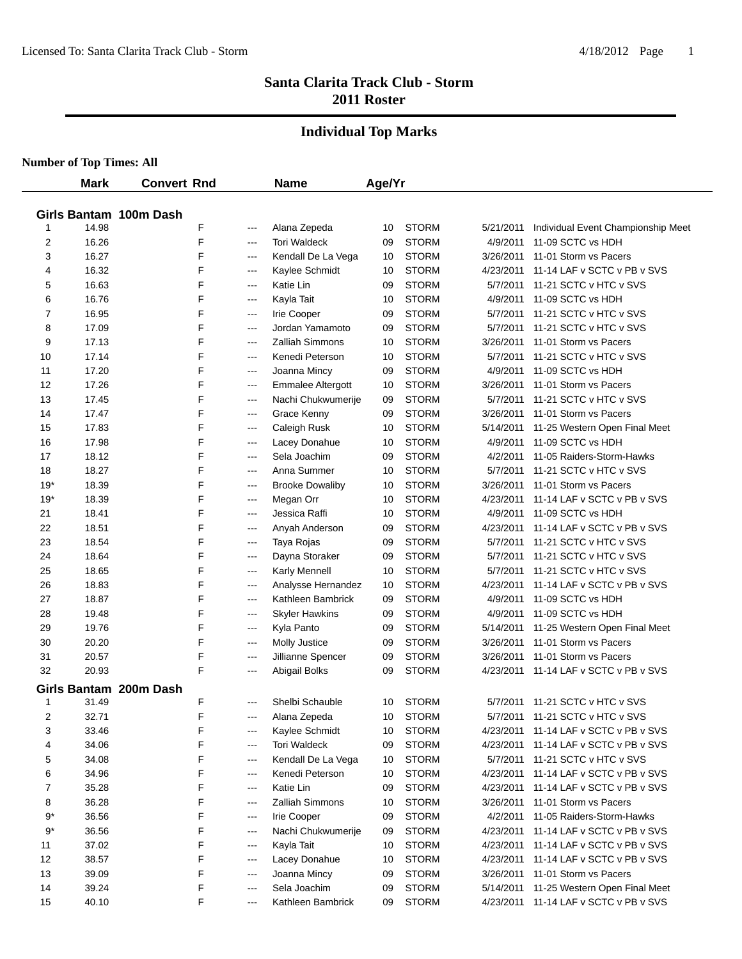#### **Individual Top Marks**

|       | <b>Mark</b> | <b>Convert Rnd</b>     |       | <b>Name</b>              | Age/Yr |              |           |                                         |
|-------|-------------|------------------------|-------|--------------------------|--------|--------------|-----------|-----------------------------------------|
|       |             |                        |       |                          |        |              |           |                                         |
|       |             | Girls Bantam 100m Dash |       |                          |        |              |           |                                         |
| 1     | 14.98       | F                      | ---   | Alana Zepeda             | 10     | <b>STORM</b> | 5/21/2011 | Individual Event Championship Meet      |
| 2     | 16.26       | F                      | $-$   | <b>Tori Waldeck</b>      | 09     | <b>STORM</b> | 4/9/2011  | 11-09 SCTC vs HDH                       |
| 3     | 16.27       | F                      | $---$ | Kendall De La Vega       | 10     | <b>STORM</b> | 3/26/2011 | 11-01 Storm vs Pacers                   |
| 4     | 16.32       | F                      | ---   | Kaylee Schmidt           | 10     | <b>STORM</b> | 4/23/2011 | 11-14 LAF v SCTC v PB v SVS             |
| 5     | 16.63       | F                      | ---   | Katie Lin                | 09     | <b>STORM</b> | 5/7/2011  | 11-21 SCTC v HTC v SVS                  |
| 6     | 16.76       | F                      | ---   | Kayla Tait               | 10     | <b>STORM</b> | 4/9/2011  | 11-09 SCTC vs HDH                       |
| 7     | 16.95       | F                      | ---   | Irie Cooper              | 09     | <b>STORM</b> | 5/7/2011  | 11-21 SCTC v HTC v SVS                  |
| 8     | 17.09       | F                      | ---   | Jordan Yamamoto          | 09     | <b>STORM</b> | 5/7/2011  | 11-21 SCTC v HTC v SVS                  |
| 9     | 17.13       | F                      | $---$ | Zalliah Simmons          | 10     | <b>STORM</b> | 3/26/2011 | 11-01 Storm vs Pacers                   |
| 10    | 17.14       | F<br>F                 | $---$ | Kenedi Peterson          | 10     | <b>STORM</b> | 5/7/2011  | 11-21 SCTC v HTC v SVS                  |
| 11    | 17.20       |                        | ---   | Joanna Mincy             | 09     | <b>STORM</b> | 4/9/2011  | 11-09 SCTC vs HDH                       |
| 12    | 17.26       | F                      | $---$ | <b>Emmalee Altergott</b> | 10     | <b>STORM</b> | 3/26/2011 | 11-01 Storm vs Pacers                   |
| 13    | 17.45       | F                      | ---   | Nachi Chukwumerije       | 09     | <b>STORM</b> | 5/7/2011  | 11-21 SCTC v HTC v SVS                  |
| 14    | 17.47       | F                      | ---   | Grace Kenny              | 09     | <b>STORM</b> | 3/26/2011 | 11-01 Storm vs Pacers                   |
| 15    | 17.83       | F                      | ---   | Caleigh Rusk             | 10     | <b>STORM</b> |           | 5/14/2011 11-25 Western Open Final Meet |
| 16    | 17.98       | F                      | ---   | Lacey Donahue            | 10     | <b>STORM</b> | 4/9/2011  | 11-09 SCTC vs HDH                       |
| 17    | 18.12       | F                      | $--$  | Sela Joachim             | 09     | <b>STORM</b> | 4/2/2011  | 11-05 Raiders-Storm-Hawks               |
| 18    | 18.27       | F                      | $-$   | Anna Summer              | 10     | <b>STORM</b> | 5/7/2011  | 11-21 SCTC v HTC v SVS                  |
| $19*$ | 18.39       | F                      | $-$   | <b>Brooke Dowaliby</b>   | 10     | <b>STORM</b> | 3/26/2011 | 11-01 Storm vs Pacers                   |
| $19*$ | 18.39       | F                      | $-$   | Megan Orr                | 10     | <b>STORM</b> | 4/23/2011 | 11-14 LAF v SCTC v PB v SVS             |
| 21    | 18.41       | F                      | ---   | Jessica Raffi            | 10     | <b>STORM</b> | 4/9/2011  | 11-09 SCTC vs HDH                       |
| 22    | 18.51       | F                      | ---   | Anyah Anderson           | 09     | <b>STORM</b> | 4/23/2011 | 11-14 LAF v SCTC v PB v SVS             |
| 23    | 18.54       | F                      | ---   | Taya Rojas               | 09     | <b>STORM</b> | 5/7/2011  | 11-21 SCTC v HTC v SVS                  |
| 24    | 18.64       | F                      | $---$ | Dayna Storaker           | 09     | <b>STORM</b> | 5/7/2011  | 11-21 SCTC v HTC v SVS                  |
| 25    | 18.65       | F                      | $---$ | Karly Mennell            | 10     | <b>STORM</b> | 5/7/2011  | 11-21 SCTC v HTC v SVS                  |
| 26    | 18.83       | F                      | ---   | Analysse Hernandez       | 10     | <b>STORM</b> | 4/23/2011 | 11-14 LAF v SCTC v PB v SVS             |
| 27    | 18.87       | F                      | ---   | Kathleen Bambrick        | 09     | <b>STORM</b> | 4/9/2011  | 11-09 SCTC vs HDH                       |
| 28    | 19.48       | F                      | $---$ | <b>Skyler Hawkins</b>    | 09     | <b>STORM</b> |           | 4/9/2011 11-09 SCTC vs HDH              |
| 29    | 19.76       | F                      | $--$  | Kyla Panto               | 09     | <b>STORM</b> | 5/14/2011 | 11-25 Western Open Final Meet           |
| 30    | 20.20       | F                      | ---   | <b>Molly Justice</b>     | 09     | <b>STORM</b> | 3/26/2011 | 11-01 Storm vs Pacers                   |
| 31    | 20.57       | F                      | ---   | Jillianne Spencer        | 09     | <b>STORM</b> | 3/26/2011 | 11-01 Storm vs Pacers                   |
| 32    | 20.93       | F                      | $-$   | Abigail Bolks            | 09     | <b>STORM</b> |           | 4/23/2011 11-14 LAF v SCTC v PB v SVS   |
|       |             | Girls Bantam 200m Dash |       |                          |        |              |           |                                         |
| -1    | 31.49       | F                      | ---   | Shelbi Schauble          | 10     | <b>STORM</b> | 5/7/2011  | 11-21 SCTC v HTC v SVS                  |
| 2     | 32.71       | E                      | $---$ | Alana Zepeda             | 10     | <b>STORM</b> | 5/7/2011  | 11-21 SCTC v HTC v SVS                  |
| 3     | 33.46       | F                      | $---$ | Kaylee Schmidt           | 10     | <b>STORM</b> |           | 4/23/2011 11-14 LAF v SCTC v PB v SVS   |
| 4     | 34.06       | F                      | $---$ | <b>Tori Waldeck</b>      | 09     | <b>STORM</b> | 4/23/2011 | 11-14 LAF v SCTC v PB v SVS             |
| 5     | 34.08       | F                      | $---$ | Kendall De La Vega       | 10     | <b>STORM</b> |           | 5/7/2011 11-21 SCTC v HTC v SVS         |
| 6     | 34.96       | F                      | $--$  | Kenedi Peterson          | 10     | <b>STORM</b> |           | 4/23/2011 11-14 LAF v SCTC v PB v SVS   |
| 7     | 35.28       | F                      | $--$  | Katie Lin                | 09     | <b>STORM</b> |           | 4/23/2011 11-14 LAF v SCTC v PB v SVS   |
| 8     | 36.28       | F                      | $---$ | Zalliah Simmons          | 10     | <b>STORM</b> |           | 3/26/2011 11-01 Storm vs Pacers         |
| 9*    | 36.56       | F                      | $--$  | Irie Cooper              | 09     | <b>STORM</b> |           | 4/2/2011 11-05 Raiders-Storm-Hawks      |
| $9*$  | 36.56       | F                      | $--$  | Nachi Chukwumerije       | 09     | <b>STORM</b> | 4/23/2011 | 11-14 LAF v SCTC v PB v SVS             |
| 11    | 37.02       | F                      | $--$  | Kayla Tait               | 10     | <b>STORM</b> |           | 4/23/2011 11-14 LAF v SCTC v PB v SVS   |
| 12    | 38.57       | F                      | $--$  | Lacey Donahue            | 10     | <b>STORM</b> | 4/23/2011 | 11-14 LAF v SCTC v PB v SVS             |
| 13    | 39.09       | F                      | $--$  | Joanna Mincy             | 09     | <b>STORM</b> | 3/26/2011 | 11-01 Storm vs Pacers                   |
| 14    | 39.24       | F                      | $--$  | Sela Joachim             | 09     | <b>STORM</b> | 5/14/2011 | 11-25 Western Open Final Meet           |
| 15    | 40.10       | F                      | $---$ | Kathleen Bambrick        | 09     | <b>STORM</b> |           | 4/23/2011 11-14 LAF v SCTC v PB v SVS   |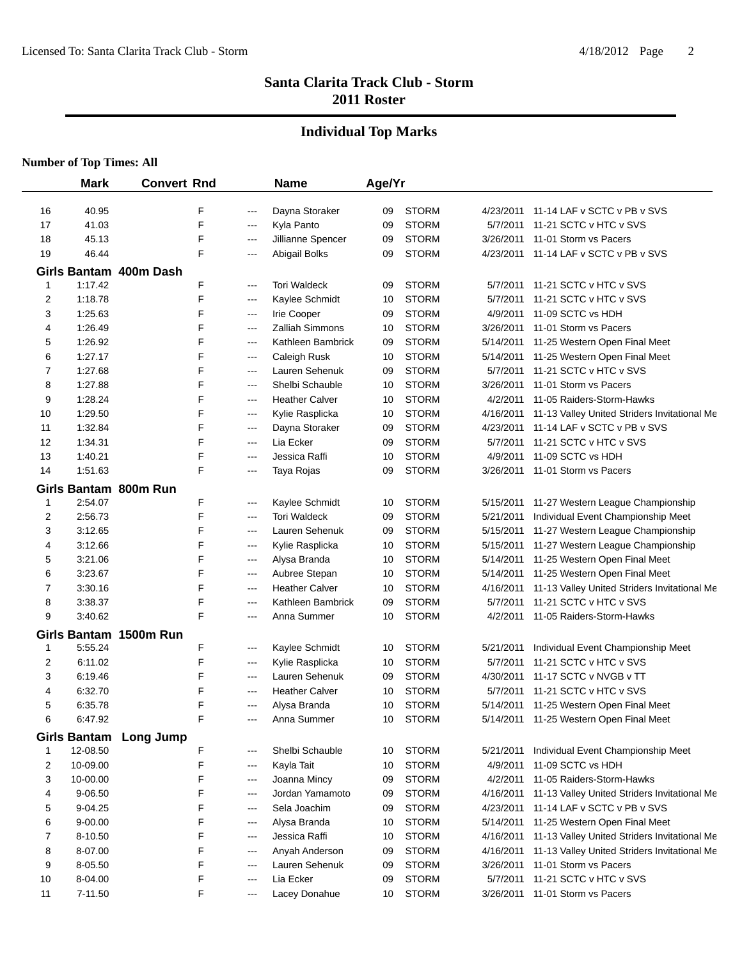## **Individual Top Marks**

|              | <b>Mark</b> | <b>Convert Rnd</b>     |   |                   | <b>Name</b>           | Age/Yr |              |           |                                              |
|--------------|-------------|------------------------|---|-------------------|-----------------------|--------|--------------|-----------|----------------------------------------------|
|              |             |                        |   |                   |                       |        |              |           |                                              |
| 16           | 40.95       |                        | F | ---               | Dayna Storaker        | 09     | <b>STORM</b> | 4/23/2011 | 11-14 LAF v SCTC v PB v SVS                  |
| 17           | 41.03       |                        | F | $\qquad \qquad -$ | Kyla Panto            | 09     | <b>STORM</b> | 5/7/2011  | 11-21 SCTC v HTC v SVS                       |
| 18           | 45.13       |                        | F | ---               | Jillianne Spencer     | 09     | <b>STORM</b> | 3/26/2011 | 11-01 Storm vs Pacers                        |
| 19           | 46.44       |                        | F | ---               | Abigail Bolks         | 09     | <b>STORM</b> | 4/23/2011 | 11-14 LAF v SCTC v PB v SVS                  |
|              |             | Girls Bantam 400m Dash |   |                   |                       |        |              |           |                                              |
| $\mathbf{1}$ | 1:17.42     |                        | F | $---$             | <b>Tori Waldeck</b>   | 09     | <b>STORM</b> | 5/7/2011  | 11-21 SCTC v HTC v SVS                       |
| 2            | 1:18.78     |                        | F | ---               | Kaylee Schmidt        | 10     | <b>STORM</b> | 5/7/2011  | 11-21 SCTC v HTC v SVS                       |
| 3            | 1:25.63     |                        | F | $---$             | Irie Cooper           | 09     | <b>STORM</b> | 4/9/2011  | 11-09 SCTC vs HDH                            |
| 4            | 1:26.49     |                        | F | ---               | Zalliah Simmons       | 10     | <b>STORM</b> | 3/26/2011 | 11-01 Storm vs Pacers                        |
| 5            | 1:26.92     |                        | F | ---               | Kathleen Bambrick     | 09     | <b>STORM</b> | 5/14/2011 | 11-25 Western Open Final Meet                |
| 6            | 1:27.17     |                        | F | ---               | Caleigh Rusk          | 10     | <b>STORM</b> | 5/14/2011 | 11-25 Western Open Final Meet                |
| 7            | 1:27.68     |                        | F | $\qquad \qquad -$ | Lauren Sehenuk        | 09     | <b>STORM</b> | 5/7/2011  | 11-21 SCTC v HTC v SVS                       |
| 8            | 1:27.88     |                        | F | $\qquad \qquad -$ | Shelbi Schauble       | 10     | <b>STORM</b> | 3/26/2011 | 11-01 Storm vs Pacers                        |
| 9            | 1:28.24     |                        | F | ---               | <b>Heather Calver</b> | 10     | <b>STORM</b> | 4/2/2011  | 11-05 Raiders-Storm-Hawks                    |
| 10           | 1:29.50     |                        | F | ---               | Kylie Rasplicka       | 10     | <b>STORM</b> | 4/16/2011 | 11-13 Valley United Striders Invitational Me |
| 11           | 1:32.84     |                        | F | ---               | Dayna Storaker        | 09     | <b>STORM</b> | 4/23/2011 | 11-14 LAF v SCTC v PB v SVS                  |
| 12           | 1:34.31     |                        | F | $--$              | Lia Ecker             | 09     | <b>STORM</b> | 5/7/2011  | 11-21 SCTC v HTC v SVS                       |
| 13           | 1:40.21     |                        | F | ---               | Jessica Raffi         | 10     | <b>STORM</b> | 4/9/2011  | 11-09 SCTC vs HDH                            |
| 14           | 1:51.63     |                        | F | ---               | Taya Rojas            | 09     | <b>STORM</b> | 3/26/2011 | 11-01 Storm vs Pacers                        |
|              |             | Girls Bantam 800m Run  |   |                   |                       |        |              |           |                                              |
| 1            | 2:54.07     |                        | F | ---               | Kaylee Schmidt        | 10     | <b>STORM</b> | 5/15/2011 | 11-27 Western League Championship            |
| 2            | 2:56.73     |                        | F | ---               | <b>Tori Waldeck</b>   | 09     | <b>STORM</b> | 5/21/2011 | Individual Event Championship Meet           |
| 3            | 3:12.65     |                        | F | ---               | Lauren Sehenuk        | 09     | <b>STORM</b> | 5/15/2011 | 11-27 Western League Championship            |
| 4            | 3:12.66     |                        | F | ---               | Kylie Rasplicka       | 10     | <b>STORM</b> | 5/15/2011 | 11-27 Western League Championship            |
| 5            | 3:21.06     |                        | F | ---               | Alysa Branda          | 10     | <b>STORM</b> | 5/14/2011 | 11-25 Western Open Final Meet                |
| 6            | 3:23.67     |                        | F | ---               | Aubree Stepan         | 10     | <b>STORM</b> | 5/14/2011 | 11-25 Western Open Final Meet                |
| 7            | 3:30.16     |                        | F | $--$              | <b>Heather Calver</b> | 10     | <b>STORM</b> | 4/16/2011 | 11-13 Valley United Striders Invitational Me |
| 8            | 3:38.37     |                        | F | ---               | Kathleen Bambrick     | 09     | <b>STORM</b> | 5/7/2011  | 11-21 SCTC v HTC v SVS                       |
| 9            | 3:40.62     |                        | F | ---               | Anna Summer           | 10     | <b>STORM</b> | 4/2/2011  | 11-05 Raiders-Storm-Hawks                    |
|              |             | Girls Bantam 1500m Run |   |                   |                       |        |              |           |                                              |
| 1            | 5:55.24     |                        | F | $\qquad \qquad -$ | Kaylee Schmidt        | 10     | <b>STORM</b> | 5/21/2011 | Individual Event Championship Meet           |
| 2            | 6:11.02     |                        | F | $\cdots$          | Kylie Rasplicka       | 10     | <b>STORM</b> | 5/7/2011  | 11-21 SCTC v HTC v SVS                       |
| 3            | 6:19.46     |                        | F | ---               | Lauren Sehenuk        | 09     | <b>STORM</b> | 4/30/2011 | 11-17 SCTC v NVGB v TT                       |
| 4            | 6:32.70     |                        | F | ---               | <b>Heather Calver</b> | 10     | <b>STORM</b> | 5/7/2011  | 11-21 SCTC v HTC v SVS                       |
| 5            | 6:35.78     |                        | F | $\qquad \qquad -$ | Alysa Branda          | 10     | <b>STORM</b> | 5/14/2011 | 11-25 Western Open Final Meet                |
| 6            | 6:47.92     |                        | F | ---               | Anna Summer           | 10     | <b>STORM</b> |           | 5/14/2011 11-25 Western Open Final Meet      |
|              |             | Girls Bantam Long Jump |   |                   |                       |        |              |           |                                              |
| 1            | 12-08.50    |                        | F | ---               | Shelbi Schauble       | 10     | <b>STORM</b> | 5/21/2011 | Individual Event Championship Meet           |
| 2            | 10-09.00    |                        | F | ---               | Kayla Tait            | 10     | <b>STORM</b> | 4/9/2011  | 11-09 SCTC vs HDH                            |
| 3            | 10-00.00    |                        | F | $---$             | Joanna Mincy          | 09     | <b>STORM</b> | 4/2/2011  | 11-05 Raiders-Storm-Hawks                    |
| 4            | 9-06.50     |                        | F | ---               | Jordan Yamamoto       | 09     | <b>STORM</b> | 4/16/2011 | 11-13 Valley United Striders Invitational Me |
| 5            | 9-04.25     |                        | F | ---               | Sela Joachim          | 09     | <b>STORM</b> | 4/23/2011 | 11-14 LAF v SCTC v PB v SVS                  |
| 6            | $9 - 00.00$ |                        | F | ---               | Alysa Branda          | 10     | <b>STORM</b> | 5/14/2011 | 11-25 Western Open Final Meet                |
| 7            | 8-10.50     |                        | F | ---               | Jessica Raffi         | 10     | <b>STORM</b> | 4/16/2011 | 11-13 Valley United Striders Invitational Me |
| 8            | 8-07.00     |                        | F | ---               | Anyah Anderson        | 09     | <b>STORM</b> | 4/16/2011 | 11-13 Valley United Striders Invitational Me |
| 9            | 8-05.50     |                        | F | ---               | Lauren Sehenuk        | 09     | <b>STORM</b> | 3/26/2011 | 11-01 Storm vs Pacers                        |
| 10           | 8-04.00     |                        | F | $---$             | Lia Ecker             | 09     | <b>STORM</b> | 5/7/2011  | 11-21 SCTC v HTC v SVS                       |
| 11           | 7-11.50     |                        | F | $\qquad \qquad -$ | Lacey Donahue         | 10     | <b>STORM</b> |           | 3/26/2011 11-01 Storm vs Pacers              |
|              |             |                        |   |                   |                       |        |              |           |                                              |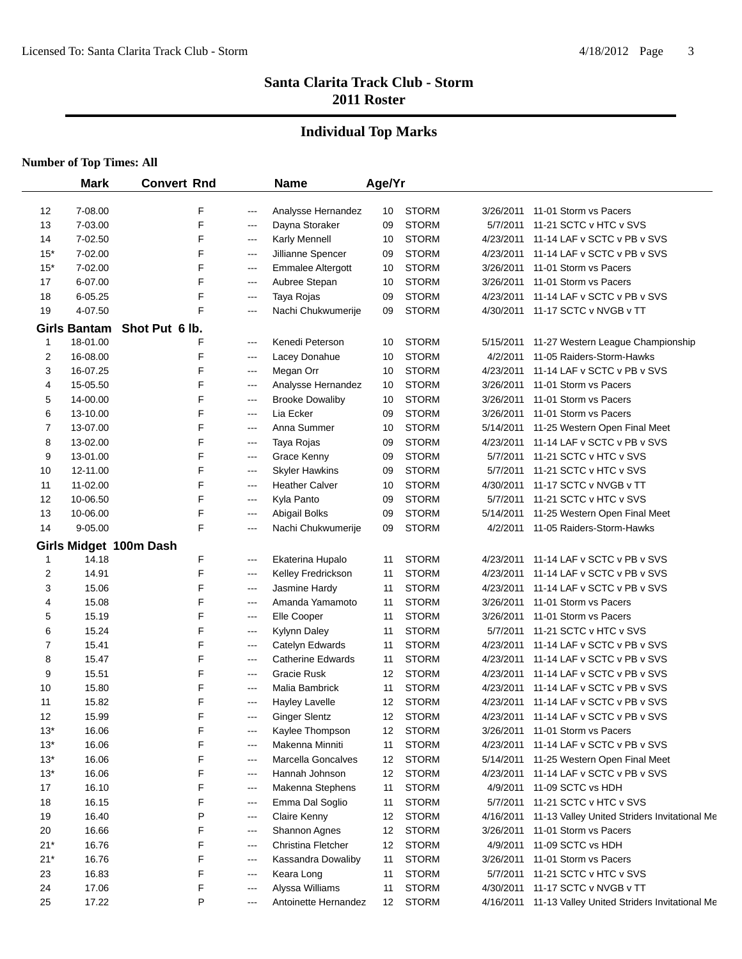## **Individual Top Marks**

|       | <b>Mark</b>         | <b>Convert Rnd</b>     |                   | <b>Name</b>              | Age/Yr |              |           |                                              |
|-------|---------------------|------------------------|-------------------|--------------------------|--------|--------------|-----------|----------------------------------------------|
| 12    | 7-08.00             | F                      | ---               | Analysse Hernandez       | 10     | <b>STORM</b> | 3/26/2011 | 11-01 Storm vs Pacers                        |
| 13    | 7-03.00             | F                      | $---$             | Dayna Storaker           | 09     | <b>STORM</b> | 5/7/2011  | 11-21 SCTC v HTC v SVS                       |
| 14    | 7-02.50             | F                      | ---               | Karly Mennell            | 10     | <b>STORM</b> | 4/23/2011 | 11-14 LAF v SCTC v PB v SVS                  |
| $15*$ | 7-02.00             | F                      | ---               | Jillianne Spencer        | 09     | <b>STORM</b> | 4/23/2011 | 11-14 LAF v SCTC v PB v SVS                  |
| $15*$ | 7-02.00             | F                      | ---               | <b>Emmalee Altergott</b> | 10     | <b>STORM</b> | 3/26/2011 | 11-01 Storm vs Pacers                        |
| 17    | 6-07.00             | F                      | ---               | Aubree Stepan            | 10     | <b>STORM</b> | 3/26/2011 | 11-01 Storm vs Pacers                        |
| 18    | $6 - 05.25$         | F                      | ---               | Taya Rojas               | 09     | <b>STORM</b> | 4/23/2011 | 11-14 LAF v SCTC v PB v SVS                  |
| 19    | 4-07.50             | F                      | ---               | Nachi Chukwumerije       | 09     | <b>STORM</b> | 4/30/2011 | 11-17 SCTC v NVGB v TT                       |
|       | <b>Girls Bantam</b> | Shot Put 6 lb.         |                   |                          |        |              |           |                                              |
| 1     | 18-01.00            | F                      | ---               | Kenedi Peterson          | 10     | <b>STORM</b> | 5/15/2011 | 11-27 Western League Championship            |
| 2     | 16-08.00            | F                      | ---               | Lacey Donahue            | 10     | <b>STORM</b> | 4/2/2011  | 11-05 Raiders-Storm-Hawks                    |
| 3     | 16-07.25            | F                      | ---               | Megan Orr                | 10     | <b>STORM</b> | 4/23/2011 | 11-14 LAF v SCTC v PB v SVS                  |
| 4     | 15-05.50            | F                      | ---               | Analysse Hernandez       | 10     | <b>STORM</b> | 3/26/2011 | 11-01 Storm vs Pacers                        |
| 5     | 14-00.00            | F                      | $---$             | <b>Brooke Dowaliby</b>   | 10     | <b>STORM</b> | 3/26/2011 | 11-01 Storm vs Pacers                        |
| 6     | 13-10.00            | F                      | ---               | Lia Ecker                | 09     | <b>STORM</b> | 3/26/2011 | 11-01 Storm vs Pacers                        |
| 7     | 13-07.00            | F                      | ---               | Anna Summer              | 10     | <b>STORM</b> | 5/14/2011 | 11-25 Western Open Final Meet                |
| 8     | 13-02.00            | F                      | ---               | Taya Rojas               | 09     | <b>STORM</b> | 4/23/2011 | 11-14 LAF v SCTC v PB v SVS                  |
| 9     | 13-01.00            | F                      | ---               | Grace Kenny              | 09     | <b>STORM</b> | 5/7/2011  | 11-21 SCTC v HTC v SVS                       |
| 10    | 12-11.00            | F                      | ---               | <b>Skyler Hawkins</b>    | 09     | <b>STORM</b> | 5/7/2011  | 11-21 SCTC v HTC v SVS                       |
| 11    | 11-02.00            | F                      | ---               | <b>Heather Calver</b>    | 10     | <b>STORM</b> | 4/30/2011 | 11-17 SCTC v NVGB v TT                       |
| 12    | 10-06.50            | F                      | $---$             | Kyla Panto               | 09     | <b>STORM</b> | 5/7/2011  | 11-21 SCTC v HTC v SVS                       |
| 13    | 10-06.00            | F                      | $---$             | Abigail Bolks            | 09     | <b>STORM</b> | 5/14/2011 | 11-25 Western Open Final Meet                |
| 14    | 9-05.00             | F                      | $---$             | Nachi Chukwumerije       | 09     | <b>STORM</b> | 4/2/2011  | 11-05 Raiders-Storm-Hawks                    |
|       |                     | Girls Midget 100m Dash |                   |                          |        |              |           |                                              |
| 1     | 14.18               | F                      | ---               | Ekaterina Hupalo         | 11     | <b>STORM</b> | 4/23/2011 | 11-14 LAF v SCTC v PB v SVS                  |
| 2     | 14.91               | F                      | $---$             | Kelley Fredrickson       | 11     | <b>STORM</b> | 4/23/2011 | 11-14 LAF v SCTC v PB v SVS                  |
| 3     | 15.06               | F                      | $---$             | Jasmine Hardy            | 11     | <b>STORM</b> | 4/23/2011 | 11-14 LAF v SCTC v PB v SVS                  |
| 4     | 15.08               | F                      | ---               | Amanda Yamamoto          | 11     | <b>STORM</b> | 3/26/2011 | 11-01 Storm vs Pacers                        |
| 5     | 15.19               | F                      | ---               | Elle Cooper              | 11     | <b>STORM</b> | 3/26/2011 | 11-01 Storm vs Pacers                        |
| 6     | 15.24               | F                      | ---               | Kylynn Daley             | 11     | <b>STORM</b> | 5/7/2011  | 11-21 SCTC v HTC v SVS                       |
| 7     | 15.41               | F                      | $---$             | Catelyn Edwards          | 11     | <b>STORM</b> | 4/23/2011 | 11-14 LAF v SCTC v PB v SVS                  |
| 8     | 15.47               | F                      | ---               | <b>Catherine Edwards</b> | 11     | <b>STORM</b> | 4/23/2011 | 11-14 LAF v SCTC v PB v SVS                  |
| 9     | 15.51               | F                      | $---$             | Gracie Rusk              | 12     | <b>STORM</b> | 4/23/2011 | 11-14 LAF v SCTC v PB v SVS                  |
| 10    | 15.80               | F                      | ---               | <b>Malia Bambrick</b>    | 11     | <b>STORM</b> | 4/23/2011 | 11-14 LAF v SCTC v PB v SVS                  |
| 11    | 15.82               | F                      | ---               | Hayley Lavelle           | 12     | <b>STORM</b> | 4/23/2011 | 11-14 LAF v SCTC v PB v SVS                  |
| 12    | 15.99               | F                      | ---               | <b>Ginger Slentz</b>     | 12     | <b>STORM</b> | 4/23/2011 | 11-14 LAF v SCTC v PB v SVS                  |
| $13*$ | 16.06               | F                      | ---               | Kaylee Thompson          | 12     | <b>STORM</b> | 3/26/2011 | 11-01 Storm vs Pacers                        |
| $13*$ | 16.06               | F                      | $---$             | Makenna Minniti          | 11     | <b>STORM</b> | 4/23/2011 | 11-14 LAF v SCTC v PB v SVS                  |
| $13*$ | 16.06               | F                      | $---$             | Marcella Goncalves       | 12     | <b>STORM</b> | 5/14/2011 | 11-25 Western Open Final Meet                |
| $13*$ | 16.06               | F                      | $---$             | Hannah Johnson           | 12     | <b>STORM</b> | 4/23/2011 | 11-14 LAF v SCTC v PB v SVS                  |
| 17    | 16.10               | F                      | $\qquad \qquad -$ | Makenna Stephens         | 11     | <b>STORM</b> | 4/9/2011  | 11-09 SCTC vs HDH                            |
| 18    | 16.15               | F                      | $\qquad \qquad -$ | Emma Dal Soglio          | 11     | <b>STORM</b> | 5/7/2011  | 11-21 SCTC v HTC v SVS                       |
| 19    | 16.40               | P                      | ---               | Claire Kenny             | 12     | <b>STORM</b> | 4/16/2011 | 11-13 Valley United Striders Invitational Me |
| 20    | 16.66               | F                      | $---$             | Shannon Agnes            | 12     | <b>STORM</b> | 3/26/2011 | 11-01 Storm vs Pacers                        |
| $21*$ | 16.76               | F                      | ---               | Christina Fletcher       | 12     | <b>STORM</b> | 4/9/2011  | 11-09 SCTC vs HDH                            |
| $21*$ | 16.76               | F                      | $---$             | Kassandra Dowaliby       | 11     | <b>STORM</b> | 3/26/2011 | 11-01 Storm vs Pacers                        |
| 23    | 16.83               | F                      | ---               | Keara Long               | 11     | <b>STORM</b> | 5/7/2011  | 11-21 SCTC v HTC v SVS                       |
| 24    | 17.06               | F                      | ---               | Alyssa Williams          | 11     | <b>STORM</b> | 4/30/2011 | 11-17 SCTC v NVGB v TT                       |
| 25    | 17.22               | P                      | ---               | Antoinette Hernandez     | 12     | <b>STORM</b> | 4/16/2011 | 11-13 Valley United Striders Invitational Me |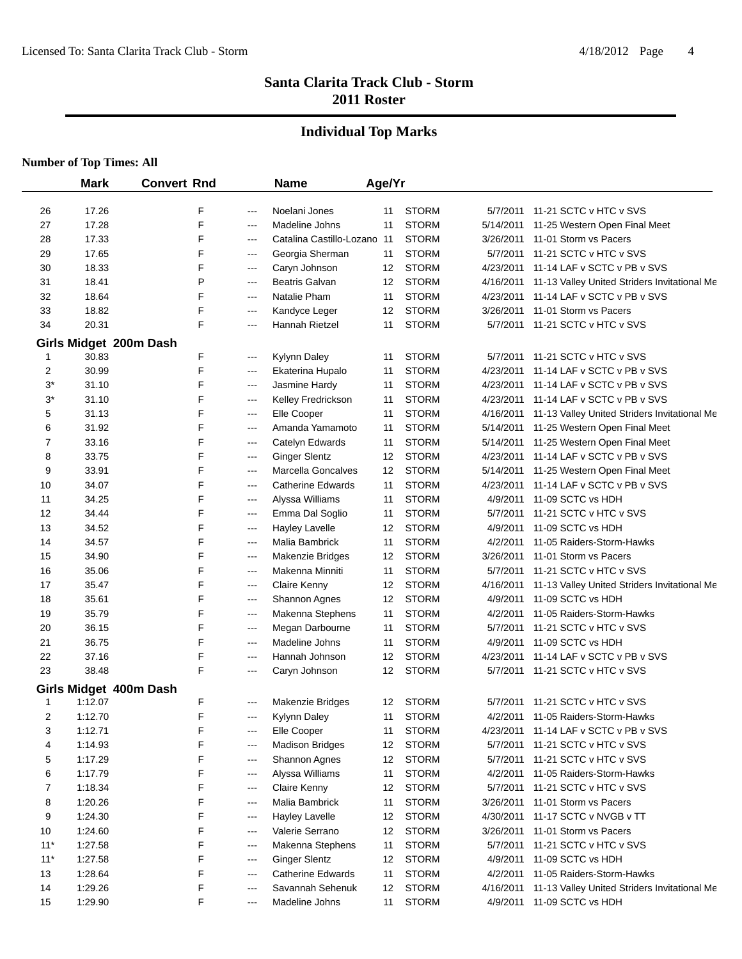## **Individual Top Marks**

|       | <b>Mark</b>            | <b>Convert Rnd</b> |                        | <b>Name</b>              | Age/Yr |              |           |                                              |
|-------|------------------------|--------------------|------------------------|--------------------------|--------|--------------|-----------|----------------------------------------------|
| 26    | 17.26                  | F                  | ---                    | Noelani Jones            | 11     | <b>STORM</b> |           | 5/7/2011 11-21 SCTC v HTC v SVS              |
| 27    | 17.28                  | F                  | ---                    | Madeline Johns           | 11     | <b>STORM</b> | 5/14/2011 | 11-25 Western Open Final Meet                |
| 28    | 17.33                  | F                  | ---                    | Catalina Castillo-Lozanc | 11     | <b>STORM</b> | 3/26/2011 | 11-01 Storm vs Pacers                        |
| 29    | 17.65                  | F                  | ---                    | Georgia Sherman          | 11     | <b>STORM</b> | 5/7/2011  | 11-21 SCTC v HTC v SVS                       |
| 30    | 18.33                  | F                  | ---                    | Caryn Johnson            | 12     | <b>STORM</b> | 4/23/2011 | 11-14 LAF v SCTC v PB v SVS                  |
| 31    | 18.41                  | P                  | $---$                  | Beatris Galvan           | 12     | <b>STORM</b> | 4/16/2011 | 11-13 Valley United Striders Invitational Me |
| 32    | 18.64                  | F                  | $---$                  | Natalie Pham             | 11     | <b>STORM</b> | 4/23/2011 | 11-14 LAF v SCTC v PB v SVS                  |
| 33    | 18.82                  | F                  | $--$                   | Kandyce Leger            | 12     | <b>STORM</b> | 3/26/2011 | 11-01 Storm vs Pacers                        |
| 34    | 20.31                  | F                  | ---                    | Hannah Rietzel           | 11     | <b>STORM</b> | 5/7/2011  | 11-21 SCTC v HTC v SVS                       |
|       | Girls Midget 200m Dash |                    |                        |                          |        |              |           |                                              |
| 1     | 30.83                  | F                  | $---$                  | Kylynn Daley             | 11     | <b>STORM</b> | 5/7/2011  | 11-21 SCTC v HTC v SVS                       |
| 2     | 30.99                  | F                  | $---$                  | Ekaterina Hupalo         | 11     | <b>STORM</b> | 4/23/2011 | 11-14 LAF v SCTC v PB v SVS                  |
| $3^*$ | 31.10                  | F                  | $---$                  | Jasmine Hardy            | 11     | <b>STORM</b> | 4/23/2011 | 11-14 LAF v SCTC v PB v SVS                  |
| $3^*$ | 31.10                  | F                  | ---                    | Kelley Fredrickson       | 11     | <b>STORM</b> | 4/23/2011 | 11-14 LAF v SCTC v PB v SVS                  |
| 5     | 31.13                  | F                  | ---                    | Elle Cooper              | 11     | <b>STORM</b> | 4/16/2011 | 11-13 Valley United Striders Invitational Me |
| 6     | 31.92                  | F                  | ---                    | Amanda Yamamoto          | 11     | <b>STORM</b> | 5/14/2011 | 11-25 Western Open Final Meet                |
| 7     | 33.16                  | F                  | ---                    | Catelyn Edwards          | 11     | <b>STORM</b> | 5/14/2011 | 11-25 Western Open Final Meet                |
| 8     | 33.75                  | F                  | $--$                   | <b>Ginger Slentz</b>     | 12     | <b>STORM</b> | 4/23/2011 | 11-14 LAF v SCTC v PB v SVS                  |
| 9     | 33.91                  | F                  | $---$                  | Marcella Goncalves       | 12     | <b>STORM</b> | 5/14/2011 | 11-25 Western Open Final Meet                |
| 10    | 34.07                  | F                  | $---$                  | <b>Catherine Edwards</b> | 11     | <b>STORM</b> | 4/23/2011 | 11-14 LAF v SCTC v PB v SVS                  |
| 11    | 34.25                  | F                  | $---$                  | Alyssa Williams          | 11     | <b>STORM</b> | 4/9/2011  | 11-09 SCTC vs HDH                            |
| 12    | 34.44                  | F                  | $---$                  | Emma Dal Soglio          | 11     | <b>STORM</b> | 5/7/2011  | 11-21 SCTC v HTC v SVS                       |
| 13    | 34.52                  | F                  | ---                    | <b>Hayley Lavelle</b>    | 12     | <b>STORM</b> | 4/9/2011  | 11-09 SCTC vs HDH                            |
| 14    | 34.57                  | F                  | ---                    | Malia Bambrick           | 11     | <b>STORM</b> | 4/2/2011  | 11-05 Raiders-Storm-Hawks                    |
| 15    | 34.90                  | F                  | $\scriptstyle\cdots$   | Makenzie Bridges         | 12     | <b>STORM</b> | 3/26/2011 | 11-01 Storm vs Pacers                        |
| 16    | 35.06                  | F                  | $\qquad \qquad \cdots$ | Makenna Minniti          | 11     | <b>STORM</b> | 5/7/2011  | 11-21 SCTC v HTC v SVS                       |
| 17    | 35.47                  | F                  | $\cdots$               | Claire Kenny             | 12     | <b>STORM</b> | 4/16/2011 | 11-13 Valley United Striders Invitational Me |
| 18    | 35.61                  | F                  | $\qquad \qquad \cdots$ | <b>Shannon Agnes</b>     | 12     | <b>STORM</b> | 4/9/2011  | 11-09 SCTC vs HDH                            |
| 19    | 35.79                  | F                  | $\cdots$               | Makenna Stephens         | 11     | <b>STORM</b> | 4/2/2011  | 11-05 Raiders-Storm-Hawks                    |
| 20    | 36.15                  | F                  | $\qquad \qquad \cdots$ | Megan Darbourne          | 11     | <b>STORM</b> | 5/7/2011  | 11-21 SCTC v HTC v SVS                       |
| 21    | 36.75                  | F                  | $\qquad \qquad \cdots$ | Madeline Johns           | 11     | <b>STORM</b> | 4/9/2011  | 11-09 SCTC vs HDH                            |
| 22    | 37.16                  | F                  | ---                    | Hannah Johnson           | 12     | <b>STORM</b> | 4/23/2011 | 11-14 LAF v SCTC v PB v SVS                  |
| 23    | 38.48                  | F                  | ---                    | Caryn Johnson            | 12     | <b>STORM</b> | 5/7/2011  | 11-21 SCTC v HTC v SVS                       |
|       | Girls Midget 400m Dash |                    |                        |                          |        |              |           |                                              |
| 1     | 1:12.07                | F                  | ---                    | Makenzie Bridges         | 12     | <b>STORM</b> | 5/7/2011  | 11-21 SCTC v HTC v SVS                       |
| 2     | 1:12.70                | F                  | ---                    | <b>Kylynn Daley</b>      | 11     | <b>STORM</b> | 4/2/2011  | 11-05 Raiders-Storm-Hawks                    |
| 3     | 1:12.71                | F                  | ---                    | Elle Cooper              | 11     | <b>STORM</b> | 4/23/2011 | 11-14 LAF v SCTC v PB v SVS                  |
| 4     | 1:14.93                | F                  | $---$                  | <b>Madison Bridges</b>   | 12     | <b>STORM</b> | 5/7/2011  | 11-21 SCTC v HTC v SVS                       |
| 5     | 1:17.29                | F                  | $\qquad \qquad \cdots$ | Shannon Agnes            | 12     | <b>STORM</b> | 5/7/2011  | 11-21 SCTC v HTC v SVS                       |
| 6     | 1:17.79                | F                  | $\qquad \qquad \cdots$ | Alyssa Williams          | 11     | <b>STORM</b> | 4/2/2011  | 11-05 Raiders-Storm-Hawks                    |
| 7     | 1:18.34                | F                  | $\qquad \qquad \cdots$ | Claire Kenny             | 12     | <b>STORM</b> | 5/7/2011  | 11-21 SCTC v HTC v SVS                       |
| 8     | 1:20.26                | F                  | $\qquad \qquad \cdots$ | Malia Bambrick           | 11     | <b>STORM</b> | 3/26/2011 | 11-01 Storm vs Pacers                        |
| 9     | 1:24.30                | F                  | $--$                   | <b>Hayley Lavelle</b>    | 12     | <b>STORM</b> | 4/30/2011 | 11-17 SCTC v NVGB v TT                       |
| 10    | 1:24.60                | F                  | $\qquad \qquad \cdots$ | Valerie Serrano          | 12     | <b>STORM</b> | 3/26/2011 | 11-01 Storm vs Pacers                        |
| $11*$ | 1:27.58                | F                  | ---                    | Makenna Stephens         | 11     | <b>STORM</b> | 5/7/2011  | 11-21 SCTC v HTC v SVS                       |
| $11*$ | 1:27.58                | F                  | $\qquad \qquad \cdots$ | <b>Ginger Slentz</b>     | 12     | <b>STORM</b> | 4/9/2011  | 11-09 SCTC vs HDH                            |
| 13    | 1:28.64                | F                  | ---                    | <b>Catherine Edwards</b> | 11     | <b>STORM</b> | 4/2/2011  | 11-05 Raiders-Storm-Hawks                    |
| 14    | 1:29.26                | F                  | ---                    | Savannah Sehenuk         | 12     | <b>STORM</b> | 4/16/2011 | 11-13 Valley United Striders Invitational Me |
| 15    | 1:29.90                | F                  | ---                    | Madeline Johns           | 11     | <b>STORM</b> | 4/9/2011  | 11-09 SCTC vs HDH                            |
|       |                        |                    |                        |                          |        |              |           |                                              |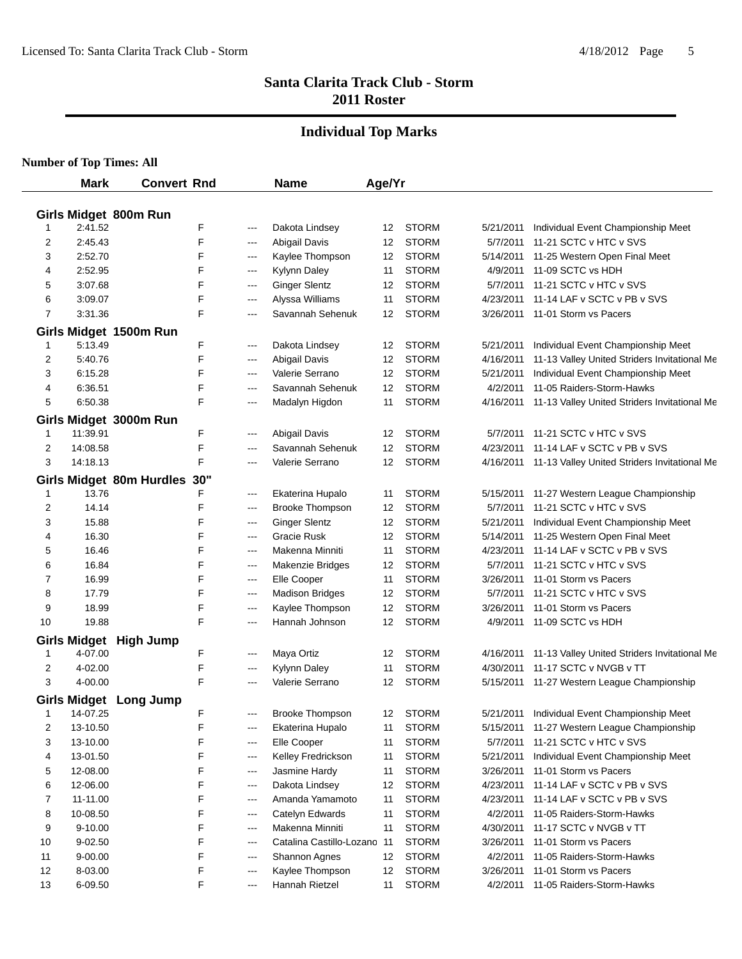#### **Individual Top Marks**

|              | <b>Mark</b> | <b>Convert Rnd</b>           |        |       | <b>Name</b>                     | Age/Yr |              |           |                                              |
|--------------|-------------|------------------------------|--------|-------|---------------------------------|--------|--------------|-----------|----------------------------------------------|
|              |             |                              |        |       |                                 |        |              |           |                                              |
|              |             | Girls Midget 800m Run        |        |       |                                 |        |              |           |                                              |
| $\mathbf{1}$ | 2:41.52     |                              | F      | ---   | Dakota Lindsey                  | 12     | <b>STORM</b> | 5/21/2011 | Individual Event Championship Meet           |
| 2            | 2:45.43     |                              | F      | $---$ | <b>Abigail Davis</b>            | 12     | <b>STORM</b> | 5/7/2011  | 11-21 SCTC v HTC v SVS                       |
| 3            | 2:52.70     |                              | F      | ---   | Kaylee Thompson                 | 12     | <b>STORM</b> | 5/14/2011 | 11-25 Western Open Final Meet                |
| 4            | 2:52.95     |                              | F      | $---$ | Kylynn Daley                    | 11     | <b>STORM</b> | 4/9/2011  | 11-09 SCTC vs HDH                            |
| 5            | 3:07.68     |                              | F      | $---$ | <b>Ginger Slentz</b>            | 12     | <b>STORM</b> | 5/7/2011  | 11-21 SCTC v HTC v SVS                       |
| 6            | 3:09.07     |                              | F      | ---   | Alyssa Williams                 | 11     | <b>STORM</b> | 4/23/2011 | 11-14 LAF v SCTC v PB v SVS                  |
| 7            | 3:31.36     |                              | F      | $---$ | Savannah Sehenuk                | 12     | <b>STORM</b> | 3/26/2011 | 11-01 Storm vs Pacers                        |
|              |             | Girls Midget 1500m Run       |        |       |                                 |        |              |           |                                              |
| 1            | 5:13.49     |                              | F      | $---$ | Dakota Lindsey                  | 12     | <b>STORM</b> | 5/21/2011 | Individual Event Championship Meet           |
| 2            | 5:40.76     |                              | F      | ---   | <b>Abigail Davis</b>            | 12     | <b>STORM</b> | 4/16/2011 | 11-13 Valley United Striders Invitational Me |
| 3            | 6:15.28     |                              | F      | ---   | Valerie Serrano                 | 12     | <b>STORM</b> | 5/21/2011 | Individual Event Championship Meet           |
| 4            | 6:36.51     |                              | F      | ---   | Savannah Sehenuk                | 12     | <b>STORM</b> | 4/2/2011  | 11-05 Raiders-Storm-Hawks                    |
| 5            | 6:50.38     |                              | F      | $---$ | Madalyn Higdon                  | 11     | <b>STORM</b> | 4/16/2011 | 11-13 Valley United Striders Invitational Me |
|              |             | Girls Midget 3000m Run       |        |       |                                 |        |              |           |                                              |
| 1            | 11:39.91    |                              | F      | ---   | <b>Abigail Davis</b>            | 12     | <b>STORM</b> | 5/7/2011  | 11-21 SCTC v HTC v SVS                       |
| 2            | 14:08.58    |                              | F      | ---   | Savannah Sehenuk                | 12     | <b>STORM</b> | 4/23/2011 | 11-14 LAF v SCTC v PB v SVS                  |
| 3            | 14:18.13    |                              | F      | ---   | Valerie Serrano                 | 12     | <b>STORM</b> | 4/16/2011 | 11-13 Valley United Striders Invitational Me |
|              |             | Girls Midget 80m Hurdles 30" |        |       |                                 |        |              |           |                                              |
| 1            | 13.76       |                              | F      | ---   | Ekaterina Hupalo                | 11     | <b>STORM</b> | 5/15/2011 | 11-27 Western League Championship            |
| 2            | 14.14       |                              | F      | ---   | <b>Brooke Thompson</b>          | 12     | <b>STORM</b> | 5/7/2011  | 11-21 SCTC v HTC v SVS                       |
| 3            | 15.88       |                              | F      | ---   | <b>Ginger Slentz</b>            | 12     | <b>STORM</b> | 5/21/2011 | Individual Event Championship Meet           |
| 4            | 16.30       |                              | F      | $---$ | Gracie Rusk                     | 12     | <b>STORM</b> | 5/14/2011 | 11-25 Western Open Final Meet                |
| 5            | 16.46       |                              | F      | $---$ | Makenna Minniti                 | 11     | <b>STORM</b> | 4/23/2011 | 11-14 LAF v SCTC v PB v SVS                  |
| 6            | 16.84       |                              | F      | $---$ | Makenzie Bridges                | 12     | <b>STORM</b> | 5/7/2011  | 11-21 SCTC v HTC v SVS                       |
| 7            | 16.99       |                              | F      | ---   | Elle Cooper                     | 11     | <b>STORM</b> | 3/26/2011 | 11-01 Storm vs Pacers                        |
| 8            | 17.79       |                              | F      | $---$ | <b>Madison Bridges</b>          | 12     | <b>STORM</b> | 5/7/2011  | 11-21 SCTC v HTC v SVS                       |
| 9            | 18.99       |                              | F      | $---$ | Kaylee Thompson                 | 12     | <b>STORM</b> | 3/26/2011 | 11-01 Storm vs Pacers                        |
| 10           | 19.88       |                              | F      | ---   | Hannah Johnson                  | 12     | <b>STORM</b> | 4/9/2011  | 11-09 SCTC vs HDH                            |
|              |             |                              |        |       |                                 |        |              |           |                                              |
|              | 4-07.00     | Girls Midget High Jump       | F      |       |                                 |        | <b>STORM</b> | 4/16/2011 | 11-13 Valley United Striders Invitational Me |
| 1            |             |                              |        | ---   | Maya Ortiz                      | 12     | <b>STORM</b> |           | 11-17 SCTC v NVGB v TT                       |
| 2<br>3       | 4-02.00     |                              | F<br>F | ---   | Kylynn Daley<br>Valerie Serrano | 11     |              | 4/30/2011 |                                              |
|              | 4-00.00     |                              |        | ---   |                                 | 12     | <b>STORM</b> |           | 5/15/2011 11-27 Western League Championship  |
|              |             | Girls Midget Long Jump       |        |       |                                 |        |              |           |                                              |
| 1            | 14-07.25    |                              | F      | ---   | <b>Brooke Thompson</b>          | 12     | <b>STORM</b> |           | 5/21/2011 Individual Event Championship Meet |
| 2            | 13-10.50    |                              | F      | $---$ | Ekaterina Hupalo                | 11     | <b>STORM</b> | 5/15/2011 | 11-27 Western League Championship            |
| 3            | 13-10.00    |                              | F      | ---   | Elle Cooper                     | 11     | <b>STORM</b> | 5/7/2011  | 11-21 SCTC v HTC v SVS                       |
| 4            | 13-01.50    |                              | F      | ---   | Kelley Fredrickson              | 11     | <b>STORM</b> | 5/21/2011 | Individual Event Championship Meet           |
| 5            | 12-08.00    |                              | F      | ---   | Jasmine Hardy                   | 11     | <b>STORM</b> | 3/26/2011 | 11-01 Storm vs Pacers                        |
| 6            | 12-06.00    |                              | F      | ---   | Dakota Lindsey                  | 12     | <b>STORM</b> | 4/23/2011 | 11-14 LAF v SCTC v PB v SVS                  |
| 7            | 11-11.00    |                              | F      | $---$ | Amanda Yamamoto                 | 11     | <b>STORM</b> | 4/23/2011 | 11-14 LAF v SCTC v PB v SVS                  |
| 8            | 10-08.50    |                              | F      | ---   | Catelyn Edwards                 | 11     | <b>STORM</b> | 4/2/2011  | 11-05 Raiders-Storm-Hawks                    |
| 9            | $9 - 10.00$ |                              | F      | ---   | Makenna Minniti                 | 11     | <b>STORM</b> | 4/30/2011 | 11-17 SCTC v NVGB v TT                       |
| 10           | 9-02.50     |                              | F      | ---   | Catalina Castillo-Lozanc        | -11    | <b>STORM</b> | 3/26/2011 | 11-01 Storm vs Pacers                        |
| 11           | 9-00.00     |                              | F      | ---   | Shannon Agnes                   | 12     | <b>STORM</b> | 4/2/2011  | 11-05 Raiders-Storm-Hawks                    |
| 12           | 8-03.00     |                              | F      | ---   | Kaylee Thompson                 | 12     | <b>STORM</b> | 3/26/2011 | 11-01 Storm vs Pacers                        |
| 13           | 6-09.50     |                              | F      | ---   | Hannah Rietzel                  | 11     | <b>STORM</b> | 4/2/2011  | 11-05 Raiders-Storm-Hawks                    |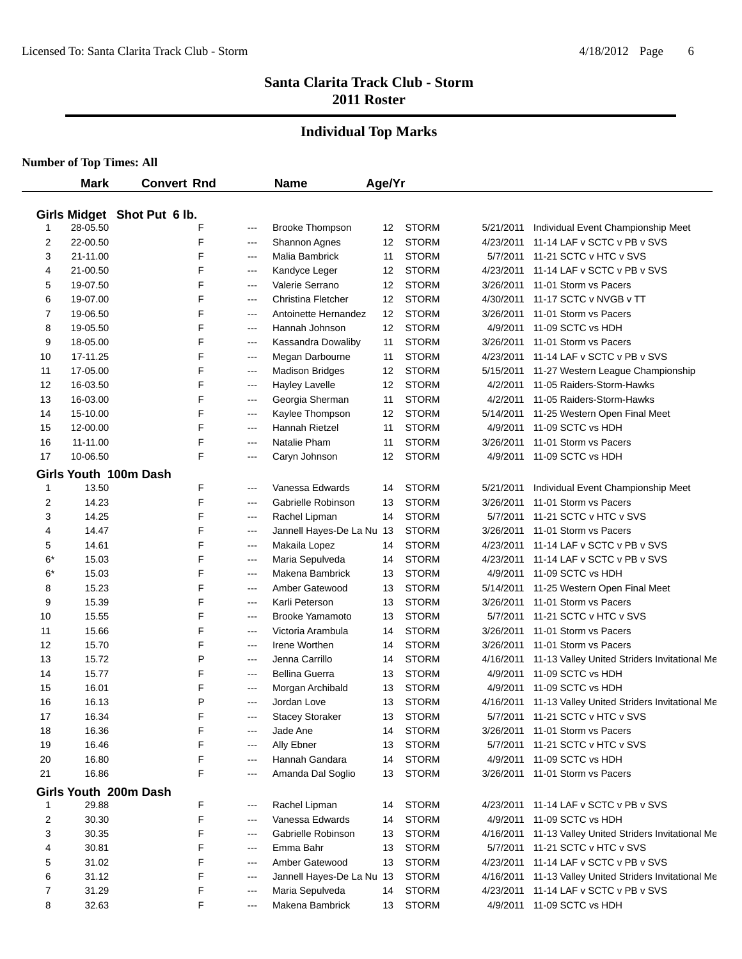#### **Individual Top Marks**

|             | <b>Mark</b> | <b>Convert Rnd</b>          |       | <b>Name</b>               | Age/Yr |              |           |                                              |
|-------------|-------------|-----------------------------|-------|---------------------------|--------|--------------|-----------|----------------------------------------------|
|             |             | Girls Midget Shot Put 6 lb. |       |                           |        |              |           |                                              |
| $\mathbf 1$ | 28-05.50    | F                           | ---   | <b>Brooke Thompson</b>    | 12     | <b>STORM</b> | 5/21/2011 | Individual Event Championship Meet           |
| 2           | 22-00.50    | F                           | $---$ | Shannon Agnes             | 12     | <b>STORM</b> | 4/23/2011 | 11-14 LAF v SCTC v PB v SVS                  |
| 3           | 21-11.00    | F                           | $---$ | Malia Bambrick            | 11     | <b>STORM</b> | 5/7/2011  | 11-21 SCTC v HTC v SVS                       |
| 4           | 21-00.50    | F                           | $---$ | Kandyce Leger             | 12     | <b>STORM</b> | 4/23/2011 | 11-14 LAF v SCTC v PB v SVS                  |
| 5           | 19-07.50    | F                           | $---$ | Valerie Serrano           | 12     | <b>STORM</b> | 3/26/2011 | 11-01 Storm vs Pacers                        |
| 6           | 19-07.00    | F                           | ---   | Christina Fletcher        | 12     | <b>STORM</b> | 4/30/2011 | 11-17 SCTC v NVGB v TT                       |
| 7           | 19-06.50    | F                           | ---   | Antoinette Hernandez      | 12     | <b>STORM</b> | 3/26/2011 | 11-01 Storm vs Pacers                        |
| 8           | 19-05.50    | F                           | ---   | Hannah Johnson            | 12     | <b>STORM</b> | 4/9/2011  | 11-09 SCTC vs HDH                            |
| 9           | 18-05.00    | F                           | ---   | Kassandra Dowaliby        | 11     | <b>STORM</b> | 3/26/2011 | 11-01 Storm vs Pacers                        |
| 10          | 17-11.25    | F                           | ---   | Megan Darbourne           | 11     | <b>STORM</b> | 4/23/2011 | 11-14 LAF v SCTC v PB v SVS                  |
| 11          | 17-05.00    | F                           | $---$ | <b>Madison Bridges</b>    | 12     | <b>STORM</b> | 5/15/2011 | 11-27 Western League Championship            |
| 12          | 16-03.50    | F                           | $---$ | <b>Hayley Lavelle</b>     | 12     | <b>STORM</b> | 4/2/2011  | 11-05 Raiders-Storm-Hawks                    |
| 13          | 16-03.00    | F                           | ---   | Georgia Sherman           | 11     | <b>STORM</b> | 4/2/2011  | 11-05 Raiders-Storm-Hawks                    |
| 14          | 15-10.00    | F                           | ---   | Kaylee Thompson           | 12     | <b>STORM</b> | 5/14/2011 | 11-25 Western Open Final Meet                |
| 15          | 12-00.00    | F                           | ---   | Hannah Rietzel            | 11     | <b>STORM</b> | 4/9/2011  | 11-09 SCTC vs HDH                            |
| 16          | 11-11.00    | F                           | ---   | Natalie Pham              | 11     | <b>STORM</b> | 3/26/2011 | 11-01 Storm vs Pacers                        |
| 17          | 10-06.50    | F                           | ---   | Caryn Johnson             | 12     | <b>STORM</b> | 4/9/2011  | 11-09 SCTC vs HDH                            |
|             |             | Girls Youth 100m Dash       |       |                           |        |              |           |                                              |
| 1           | 13.50       | F                           | ---   | Vanessa Edwards           | 14     | <b>STORM</b> | 5/21/2011 | Individual Event Championship Meet           |
| 2           | 14.23       | F                           | ---   | Gabrielle Robinson        | 13     | <b>STORM</b> | 3/26/2011 | 11-01 Storm vs Pacers                        |
| 3           | 14.25       | F                           | $---$ | Rachel Lipman             | 14     | <b>STORM</b> | 5/7/2011  | 11-21 SCTC v HTC v SVS                       |
| 4           | 14.47       | F                           | ---   | Jannell Hayes-De La Nu 13 |        | <b>STORM</b> | 3/26/2011 | 11-01 Storm vs Pacers                        |
| 5           | 14.61       | F                           | ---   | Makaila Lopez             | 14     | <b>STORM</b> | 4/23/2011 | 11-14 LAF v SCTC v PB v SVS                  |
| 6*          | 15.03       | F                           | ---   | Maria Sepulveda           | 14     | <b>STORM</b> | 4/23/2011 | 11-14 LAF v SCTC v PB v SVS                  |
| 6*          | 15.03       | F                           | ---   | Makena Bambrick           | 13     | <b>STORM</b> | 4/9/2011  | 11-09 SCTC vs HDH                            |
| 8           | 15.23       | F                           | ---   | Amber Gatewood            | 13     | <b>STORM</b> | 5/14/2011 | 11-25 Western Open Final Meet                |
| 9           | 15.39       | F                           | ---   | Karli Peterson            | 13     | <b>STORM</b> | 3/26/2011 | 11-01 Storm vs Pacers                        |
| 10          | 15.55       | F                           | $---$ | <b>Brooke Yamamoto</b>    | 13     | <b>STORM</b> | 5/7/2011  | 11-21 SCTC v HTC v SVS                       |
| 11          | 15.66       | F                           | $---$ | Victoria Arambula         | 14     | <b>STORM</b> | 3/26/2011 | 11-01 Storm vs Pacers                        |
| 12          | 15.70       | F                           | $---$ | Irene Worthen             | 14     | <b>STORM</b> | 3/26/2011 | 11-01 Storm vs Pacers                        |
| 13          | 15.72       | P                           | ---   | Jenna Carrillo            | 14     | <b>STORM</b> | 4/16/2011 | 11-13 Valley United Striders Invitational Me |
| 14          | 15.77       | F                           | ---   | <b>Bellina Guerra</b>     | 13     | <b>STORM</b> | 4/9/2011  | 11-09 SCTC vs HDH                            |
| 15          | 16.01       | F                           | ---   | Morgan Archibald          | 13     | <b>STORM</b> | 4/9/2011  | 11-09 SCTC vs HDH                            |
| 16          | 16.13       | P                           | ---   | Jordan Love               | 13     | <b>STORM</b> | 4/16/2011 | 11-13 Valley United Striders Invitational Me |
| 17          | 16.34       | F                           | ---   | <b>Stacey Storaker</b>    | 13     | <b>STORM</b> | 5/7/2011  | 11-21 SCTC v HTC v SVS                       |
| 18          | 16.36       | F                           | $---$ | Jade Ane                  | 14     | <b>STORM</b> | 3/26/2011 | 11-01 Storm vs Pacers                        |
| 19          | 16.46       |                             | $---$ | Ally Ebner                | 13     | <b>STORM</b> | 5/7/2011  | 11-21 SCTC v HTC v SVS                       |
| 20          | 16.80       | F                           | $---$ | Hannah Gandara            | 14     | <b>STORM</b> | 4/9/2011  | 11-09 SCTC vs HDH                            |
| 21          | 16.86       | F                           | ---   | Amanda Dal Soglio         | 13     | <b>STORM</b> | 3/26/2011 | 11-01 Storm vs Pacers                        |
|             |             |                             |       |                           |        |              |           |                                              |
|             |             | Girls Youth 200m Dash       |       |                           |        |              |           |                                              |
| 1           | 29.88       | F                           | ---   | Rachel Lipman             | 14     | <b>STORM</b> | 4/23/2011 | 11-14 LAF v SCTC v PB v SVS                  |
| 2           | 30.30       | F                           | $---$ | Vanessa Edwards           | 14     | <b>STORM</b> | 4/9/2011  | 11-09 SCTC vs HDH                            |
| 3           | 30.35       | F                           | $---$ | Gabrielle Robinson        | 13     | <b>STORM</b> | 4/16/2011 | 11-13 Valley United Striders Invitational Me |
| 4           | 30.81       | F                           | ---   | Emma Bahr                 | 13     | <b>STORM</b> | 5/7/2011  | 11-21 SCTC v HTC v SVS                       |
| 5           | 31.02       | F                           | ---   | Amber Gatewood            | 13     | <b>STORM</b> | 4/23/2011 | 11-14 LAF v SCTC v PB v SVS                  |
| 6           | 31.12       | F                           | ---   | Jannell Hayes-De La Nu 13 |        | <b>STORM</b> | 4/16/2011 | 11-13 Valley United Striders Invitational Me |
| 7           | 31.29       | F                           | ---   | Maria Sepulveda           | 14     | <b>STORM</b> | 4/23/2011 | 11-14 LAF v SCTC v PB v SVS                  |
| 8           | 32.63       | F                           | ---   | Makena Bambrick           | 13     | <b>STORM</b> | 4/9/2011  | 11-09 SCTC vs HDH                            |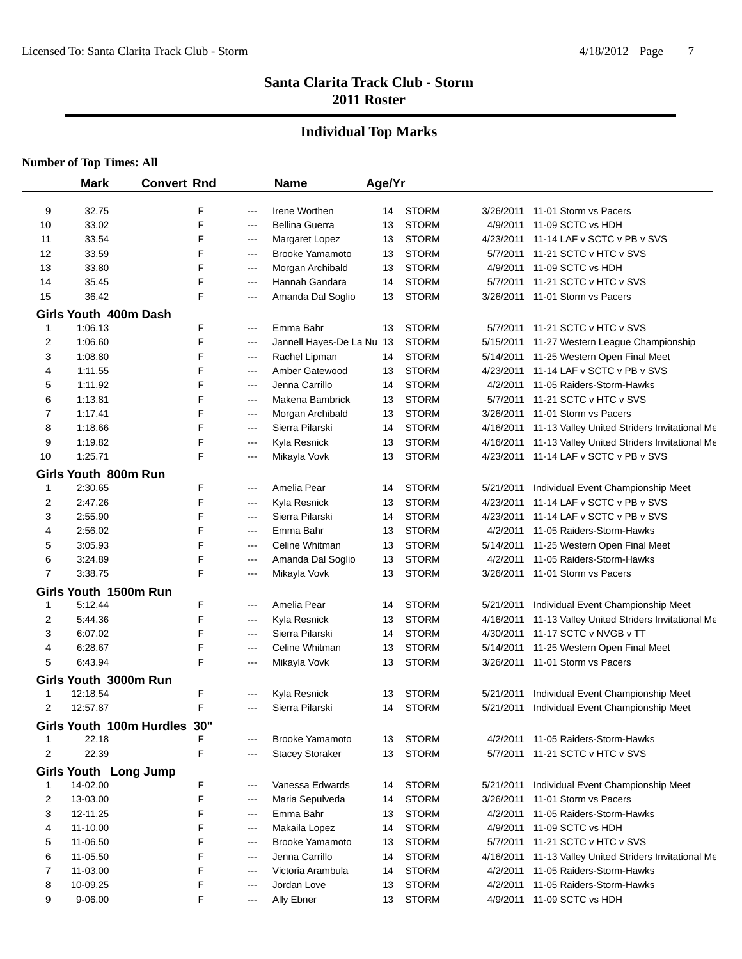## **Individual Top Marks**

|              | <b>Mark</b>           | <b>Convert Rnd</b>       |            |       | <b>Name</b>                            | Age/Yr |                              |           |                                              |
|--------------|-----------------------|--------------------------|------------|-------|----------------------------------------|--------|------------------------------|-----------|----------------------------------------------|
|              |                       |                          |            |       |                                        |        |                              |           |                                              |
| 9            | 32.75<br>33.02        |                          | F<br>F     | ---   | Irene Worthen<br><b>Bellina Guerra</b> | 14     | <b>STORM</b><br><b>STORM</b> | 3/26/2011 | 11-01 Storm vs Pacers<br>11-09 SCTC vs HDH   |
| 10           |                       |                          |            | ---   |                                        | 13     |                              | 4/9/2011  |                                              |
| 11           | 33.54                 |                          | F          | ---   | Margaret Lopez                         | 13     | <b>STORM</b>                 | 4/23/2011 | 11-14 LAF v SCTC v PB v SVS                  |
| 12           | 33.59                 |                          | F          | ---   | <b>Brooke Yamamoto</b>                 | 13     | <b>STORM</b>                 | 5/7/2011  | 11-21 SCTC v HTC v SVS                       |
| 13           | 33.80                 |                          | F          | ---   | Morgan Archibald                       | 13     | <b>STORM</b>                 | 4/9/2011  | 11-09 SCTC vs HDH                            |
| 14           | 35.45                 |                          | F          | ---   | Hannah Gandara                         | 14     | <b>STORM</b>                 | 5/7/2011  | 11-21 SCTC v HTC v SVS                       |
| 15           | 36.42                 |                          | F          | ---   | Amanda Dal Soglio                      | 13     | <b>STORM</b>                 | 3/26/2011 | 11-01 Storm vs Pacers                        |
|              | Girls Youth 400m Dash |                          |            |       |                                        |        |                              |           |                                              |
| $\mathbf{1}$ | 1:06.13               |                          | F          | ---   | Emma Bahr                              | 13     | <b>STORM</b>                 | 5/7/2011  | 11-21 SCTC v HTC v SVS                       |
| 2            | 1:06.60               |                          | F          | ---   | Jannell Hayes-De La Nu 13              |        | <b>STORM</b>                 | 5/15/2011 | 11-27 Western League Championship            |
| 3            | 1:08.80               |                          | F          | ---   | Rachel Lipman                          | 14     | <b>STORM</b>                 | 5/14/2011 | 11-25 Western Open Final Meet                |
| 4            | 1:11.55               |                          | F          | $---$ | Amber Gatewood                         | 13     | <b>STORM</b>                 | 4/23/2011 | 11-14 LAF v SCTC v PB v SVS                  |
| 5            | 1:11.92               |                          | F          | $---$ | Jenna Carrillo                         | 14     | <b>STORM</b>                 | 4/2/2011  | 11-05 Raiders-Storm-Hawks                    |
| 6            | 1:13.81               |                          | F          | ---   | Makena Bambrick                        | 13     | <b>STORM</b>                 | 5/7/2011  | 11-21 SCTC v HTC v SVS                       |
| 7            | 1:17.41               |                          | F          | ---   | Morgan Archibald                       | 13     | <b>STORM</b>                 | 3/26/2011 | 11-01 Storm vs Pacers                        |
| 8            | 1:18.66               |                          | F          | ---   | Sierra Pilarski                        | 14     | <b>STORM</b>                 | 4/16/2011 | 11-13 Valley United Striders Invitational Me |
| 9            | 1:19.82               |                          | F          | $---$ | Kyla Resnick                           | 13     | <b>STORM</b>                 | 4/16/2011 | 11-13 Valley United Striders Invitational Me |
| 10           | 1:25.71               |                          | F          | ---   | Mikayla Vovk                           | 13     | <b>STORM</b>                 | 4/23/2011 | 11-14 LAF v SCTC v PB v SVS                  |
|              | Girls Youth 800m Run  |                          |            |       |                                        |        |                              |           |                                              |
| $\mathbf{1}$ | 2:30.65               |                          | F          | ---   | Amelia Pear                            | 14     | <b>STORM</b>                 | 5/21/2011 | Individual Event Championship Meet           |
| 2            | 2:47.26               |                          | F          | ---   | Kyla Resnick                           | 13     | <b>STORM</b>                 | 4/23/2011 | 11-14 LAF v SCTC v PB v SVS                  |
| 3            | 2:55.90               |                          | F          | ---   | Sierra Pilarski                        | 14     | <b>STORM</b>                 | 4/23/2011 | 11-14 LAF v SCTC v PB v SVS                  |
| 4            | 2:56.02               |                          | F          | ---   | Emma Bahr                              | 13     | <b>STORM</b>                 | 4/2/2011  | 11-05 Raiders-Storm-Hawks                    |
| 5            | 3:05.93               |                          | F          | ---   | Celine Whitman                         | 13     | <b>STORM</b>                 | 5/14/2011 | 11-25 Western Open Final Meet                |
| 6            | 3:24.89               |                          | F          | ---   | Amanda Dal Soglio                      | 13     | <b>STORM</b>                 | 4/2/2011  | 11-05 Raiders-Storm-Hawks                    |
| 7            | 3:38.75               |                          | F          | ---   | Mikayla Vovk                           | 13     | <b>STORM</b>                 | 3/26/2011 | 11-01 Storm vs Pacers                        |
|              | Girls Youth 1500m Run |                          |            |       |                                        |        |                              |           |                                              |
| $\mathbf{1}$ | 5:12.44               |                          | F          | $---$ | Amelia Pear                            | 14     | <b>STORM</b>                 | 5/21/2011 | Individual Event Championship Meet           |
| 2            | 5:44.36               |                          | F          | ---   | Kyla Resnick                           | 13     | <b>STORM</b>                 | 4/16/2011 | 11-13 Valley United Striders Invitational Me |
| 3            | 6:07.02               |                          | F          | ---   | Sierra Pilarski                        | 14     | <b>STORM</b>                 | 4/30/2011 | 11-17 SCTC v NVGB v TT                       |
| 4            | 6:28.67               |                          | F          | $---$ | Celine Whitman                         | 13     | <b>STORM</b>                 | 5/14/2011 | 11-25 Western Open Final Meet                |
| 5            | 6:43.94               |                          | F          | ---   | Mikayla Vovk                           | 13     | <b>STORM</b>                 | 3/26/2011 | 11-01 Storm vs Pacers                        |
|              | Girls Youth 3000m Run |                          |            |       |                                        |        |                              |           |                                              |
| 1            | 12:18.54              |                          | F          | $---$ | Kyla Resnick                           | 13     | <b>STORM</b>                 | 5/21/2011 | Individual Event Championship Meet           |
| 2            | 12:57.87              |                          | F          | ---   | Sierra Pilarski                        | 14     | <b>STORM</b>                 | 5/21/2011 | Individual Event Championship Meet           |
|              |                       |                          |            |       |                                        |        |                              |           |                                              |
|              |                       | Girls Youth 100m Hurdles | <b>30"</b> |       |                                        |        |                              |           |                                              |
| 1            | 22.18                 |                          | F          | ---   | <b>Brooke Yamamoto</b>                 | 13     | <b>STORM</b>                 | 4/2/2011  | 11-05 Raiders-Storm-Hawks                    |
| 2            | 22.39                 |                          | F          | ---   | <b>Stacey Storaker</b>                 | 13     | <b>STORM</b>                 | 5/7/2011  | 11-21 SCTC v HTC v SVS                       |
|              | Girls Youth Long Jump |                          |            |       |                                        |        |                              |           |                                              |
| 1            | 14-02.00              |                          | F          | ---   | Vanessa Edwards                        | 14     | <b>STORM</b>                 | 5/21/2011 | Individual Event Championship Meet           |
| 2            | 13-03.00              |                          | F          | $---$ | Maria Sepulveda                        | 14     | <b>STORM</b>                 | 3/26/2011 | 11-01 Storm vs Pacers                        |
| 3            | 12-11.25              |                          | F          | $---$ | Emma Bahr                              | 13     | <b>STORM</b>                 | 4/2/2011  | 11-05 Raiders-Storm-Hawks                    |
| 4            | 11-10.00              |                          | F          | $---$ | Makaila Lopez                          | 14     | <b>STORM</b>                 | 4/9/2011  | 11-09 SCTC vs HDH                            |
| 5            | 11-06.50              |                          | F          | $---$ | <b>Brooke Yamamoto</b>                 | 13     | <b>STORM</b>                 | 5/7/2011  | 11-21 SCTC v HTC v SVS                       |
| 6            | 11-05.50              |                          | F          | ---   | Jenna Carrillo                         | 14     | <b>STORM</b>                 | 4/16/2011 | 11-13 Valley United Striders Invitational Me |
| 7            | 11-03.00              |                          | F          | ---   | Victoria Arambula                      | 14     | <b>STORM</b>                 | 4/2/2011  | 11-05 Raiders-Storm-Hawks                    |
| 8            | 10-09.25              |                          | F          | ---   | Jordan Love                            | 13     | <b>STORM</b>                 | 4/2/2011  | 11-05 Raiders-Storm-Hawks                    |
| 9            | 9-06.00               |                          | F          | ---   | Ally Ebner                             | 13     | <b>STORM</b>                 | 4/9/2011  | 11-09 SCTC vs HDH                            |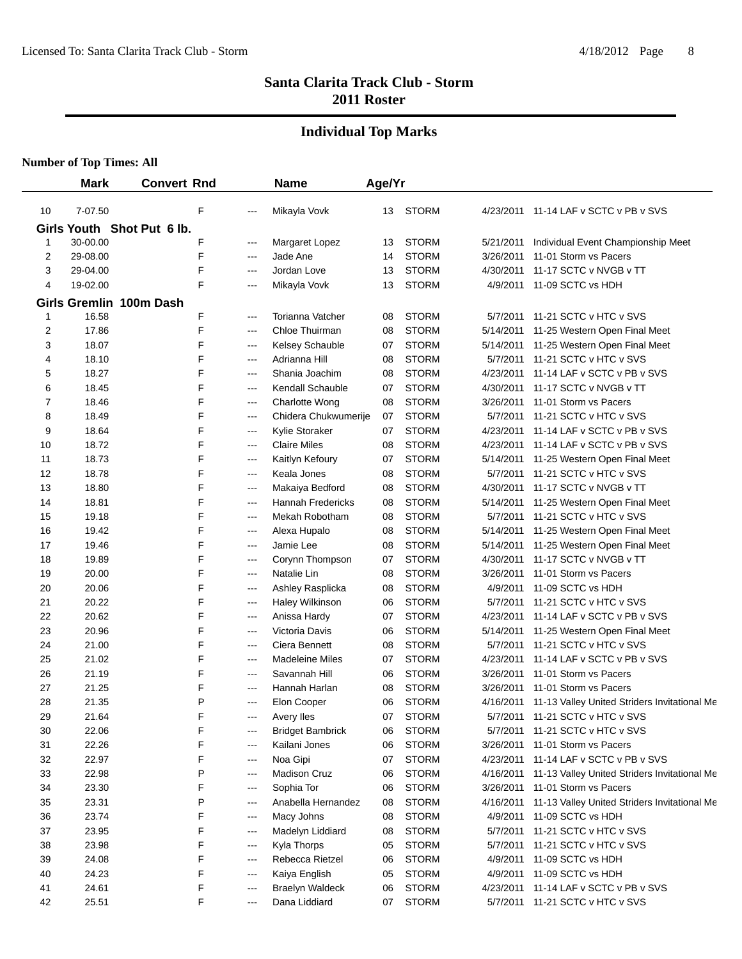## **Individual Top Marks**

|    | <b>Mark</b> | <b>Convert Rnd</b>         |                   | <b>Name</b>              | Age/Yr |              |           |                                              |
|----|-------------|----------------------------|-------------------|--------------------------|--------|--------------|-----------|----------------------------------------------|
| 10 | 7-07.50     | F                          | ---               | Mikayla Vovk             | 13     | <b>STORM</b> |           | 4/23/2011 11-14 LAF v SCTC v PB v SVS        |
|    |             | Girls Youth Shot Put 6 lb. |                   |                          |        |              |           |                                              |
| 1  | 30-00.00    | F                          | $---$             | Margaret Lopez           | 13     | <b>STORM</b> | 5/21/2011 | Individual Event Championship Meet           |
| 2  | 29-08.00    | F                          | ---               | Jade Ane                 | 14     | <b>STORM</b> | 3/26/2011 | 11-01 Storm vs Pacers                        |
| 3  | 29-04.00    | F                          | ---               | Jordan Love              | 13     | <b>STORM</b> | 4/30/2011 | 11-17 SCTC v NVGB v TT                       |
| 4  | 19-02.00    | F                          | ---               | Mikayla Vovk             | 13     | <b>STORM</b> | 4/9/2011  | 11-09 SCTC vs HDH                            |
|    |             | Girls Gremlin 100m Dash    |                   |                          |        |              |           |                                              |
|    | 16.58       | F                          | ---               | <b>Torianna Vatcher</b>  | 08     | <b>STORM</b> | 5/7/2011  | 11-21 SCTC v HTC v SVS                       |
| 2  | 17.86       | F                          | ---               | Chloe Thuirman           | 08     | <b>STORM</b> | 5/14/2011 | 11-25 Western Open Final Meet                |
| 3  | 18.07       | F                          | ---               | Kelsey Schauble          | 07     | <b>STORM</b> | 5/14/2011 | 11-25 Western Open Final Meet                |
| 4  | 18.10       | F                          | $\qquad \qquad -$ | Adrianna Hill            | 08     | <b>STORM</b> | 5/7/2011  | 11-21 SCTC v HTC v SVS                       |
| 5  | 18.27       | F                          | $---$             | Shania Joachim           | 08     | <b>STORM</b> | 4/23/2011 | 11-14 LAF v SCTC v PB v SVS                  |
| 6  | 18.45       | F                          | ---               | Kendall Schauble         | 07     | <b>STORM</b> | 4/30/2011 | 11-17 SCTC v NVGB v TT                       |
| 7  | 18.46       | F                          | ---               | <b>Charlotte Wong</b>    | 08     | <b>STORM</b> | 3/26/2011 | 11-01 Storm vs Pacers                        |
| 8  | 18.49       | F                          | ---               | Chidera Chukwumerije     | 07     | <b>STORM</b> | 5/7/2011  | 11-21 SCTC v HTC v SVS                       |
| 9  | 18.64       | F                          | ---               | Kylie Storaker           | 07     | <b>STORM</b> | 4/23/2011 | 11-14 LAF v SCTC v PB v SVS                  |
| 10 | 18.72       | F                          | ---               | <b>Claire Miles</b>      | 08     | <b>STORM</b> | 4/23/2011 | 11-14 LAF v SCTC v PB v SVS                  |
| 11 | 18.73       | F                          | ---               | Kaitlyn Kefoury          | 07     | <b>STORM</b> | 5/14/2011 | 11-25 Western Open Final Meet                |
| 12 | 18.78       | F                          | ---               | Keala Jones              | 08     | <b>STORM</b> | 5/7/2011  | 11-21 SCTC v HTC v SVS                       |
| 13 | 18.80       | F                          | $---$             | Makaiya Bedford          | 08     | <b>STORM</b> | 4/30/2011 | 11-17 SCTC v NVGB v TT                       |
| 14 | 18.81       | F                          | $---$             | <b>Hannah Fredericks</b> | 08     | <b>STORM</b> | 5/14/2011 | 11-25 Western Open Final Meet                |
| 15 | 19.18       | F                          | ---               | Mekah Robotham           | 08     | <b>STORM</b> | 5/7/2011  | 11-21 SCTC v HTC v SVS                       |
| 16 | 19.42       | F                          | ---               | Alexa Hupalo             | 08     | <b>STORM</b> | 5/14/2011 | 11-25 Western Open Final Meet                |
| 17 | 19.46       | F                          | ---               | Jamie Lee                | 08     | <b>STORM</b> | 5/14/2011 | 11-25 Western Open Final Meet                |
| 18 | 19.89       | F                          | ---               | Corynn Thompson          | 07     | <b>STORM</b> | 4/30/2011 | 11-17 SCTC v NVGB v TT                       |
| 19 | 20.00       | F                          | ---               | Natalie Lin              | 08     | <b>STORM</b> | 3/26/2011 | 11-01 Storm vs Pacers                        |
| 20 | 20.06       | F                          | $---$             | Ashley Rasplicka         | 08     | <b>STORM</b> | 4/9/2011  | 11-09 SCTC vs HDH                            |
| 21 | 20.22       | F                          | $---$             | Haley Wilkinson          | 06     | <b>STORM</b> | 5/7/2011  | 11-21 SCTC v HTC v SVS                       |
| 22 | 20.62       | F                          | ---               | Anissa Hardy             | 07     | <b>STORM</b> | 4/23/2011 | 11-14 LAF v SCTC v PB v SVS                  |
| 23 | 20.96       | F                          | ---               | Victoria Davis           | 06     | <b>STORM</b> | 5/14/2011 | 11-25 Western Open Final Meet                |
| 24 | 21.00       | F                          | ---               | Ciera Bennett            | 08     | <b>STORM</b> | 5/7/2011  | 11-21 SCTC v HTC v SVS                       |
| 25 | 21.02       | F                          | ---               | <b>Madeleine Miles</b>   | 07     | <b>STORM</b> | 4/23/2011 | 11-14 LAF v SCTC v PB v SVS                  |
| 26 | 21.19       | F                          | ---               | Savannah Hill            | 06     | <b>STORM</b> | 3/26/2011 | 11-01 Storm vs Pacers                        |
| 27 | 21.25       | F                          | ---               | Hannah Harlan            | 08     | <b>STORM</b> | 3/26/2011 | 11-01 Storm vs Pacers                        |
| 28 | 21.35       | P                          | ---               | Elon Cooper              | 06     | <b>STORM</b> | 4/16/2011 | 11-13 Valley United Striders Invitational Me |
| 29 | 21.64       | F                          | ---               | <b>Avery lles</b>        | 07     | <b>STORM</b> | 5/7/2011  | 11-21 SCTC v HTC v SVS                       |
| 30 | 22.06       | F                          | $---$             | <b>Bridget Bambrick</b>  | 06     | <b>STORM</b> | 5/7/2011  | 11-21 SCTC v HTC v SVS                       |
| 31 | 22.26       | F                          | $---$             | Kailani Jones            | 06     | <b>STORM</b> | 3/26/2011 | 11-01 Storm vs Pacers                        |
| 32 | 22.97       | F                          | ---               | Noa Gipi                 | 07     | <b>STORM</b> | 4/23/2011 | 11-14 LAF v SCTC v PB v SVS                  |
| 33 | 22.98       | Ρ                          | ---               | <b>Madison Cruz</b>      | 06     | <b>STORM</b> | 4/16/2011 | 11-13 Valley United Striders Invitational Me |
| 34 | 23.30       | F                          | ---               | Sophia Tor               | 06     | <b>STORM</b> | 3/26/2011 | 11-01 Storm vs Pacers                        |
| 35 | 23.31       | P                          | ---               | Anabella Hernandez       | 08     | <b>STORM</b> | 4/16/2011 | 11-13 Valley United Striders Invitational Me |
| 36 | 23.74       | F                          | ---               | Macy Johns               | 08     | <b>STORM</b> | 4/9/2011  | 11-09 SCTC vs HDH                            |
| 37 | 23.95       | F                          | ---               | Madelyn Liddiard         | 08     | <b>STORM</b> | 5/7/2011  | 11-21 SCTC v HTC v SVS                       |
| 38 | 23.98       | F                          | ---               | Kyla Thorps              | 05     | <b>STORM</b> | 5/7/2011  | 11-21 SCTC v HTC v SVS                       |
| 39 | 24.08       | F                          | ---               | Rebecca Rietzel          | 06     | <b>STORM</b> | 4/9/2011  | 11-09 SCTC vs HDH                            |
| 40 | 24.23       | F                          | ---               | Kaiya English            | 05     | <b>STORM</b> | 4/9/2011  | 11-09 SCTC vs HDH                            |
| 41 | 24.61       | F                          | $---$             | <b>Braelyn Waldeck</b>   | 06     | <b>STORM</b> | 4/23/2011 | 11-14 LAF v SCTC v PB v SVS                  |
| 42 | 25.51       | F                          | $---$             | Dana Liddiard            | 07     | <b>STORM</b> | 5/7/2011  | 11-21 SCTC v HTC v SVS                       |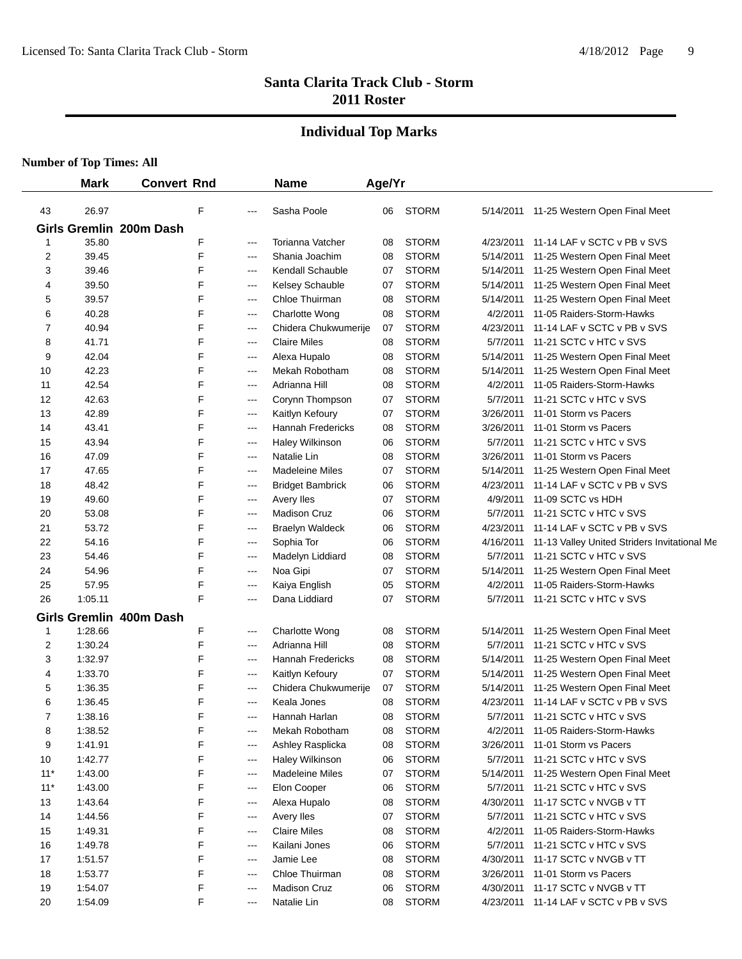## **Individual Top Marks**

|       | <b>Mark</b> | <b>Convert Rnd</b>      |   |       | <b>Name</b>              | Age/Yr |              |           |                                              |
|-------|-------------|-------------------------|---|-------|--------------------------|--------|--------------|-----------|----------------------------------------------|
| 43    | 26.97       |                         | F | ---   | Sasha Poole              | 06     | <b>STORM</b> |           | 5/14/2011 11-25 Western Open Final Meet      |
|       |             | Girls Gremlin 200m Dash |   |       |                          |        |              |           |                                              |
| 1     | 35.80       |                         | F | $---$ | Torianna Vatcher         | 08     | <b>STORM</b> | 4/23/2011 | 11-14 LAF v SCTC v PB v SVS                  |
| 2     | 39.45       |                         | F | $---$ | Shania Joachim           | 08     | <b>STORM</b> | 5/14/2011 | 11-25 Western Open Final Meet                |
| 3     | 39.46       |                         | F | $---$ | <b>Kendall Schauble</b>  | 07     | <b>STORM</b> | 5/14/2011 | 11-25 Western Open Final Meet                |
| 4     | 39.50       |                         | F | $---$ | Kelsey Schauble          | 07     | <b>STORM</b> | 5/14/2011 | 11-25 Western Open Final Meet                |
| 5     | 39.57       |                         | F | ---   | Chloe Thuirman           | 08     | <b>STORM</b> | 5/14/2011 | 11-25 Western Open Final Meet                |
| 6     | 40.28       |                         | F | $---$ | <b>Charlotte Wong</b>    | 08     | <b>STORM</b> | 4/2/2011  | 11-05 Raiders-Storm-Hawks                    |
| 7     | 40.94       |                         | F | $---$ | Chidera Chukwumerije     | 07     | <b>STORM</b> | 4/23/2011 | 11-14 LAF v SCTC v PB v SVS                  |
| 8     | 41.71       |                         | F | ---   | <b>Claire Miles</b>      | 08     | <b>STORM</b> | 5/7/2011  | 11-21 SCTC v HTC v SVS                       |
| 9     | 42.04       |                         | F | $---$ | Alexa Hupalo             | 08     | <b>STORM</b> | 5/14/2011 | 11-25 Western Open Final Meet                |
| 10    | 42.23       |                         | F | $---$ | Mekah Robotham           | 08     | <b>STORM</b> | 5/14/2011 | 11-25 Western Open Final Meet                |
| 11    | 42.54       |                         | F | ---   | Adrianna Hill            | 08     | <b>STORM</b> | 4/2/2011  | 11-05 Raiders-Storm-Hawks                    |
| 12    | 42.63       |                         | F | ---   | Corynn Thompson          | 07     | <b>STORM</b> | 5/7/2011  | 11-21 SCTC v HTC v SVS                       |
| 13    | 42.89       |                         | F | ---   | Kaitlyn Kefoury          | 07     | <b>STORM</b> | 3/26/2011 | 11-01 Storm vs Pacers                        |
| 14    | 43.41       |                         | F | ---   | <b>Hannah Fredericks</b> | 08     | <b>STORM</b> | 3/26/2011 | 11-01 Storm vs Pacers                        |
| 15    | 43.94       |                         | F | ---   | Haley Wilkinson          | 06     | <b>STORM</b> | 5/7/2011  | 11-21 SCTC v HTC v SVS                       |
| 16    | 47.09       |                         | F | $---$ | Natalie Lin              | 08     | <b>STORM</b> | 3/26/2011 | 11-01 Storm vs Pacers                        |
| 17    | 47.65       |                         | F | $---$ | <b>Madeleine Miles</b>   | 07     | <b>STORM</b> | 5/14/2011 | 11-25 Western Open Final Meet                |
| 18    | 48.42       |                         | F | ---   | <b>Bridget Bambrick</b>  | 06     | <b>STORM</b> | 4/23/2011 | 11-14 LAF v SCTC v PB v SVS                  |
| 19    | 49.60       |                         | F | ---   | Avery lles               | 07     | <b>STORM</b> | 4/9/2011  | 11-09 SCTC vs HDH                            |
| 20    | 53.08       |                         | F | ---   | <b>Madison Cruz</b>      | 06     | <b>STORM</b> | 5/7/2011  | 11-21 SCTC v HTC v SVS                       |
| 21    | 53.72       |                         | F | ---   | <b>Braelyn Waldeck</b>   | 06     | <b>STORM</b> | 4/23/2011 | 11-14 LAF v SCTC v PB v SVS                  |
| 22    | 54.16       |                         | F | ---   | Sophia Tor               | 06     | <b>STORM</b> | 4/16/2011 | 11-13 Valley United Striders Invitational Me |
| 23    | 54.46       |                         | F | ---   | Madelyn Liddiard         | 08     | <b>STORM</b> | 5/7/2011  | 11-21 SCTC v HTC v SVS                       |
| 24    | 54.96       |                         | F | $---$ | Noa Gipi                 | 07     | <b>STORM</b> | 5/14/2011 | 11-25 Western Open Final Meet                |
| 25    | 57.95       |                         | F | ---   | Kaiya English            | 05     | <b>STORM</b> | 4/2/2011  | 11-05 Raiders-Storm-Hawks                    |
| 26    | 1:05.11     |                         | F | ---   | Dana Liddiard            | 07     | <b>STORM</b> | 5/7/2011  | 11-21 SCTC v HTC v SVS                       |
|       |             | Girls Gremlin 400m Dash |   |       |                          |        |              |           |                                              |
| 1     | 1:28.66     |                         | F | ---   | <b>Charlotte Wong</b>    | 08     | <b>STORM</b> | 5/14/2011 | 11-25 Western Open Final Meet                |
| 2     | 1:30.24     |                         | F | ---   | Adrianna Hill            | 08     | <b>STORM</b> | 5/7/2011  | 11-21 SCTC v HTC v SVS                       |
| 3     | 1:32.97     |                         | F | ---   | <b>Hannah Fredericks</b> | 08     | <b>STORM</b> | 5/14/2011 | 11-25 Western Open Final Meet                |
| 4     | 1:33.70     |                         | F | ---   | Kaitlyn Kefoury          | 07     | <b>STORM</b> | 5/14/2011 | 11-25 Western Open Final Meet                |
| 5     | 1:36.35     |                         | F | ---   | Chidera Chukwumerije     | 07     | <b>STORM</b> | 5/14/2011 | 11-25 Western Open Final Meet                |
| 6     | 1:36.45     |                         | F | ---   | Keala Jones              | 08     | <b>STORM</b> | 4/23/2011 | 11-14 LAF v SCTC v PB v SVS                  |
| 7     | 1:38.16     |                         | F | $--$  | Hannah Harlan            | 08     | <b>STORM</b> |           | 5/7/2011 11-21 SCTC v HTC v SVS              |
| 8     | 1:38.52     |                         | F | ---   | Mekah Robotham           | 08     | <b>STORM</b> | 4/2/2011  | 11-05 Raiders-Storm-Hawks                    |
| 9     | 1:41.91     |                         | F | ---   | Ashley Rasplicka         | 08     | <b>STORM</b> | 3/26/2011 | 11-01 Storm vs Pacers                        |
| 10    | 1:42.77     |                         | F | ---   | Haley Wilkinson          | 06     | <b>STORM</b> | 5/7/2011  | 11-21 SCTC v HTC v SVS                       |
| $11*$ | 1:43.00     |                         | F | ---   | <b>Madeleine Miles</b>   | 07     | <b>STORM</b> | 5/14/2011 | 11-25 Western Open Final Meet                |
| $11*$ | 1:43.00     |                         | F | ---   | Elon Cooper              | 06     | <b>STORM</b> | 5/7/2011  | 11-21 SCTC v HTC v SVS                       |
| 13    | 1:43.64     |                         | F | ---   | Alexa Hupalo             | 08     | <b>STORM</b> | 4/30/2011 | 11-17 SCTC v NVGB v TT                       |
| 14    | 1:44.56     |                         | F | ---   | Avery lles               | 07     | <b>STORM</b> | 5/7/2011  | 11-21 SCTC v HTC v SVS                       |
| 15    | 1:49.31     |                         | F | $---$ | <b>Claire Miles</b>      | 08     | <b>STORM</b> | 4/2/2011  | 11-05 Raiders-Storm-Hawks                    |
| 16    | 1:49.78     |                         | F | $---$ | Kailani Jones            | 06     | <b>STORM</b> | 5/7/2011  | 11-21 SCTC v HTC v SVS                       |
| 17    | 1:51.57     |                         | F | ---   | Jamie Lee                | 08     | <b>STORM</b> | 4/30/2011 | 11-17 SCTC v NVGB v TT                       |
| 18    | 1:53.77     |                         | F | ---   | Chloe Thuirman           | 08     | <b>STORM</b> | 3/26/2011 | 11-01 Storm vs Pacers                        |
| 19    | 1:54.07     |                         | F | ---   | Madison Cruz             | 06     | <b>STORM</b> | 4/30/2011 | 11-17 SCTC v NVGB v TT                       |
| 20    | 1:54.09     |                         | F | ---   | Natalie Lin              | 08     | <b>STORM</b> | 4/23/2011 | 11-14 LAF v SCTC v PB v SVS                  |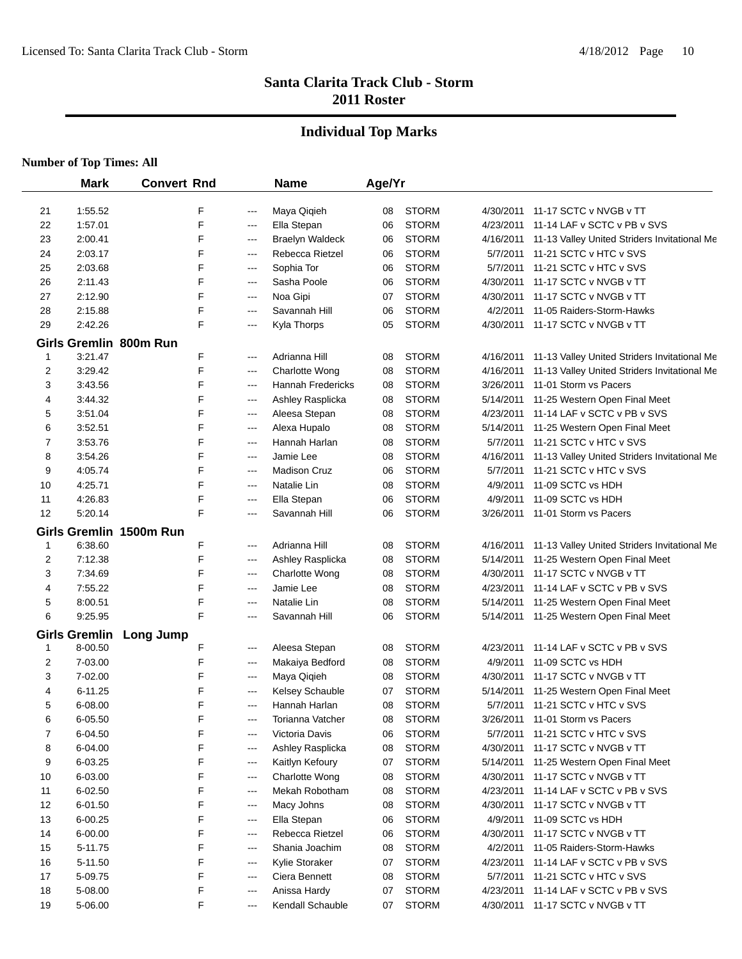#### **Individual Top Marks**

|              | <b>Mark</b>          | <b>Convert Rnd</b>      |       | <b>Name</b>              | Age/Yr |              |           |                                              |
|--------------|----------------------|-------------------------|-------|--------------------------|--------|--------------|-----------|----------------------------------------------|
| 21           | 1:55.52              | F                       | ---   | Maya Qiqieh              | 08     | <b>STORM</b> | 4/30/2011 | 11-17 SCTC v NVGB v TT                       |
| 22           | 1:57.01              | F                       | ---   | Ella Stepan              | 06     | <b>STORM</b> | 4/23/2011 | 11-14 LAF v SCTC v PB v SVS                  |
| 23           | 2:00.41              | F                       | ---   | <b>Braelyn Waldeck</b>   | 06     | <b>STORM</b> | 4/16/2011 | 11-13 Valley United Striders Invitational Me |
| 24           | 2:03.17              | F                       | $---$ | Rebecca Rietzel          | 06     | <b>STORM</b> | 5/7/2011  | 11-21 SCTC v HTC v SVS                       |
| 25           | 2:03.68              | F                       | ---   | Sophia Tor               | 06     | <b>STORM</b> | 5/7/2011  | 11-21 SCTC v HTC v SVS                       |
| 26           | 2:11.43              | F                       | ---   | Sasha Poole              | 06     | <b>STORM</b> | 4/30/2011 | 11-17 SCTC v NVGB v TT                       |
| 27           | 2:12.90              | F                       | ---   | Noa Gipi                 | 07     | <b>STORM</b> | 4/30/2011 | 11-17 SCTC v NVGB v TT                       |
| 28           | 2:15.88              | F                       | ---   | Savannah Hill            | 06     | <b>STORM</b> | 4/2/2011  | 11-05 Raiders-Storm-Hawks                    |
| 29           | 2:42.26              | F                       | ---   | Kyla Thorps              | 05     | <b>STORM</b> | 4/30/2011 | 11-17 SCTC v NVGB v TT                       |
|              |                      | Girls Gremlin 800m Run  |       |                          |        |              |           |                                              |
| $\mathbf{1}$ | 3:21.47              | F                       | ---   | Adrianna Hill            | 08     | <b>STORM</b> | 4/16/2011 | 11-13 Valley United Striders Invitational Me |
| 2            | 3:29.42              | F                       | ---   | Charlotte Wong           | 08     | <b>STORM</b> | 4/16/2011 | 11-13 Valley United Striders Invitational Me |
| 3            | 3:43.56              | F                       | ---   | <b>Hannah Fredericks</b> | 08     | <b>STORM</b> | 3/26/2011 | 11-01 Storm vs Pacers                        |
| 4            | 3:44.32              | F                       | ---   | Ashley Rasplicka         | 08     | <b>STORM</b> | 5/14/2011 | 11-25 Western Open Final Meet                |
| 5            | 3:51.04              | F                       | ---   | Aleesa Stepan            | 08     | <b>STORM</b> | 4/23/2011 | 11-14 LAF v SCTC v PB v SVS                  |
| 6            | 3:52.51              | F                       | ---   | Alexa Hupalo             | 08     | <b>STORM</b> | 5/14/2011 | 11-25 Western Open Final Meet                |
| 7            | 3:53.76              | F                       | $---$ | Hannah Harlan            | 08     | <b>STORM</b> | 5/7/2011  | 11-21 SCTC v HTC v SVS                       |
| 8            | 3:54.26              | F                       | ---   | Jamie Lee                | 08     | <b>STORM</b> | 4/16/2011 | 11-13 Valley United Striders Invitational Me |
| 9            | 4:05.74              | F                       | ---   | <b>Madison Cruz</b>      | 06     | <b>STORM</b> | 5/7/2011  | 11-21 SCTC v HTC v SVS                       |
| 10           | 4:25.71              | F                       | ---   | Natalie Lin              | 08     | <b>STORM</b> | 4/9/2011  | 11-09 SCTC vs HDH                            |
| 11           | 4:26.83              | F                       | $---$ | Ella Stepan              | 06     | <b>STORM</b> | 4/9/2011  | 11-09 SCTC vs HDH                            |
| 12           | 5:20.14              | F                       | ---   | Savannah Hill            | 06     | <b>STORM</b> | 3/26/2011 | 11-01 Storm vs Pacers                        |
|              |                      | Girls Gremlin 1500m Run |       |                          |        |              |           |                                              |
| 1            | 6:38.60              | F                       | ---   | Adrianna Hill            | 08     | <b>STORM</b> | 4/16/2011 | 11-13 Valley United Striders Invitational Me |
| 2            | 7:12.38              | F                       | ---   | Ashley Rasplicka         | 08     | <b>STORM</b> | 5/14/2011 | 11-25 Western Open Final Meet                |
| 3            | 7:34.69              | F                       | ---   | Charlotte Wong           | 08     | <b>STORM</b> | 4/30/2011 | 11-17 SCTC v NVGB v TT                       |
| 4            | 7:55.22              | F                       | ---   | Jamie Lee                | 08     | <b>STORM</b> | 4/23/2011 | 11-14 LAF v SCTC v PB v SVS                  |
| 5            | 8:00.51              | F                       | $---$ | Natalie Lin              | 08     | <b>STORM</b> | 5/14/2011 | 11-25 Western Open Final Meet                |
| 6            | 9:25.95              | F                       | ---   | Savannah Hill            | 06     | <b>STORM</b> |           | 5/14/2011 11-25 Western Open Final Meet      |
|              | <b>Girls Gremlin</b> |                         |       |                          |        |              |           |                                              |
| 1            | 8-00.50              | Long Jump<br>F          | ---   | Aleesa Stepan            | 08     | <b>STORM</b> | 4/23/2011 | 11-14 LAF v SCTC v PB v SVS                  |
| 2            | 7-03.00              | F                       | $--$  | Makaiya Bedford          | 08     | <b>STORM</b> | 4/9/2011  | 11-09 SCTC vs HDH                            |
| 3            | 7-02.00              | F                       | $---$ | Maya Qiqieh              | 08     | <b>STORM</b> |           | 4/30/2011 11-17 SCTC v NVGB v TT             |
| 4            | $6 - 11.25$          | F                       | ---   | Kelsey Schauble          | 07     | <b>STORM</b> | 5/14/2011 | 11-25 Western Open Final Meet                |
| 5            | 6-08.00              | F                       | ---   | Hannah Harlan            | 08     | <b>STORM</b> | 5/7/2011  | 11-21 SCTC v HTC v SVS                       |
| 6            | 6-05.50              | F                       | ---   | Torianna Vatcher         | 08     | <b>STORM</b> |           | 3/26/2011 11-01 Storm vs Pacers              |
| 7            | 6-04.50              | F                       | ---   | Victoria Davis           | 06     | <b>STORM</b> | 5/7/2011  | 11-21 SCTC v HTC v SVS                       |
| 8            | 6-04.00              | F                       | ---   | Ashley Rasplicka         | 08     | <b>STORM</b> | 4/30/2011 | 11-17 SCTC v NVGB v TT                       |
| 9            | 6-03.25              | F                       | $---$ | Kaitlyn Kefoury          | 07     | <b>STORM</b> | 5/14/2011 | 11-25 Western Open Final Meet                |
| 10           | 6-03.00              | F                       | $---$ | Charlotte Wong           | 08     | <b>STORM</b> | 4/30/2011 | 11-17 SCTC v NVGB v TT                       |
| 11           | 6-02.50              | F                       | ---   | Mekah Robotham           | 08     | <b>STORM</b> | 4/23/2011 | 11-14 LAF v SCTC v PB v SVS                  |
| 12           | 6-01.50              | F                       | ---   | Macy Johns               | 08     | <b>STORM</b> | 4/30/2011 | 11-17 SCTC v NVGB v TT                       |
| 13           | 6-00.25              | F                       | ---   | Ella Stepan              | 06     | <b>STORM</b> | 4/9/2011  | 11-09 SCTC vs HDH                            |
| 14           | 6-00.00              | F                       | ---   | Rebecca Rietzel          | 06     | <b>STORM</b> | 4/30/2011 | 11-17 SCTC v NVGB v TT                       |
| 15           | 5-11.75              | F                       | ---   | Shania Joachim           | 08     | <b>STORM</b> | 4/2/2011  | 11-05 Raiders-Storm-Hawks                    |
| 16           | 5-11.50              | F                       | ---   | Kylie Storaker           | 07     | <b>STORM</b> | 4/23/2011 | 11-14 LAF v SCTC v PB v SVS                  |
| 17           | 5-09.75              | F                       | ---   | Ciera Bennett            | 08     | <b>STORM</b> | 5/7/2011  | 11-21 SCTC v HTC v SVS                       |
| 18           | 5-08.00              | F                       | ---   | Anissa Hardy             | 07     | <b>STORM</b> | 4/23/2011 | 11-14 LAF v SCTC v PB v SVS                  |
| 19           | 5-06.00              | F                       | ---   | Kendall Schauble         | 07     | <b>STORM</b> | 4/30/2011 | 11-17 SCTC v NVGB v TT                       |
|              |                      |                         |       |                          |        |              |           |                                              |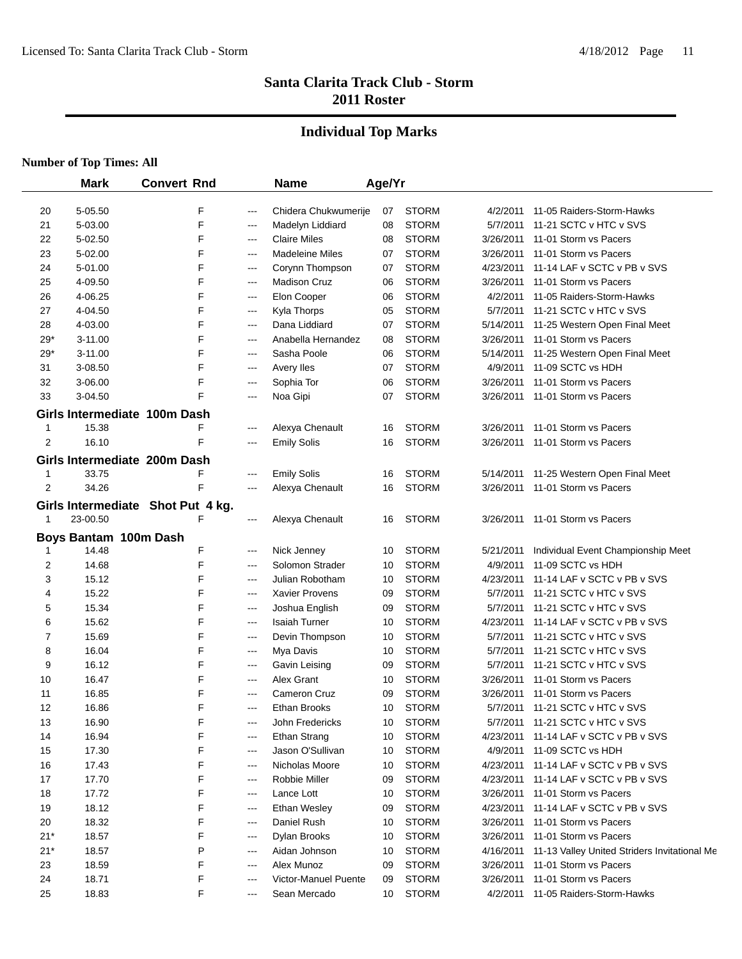## **Individual Top Marks**

|                | <b>Mark</b>                    | <b>Convert Rnd</b>                |                          | <b>Name</b>                             | Age/Yr   |                              |                       |                                                         |
|----------------|--------------------------------|-----------------------------------|--------------------------|-----------------------------------------|----------|------------------------------|-----------------------|---------------------------------------------------------|
|                |                                |                                   |                          |                                         |          | <b>STORM</b>                 |                       |                                                         |
| 20             | 5-05.50                        | F<br>F                            | $---$                    | Chidera Chukwumerije                    | 07       | <b>STORM</b>                 | 4/2/2011              | 11-05 Raiders-Storm-Hawks<br>11-21 SCTC v HTC v SVS     |
| 21             | 5-03.00                        | F                                 | ---                      | Madelyn Liddiard                        | 08       | <b>STORM</b>                 | 5/7/2011              |                                                         |
| 22             | 5-02.50                        | F                                 | $---$                    | <b>Claire Miles</b>                     | 08       |                              | 3/26/2011             | 11-01 Storm vs Pacers                                   |
| 23             | 5-02.00                        |                                   | ---                      | <b>Madeleine Miles</b>                  | 07       | <b>STORM</b><br><b>STORM</b> | 3/26/2011             | 11-01 Storm vs Pacers                                   |
| 24             | 5-01.00                        | F                                 | ---                      | Corynn Thompson                         | 07       |                              | 4/23/2011             | 11-14 LAF v SCTC v PB v SVS                             |
| 25             | 4-09.50                        | F                                 | ---                      | <b>Madison Cruz</b>                     | 06       | <b>STORM</b>                 | 3/26/2011             | 11-01 Storm vs Pacers                                   |
| 26             | 4-06.25                        | F                                 | ---                      | Elon Cooper                             | 06       | <b>STORM</b>                 | 4/2/2011              | 11-05 Raiders-Storm-Hawks                               |
| 27             | 4-04.50                        | F                                 | $---$                    | Kyla Thorps                             | 05       | <b>STORM</b>                 | 5/7/2011              | 11-21 SCTC v HTC v SVS                                  |
| 28             | 4-03.00                        | F                                 | ---                      | Dana Liddiard                           | 07       | <b>STORM</b>                 | 5/14/2011             | 11-25 Western Open Final Meet                           |
| $29*$          | 3-11.00                        | F                                 | $---$                    | Anabella Hernandez                      | 08       | <b>STORM</b>                 | 3/26/2011             | 11-01 Storm vs Pacers                                   |
| $29*$          | 3-11.00                        | F                                 | ---                      | Sasha Poole                             | 06       | <b>STORM</b>                 | 5/14/2011             | 11-25 Western Open Final Meet                           |
| 31             | 3-08.50                        | F                                 | $---$                    | Avery lles                              | 07       | <b>STORM</b>                 | 4/9/2011              | 11-09 SCTC vs HDH                                       |
| 32             | 3-06.00                        | F                                 | ---                      | Sophia Tor                              | 06       | <b>STORM</b>                 | 3/26/2011             | 11-01 Storm vs Pacers                                   |
| 33             | 3-04.50                        | F                                 | ---                      | Noa Gipi                                | 07       | <b>STORM</b>                 | 3/26/2011             | 11-01 Storm vs Pacers                                   |
|                |                                | Girls Intermediate 100m Dash      |                          |                                         |          |                              |                       |                                                         |
| 1              | 15.38                          | F                                 | $---$                    | Alexya Chenault                         | 16       | <b>STORM</b>                 | 3/26/2011             | 11-01 Storm vs Pacers                                   |
| $\overline{2}$ | 16.10                          | F                                 | $---$                    | <b>Emily Solis</b>                      | 16       | <b>STORM</b>                 |                       | 3/26/2011 11-01 Storm vs Pacers                         |
|                |                                | Girls Intermediate 200m Dash      |                          |                                         |          |                              |                       |                                                         |
| 1              | 33.75                          | F                                 | ---                      | <b>Emily Solis</b>                      | 16       | <b>STORM</b>                 | 5/14/2011             | 11-25 Western Open Final Meet                           |
| 2              | 34.26                          | F                                 | ---                      | Alexya Chenault                         | 16       | <b>STORM</b>                 | 3/26/2011             | 11-01 Storm vs Pacers                                   |
|                |                                | Girls Intermediate Shot Put 4 kg. |                          |                                         |          |                              |                       |                                                         |
| 1              | 23-00.50                       | F                                 | ---                      | Alexya Chenault                         | 16       | <b>STORM</b>                 |                       | 3/26/2011 11-01 Storm vs Pacers                         |
|                |                                |                                   |                          |                                         |          |                              |                       |                                                         |
|                | Boys Bantam 100m Dash<br>14.48 | F                                 |                          | Nick Jenney                             | 10       | <b>STORM</b>                 | 5/21/2011             |                                                         |
| 2              | 14.68                          | F                                 | ---<br>---               | Solomon Strader                         | 10       | <b>STORM</b>                 | 4/9/2011              | Individual Event Championship Meet<br>11-09 SCTC vs HDH |
|                | 15.12                          | F                                 |                          | Julian Robotham                         |          | <b>STORM</b>                 | 4/23/2011             | 11-14 LAF v SCTC v PB v SVS                             |
| 3<br>4         | 15.22                          | F                                 | ---<br>$---$             |                                         | 10<br>09 | <b>STORM</b>                 | 5/7/2011              | 11-21 SCTC v HTC v SVS                                  |
|                |                                | F                                 |                          | <b>Xavier Provens</b><br>Joshua English |          | <b>STORM</b>                 |                       |                                                         |
| 5<br>6         | 15.34<br>15.62                 | F                                 | ---                      | <b>Isaiah Turner</b>                    | 09       | <b>STORM</b>                 | 5/7/2011<br>4/23/2011 | 11-21 SCTC v HTC v SVS<br>11-14 LAF v SCTC v PB v SVS   |
| 7              | 15.69                          | F                                 | $---$                    |                                         | 10       | <b>STORM</b>                 | 5/7/2011              | 11-21 SCTC v HTC v SVS                                  |
|                |                                | F                                 | ---                      | Devin Thompson                          | 10       |                              |                       | 11-21 SCTC v HTC v SVS                                  |
| 8              | 16.04                          | F                                 | ---                      | Mya Davis                               | 10       | <b>STORM</b>                 | 5/7/2011              | 11-21 SCTC v HTC v SVS                                  |
| 9              | 16.12                          |                                   | $\hspace{0.05cm} \ldots$ | Gavin Leising                           | 09       | <b>STORM</b>                 | 5/7/2011              |                                                         |
| 10             | 16.47                          | F<br>F                            | $---$                    | Alex Grant                              | 10       | <b>STORM</b>                 | 3/26/2011             | 11-01 Storm vs Pacers                                   |
| 11             | 16.85                          |                                   | $---$                    | Cameron Cruz                            | 09       | <b>STORM</b>                 | 3/26/2011             | 11-01 Storm vs Pacers                                   |
| 12             | 16.86                          | F                                 | $---$                    | Ethan Brooks                            | 10       | <b>STORM</b>                 |                       | 5/7/2011 11-21 SCTC v HTC v SVS                         |
| 13             | 16.90                          | F                                 |                          | John Fredericks                         | 10       | <b>STORM</b>                 |                       | 5/7/2011 11-21 SCTC v HTC v SVS                         |
| 14             | 16.94                          | F                                 | ---                      | Ethan Strang                            | 10       | <b>STORM</b>                 |                       | 4/23/2011 11-14 LAF v SCTC v PB v SVS                   |
| 15             | 17.30                          | F                                 | ---                      | Jason O'Sullivan                        | 10       | <b>STORM</b>                 | 4/9/2011              | 11-09 SCTC vs HDH                                       |
| 16             | 17.43                          | F                                 | ---                      | Nicholas Moore                          | 10       | <b>STORM</b>                 |                       | 4/23/2011 11-14 LAF v SCTC v PB v SVS                   |
| 17             | 17.70                          | F                                 | $---$                    | Robbie Miller                           | 09       | <b>STORM</b>                 |                       | 4/23/2011 11-14 LAF v SCTC v PB v SVS                   |
| 18             | 17.72                          | F                                 | $---$                    | Lance Lott                              | 10       | <b>STORM</b>                 | 3/26/2011             | 11-01 Storm vs Pacers                                   |
| 19             | 18.12                          | F                                 | ---                      | Ethan Wesley                            | 09       | <b>STORM</b>                 | 4/23/2011             | 11-14 LAF v SCTC v PB v SVS                             |
| 20             | 18.32                          | F                                 | ---                      | Daniel Rush                             | 10       | <b>STORM</b>                 | 3/26/2011             | 11-01 Storm vs Pacers                                   |
| $21*$          | 18.57                          |                                   | ---                      | Dylan Brooks                            | 10       | <b>STORM</b>                 | 3/26/2011             | 11-01 Storm vs Pacers                                   |
| $21*$          | 18.57                          | P                                 | $---$                    | Aidan Johnson                           | 10       | <b>STORM</b>                 | 4/16/2011             | 11-13 Valley United Striders Invitational Me            |
| 23             | 18.59                          | F                                 | $---$                    | Alex Munoz                              | 09       | <b>STORM</b>                 | 3/26/2011             | 11-01 Storm vs Pacers                                   |
| 24             | 18.71                          | F                                 | $---$                    | Victor-Manuel Puente                    | 09       | <b>STORM</b>                 | 3/26/2011             | 11-01 Storm vs Pacers                                   |
| 25             | 18.83                          | F                                 | ---                      | Sean Mercado                            | 10       | <b>STORM</b>                 |                       | 4/2/2011 11-05 Raiders-Storm-Hawks                      |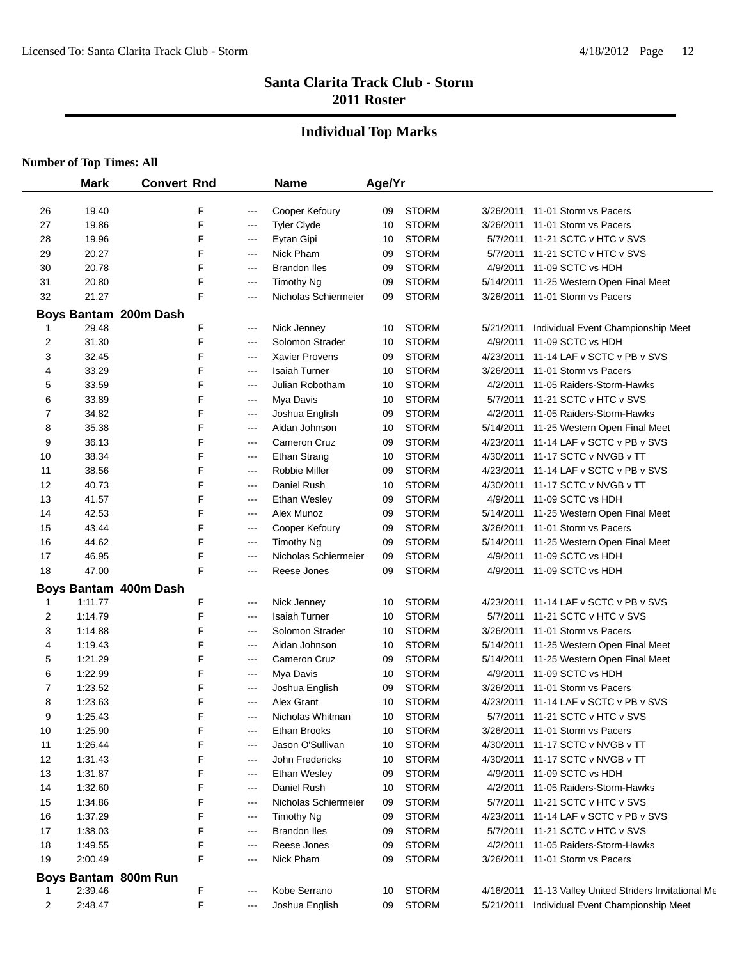## **Individual Top Marks**

|    | <b>Mark</b> | <b>Convert Rnd</b>    |       | <b>Name</b>           | Age/Yr |              |           |                                              |
|----|-------------|-----------------------|-------|-----------------------|--------|--------------|-----------|----------------------------------------------|
| 26 | 19.40       | F                     | $---$ | Cooper Kefoury        | 09     | <b>STORM</b> | 3/26/2011 | 11-01 Storm vs Pacers                        |
| 27 | 19.86       | F                     | ---   | <b>Tyler Clyde</b>    | 10     | <b>STORM</b> | 3/26/2011 | 11-01 Storm vs Pacers                        |
| 28 | 19.96       | F                     | ---   | Eytan Gipi            | 10     | <b>STORM</b> | 5/7/2011  | 11-21 SCTC v HTC v SVS                       |
| 29 | 20.27       | F                     | ---   | Nick Pham             | 09     | <b>STORM</b> | 5/7/2011  | 11-21 SCTC v HTC v SVS                       |
| 30 | 20.78       | F                     | ---   | <b>Brandon Iles</b>   | 09     | <b>STORM</b> | 4/9/2011  | 11-09 SCTC vs HDH                            |
| 31 | 20.80       | F                     | ---   | <b>Timothy Ng</b>     | 09     | <b>STORM</b> | 5/14/2011 | 11-25 Western Open Final Meet                |
| 32 | 21.27       | F                     | ---   | Nicholas Schiermeier  | 09     | <b>STORM</b> | 3/26/2011 | 11-01 Storm vs Pacers                        |
|    |             | Boys Bantam 200m Dash |       |                       |        |              |           |                                              |
|    | 29.48       | F                     | ---   | Nick Jenney           | 10     | <b>STORM</b> | 5/21/2011 | Individual Event Championship Meet           |
| 2  | 31.30       | F                     | ---   | Solomon Strader       | 10     | <b>STORM</b> | 4/9/2011  | 11-09 SCTC vs HDH                            |
| 3  | 32.45       | F                     | ---   | <b>Xavier Provens</b> | 09     | <b>STORM</b> | 4/23/2011 | 11-14 LAF v SCTC v PB v SVS                  |
| 4  | 33.29       | F                     | ---   | <b>Isaiah Turner</b>  | 10     | <b>STORM</b> | 3/26/2011 | 11-01 Storm vs Pacers                        |
| 5  | 33.59       | F                     | $---$ | Julian Robotham       | 10     | <b>STORM</b> | 4/2/2011  | 11-05 Raiders-Storm-Hawks                    |
| 6  | 33.89       | F                     | ---   | Mya Davis             | 10     | <b>STORM</b> | 5/7/2011  | 11-21 SCTC v HTC v SVS                       |
| 7  | 34.82       | F                     | $---$ | Joshua English        | 09     | <b>STORM</b> | 4/2/2011  | 11-05 Raiders-Storm-Hawks                    |
| 8  | 35.38       | F                     | ---   | Aidan Johnson         | 10     | <b>STORM</b> | 5/14/2011 | 11-25 Western Open Final Meet                |
| 9  | 36.13       | F                     | $---$ | <b>Cameron Cruz</b>   | 09     | <b>STORM</b> | 4/23/2011 | 11-14 LAF v SCTC v PB v SVS                  |
| 10 | 38.34       | F                     | ---   | <b>Ethan Strang</b>   | 10     | <b>STORM</b> | 4/30/2011 | 11-17 SCTC v NVGB v TT                       |
| 11 | 38.56       | F                     | ---   | Robbie Miller         | 09     | <b>STORM</b> | 4/23/2011 | 11-14 LAF v SCTC v PB v SVS                  |
| 12 | 40.73       | F                     | ---   | Daniel Rush           | 10     | <b>STORM</b> | 4/30/2011 | 11-17 SCTC v NVGB v TT                       |
| 13 | 41.57       | F                     | $---$ | Ethan Wesley          | 09     | <b>STORM</b> | 4/9/2011  | 11-09 SCTC vs HDH                            |
| 14 | 42.53       | F                     | ---   | Alex Munoz            | 09     | <b>STORM</b> | 5/14/2011 | 11-25 Western Open Final Meet                |
| 15 | 43.44       | F                     | ---   | Cooper Kefoury        | 09     | <b>STORM</b> | 3/26/2011 | 11-01 Storm vs Pacers                        |
| 16 | 44.62       | F                     | ---   | <b>Timothy Ng</b>     | 09     | <b>STORM</b> | 5/14/2011 | 11-25 Western Open Final Meet                |
| 17 | 46.95       | F                     | ---   | Nicholas Schiermeier  | 09     | <b>STORM</b> | 4/9/2011  | 11-09 SCTC vs HDH                            |
| 18 | 47.00       | F                     | ---   | Reese Jones           | 09     | <b>STORM</b> | 4/9/2011  | 11-09 SCTC vs HDH                            |
|    |             | Boys Bantam 400m Dash |       |                       |        |              |           |                                              |
| 1  | 1:11.77     | F                     | $---$ | Nick Jenney           | 10     | <b>STORM</b> | 4/23/2011 | 11-14 LAF v SCTC v PB v SVS                  |
| 2  | 1:14.79     | F                     | ---   | <b>Isaiah Turner</b>  | 10     | <b>STORM</b> | 5/7/2011  | 11-21 SCTC v HTC v SVS                       |
| 3  | 1:14.88     | F                     | ---   | Solomon Strader       | 10     | <b>STORM</b> | 3/26/2011 | 11-01 Storm vs Pacers                        |
| 4  | 1:19.43     | F                     | ---   | Aidan Johnson         | 10     | <b>STORM</b> | 5/14/2011 | 11-25 Western Open Final Meet                |
| 5  | 1:21.29     | F                     | ---   | <b>Cameron Cruz</b>   | 09     | <b>STORM</b> | 5/14/2011 | 11-25 Western Open Final Meet                |
| 6  | 1:22.99     | F                     | ---   | Mya Davis             | 10     | <b>STORM</b> | 4/9/2011  | 11-09 SCTC vs HDH                            |
| 7  | 1:23.52     | F                     | $---$ | Joshua English        | 09     | <b>STORM</b> | 3/26/2011 | 11-01 Storm vs Pacers                        |
| 8  | 1:23.63     | F                     | ---   | Alex Grant            | 10     | <b>STORM</b> | 4/23/2011 | 11-14 LAF v SCTC v PB v SVS                  |
| 9  | 1:25.43     | F                     | ---   | Nicholas Whitman      | 10     | <b>STORM</b> | 5/7/2011  | 11-21 SCTC v HTC v SVS                       |
| 10 | 1:25.90     | F                     | ---   | <b>Ethan Brooks</b>   | 10     | <b>STORM</b> | 3/26/2011 | 11-01 Storm vs Pacers                        |
| 11 | 1:26.44     | F                     | ---   | Jason O'Sullivan      | 10     | <b>STORM</b> | 4/30/2011 | 11-17 SCTC v NVGB v TT                       |
| 12 | 1:31.43     | F                     | $---$ | John Fredericks       | 10     | <b>STORM</b> | 4/30/2011 | 11-17 SCTC v NVGB v TT                       |
| 13 | 1:31.87     | F                     | ---   | Ethan Wesley          | 09     | <b>STORM</b> | 4/9/2011  | 11-09 SCTC vs HDH                            |
| 14 | 1:32.60     | F                     | $---$ | Daniel Rush           | 10     | <b>STORM</b> | 4/2/2011  | 11-05 Raiders-Storm-Hawks                    |
| 15 | 1:34.86     | F                     | $---$ | Nicholas Schiermeier  | 09     | <b>STORM</b> | 5/7/2011  | 11-21 SCTC v HTC v SVS                       |
| 16 | 1:37.29     | F                     | ---   | Timothy Ng            | 09     | <b>STORM</b> | 4/23/2011 | 11-14 LAF v SCTC v PB v SVS                  |
| 17 | 1:38.03     | F                     | ---   | <b>Brandon lles</b>   | 09     | <b>STORM</b> | 5/7/2011  | 11-21 SCTC v HTC v SVS                       |
| 18 | 1:49.55     | F                     | ---   | Reese Jones           | 09     | <b>STORM</b> | 4/2/2011  | 11-05 Raiders-Storm-Hawks                    |
| 19 | 2:00.49     | F                     | $---$ | Nick Pham             | 09     | <b>STORM</b> | 3/26/2011 | 11-01 Storm vs Pacers                        |
|    |             | Boys Bantam 800m Run  |       |                       |        |              |           |                                              |
|    | 2:39.46     | F                     | ---   | Kobe Serrano          | 10     | <b>STORM</b> | 4/16/2011 | 11-13 Valley United Striders Invitational Me |
| 2  | 2:48.47     | F                     | ---   | Joshua English        | 09     | <b>STORM</b> | 5/21/2011 | Individual Event Championship Meet           |
|    |             |                       |       |                       |        |              |           |                                              |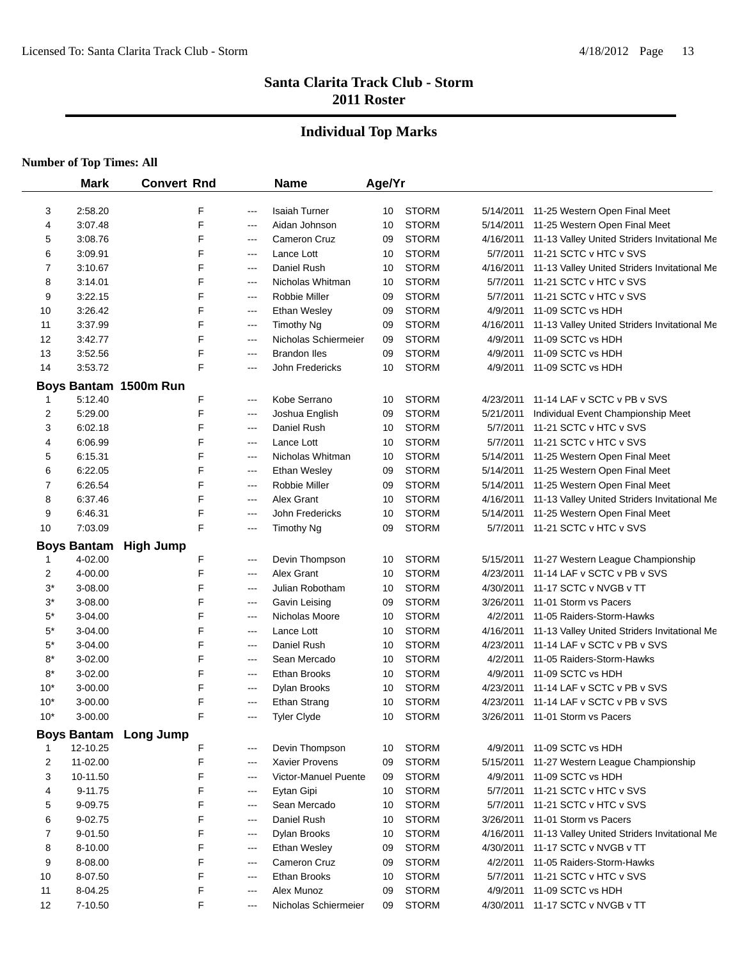## **Individual Top Marks**

|       | <b>Mark</b>                   | <b>Convert Rnd</b>           |   |       | <b>Name</b>          | Age/Yr |              |           |                                              |
|-------|-------------------------------|------------------------------|---|-------|----------------------|--------|--------------|-----------|----------------------------------------------|
| 3     | 2:58.20                       |                              | F | ---   | <b>Isaiah Turner</b> | 10     | <b>STORM</b> | 5/14/2011 | 11-25 Western Open Final Meet                |
| 4     | 3:07.48                       |                              | F | ---   | Aidan Johnson        | 10     | <b>STORM</b> |           | 5/14/2011 11-25 Western Open Final Meet      |
| 5     | 3:08.76                       |                              | F | ---   | Cameron Cruz         | 09     | <b>STORM</b> | 4/16/2011 | 11-13 Valley United Striders Invitational Me |
| 6     | 3:09.91                       |                              | F | $---$ | Lance Lott           | 10     | <b>STORM</b> | 5/7/2011  | 11-21 SCTC v HTC v SVS                       |
| 7     | 3:10.67                       |                              | F | $---$ | Daniel Rush          | 10     | <b>STORM</b> | 4/16/2011 | 11-13 Valley United Striders Invitational Me |
| 8     | 3:14.01                       |                              | F | $---$ | Nicholas Whitman     | 10     | <b>STORM</b> | 5/7/2011  | 11-21 SCTC v HTC v SVS                       |
| 9     | 3:22.15                       |                              | F | ---   | <b>Robbie Miller</b> | 09     | <b>STORM</b> | 5/7/2011  | 11-21 SCTC v HTC v SVS                       |
| 10    | 3:26.42                       |                              | F | ---   | Ethan Wesley         | 09     | <b>STORM</b> | 4/9/2011  | 11-09 SCTC vs HDH                            |
| 11    | 3:37.99                       |                              | F | ---   | <b>Timothy Ng</b>    | 09     | <b>STORM</b> | 4/16/2011 | 11-13 Valley United Striders Invitational Me |
| 12    | 3:42.77                       |                              | F | ---   | Nicholas Schiermeier | 09     | <b>STORM</b> | 4/9/2011  | 11-09 SCTC vs HDH                            |
| 13    | 3:52.56                       |                              | F | ---   | <b>Brandon Iles</b>  | 09     | <b>STORM</b> | 4/9/2011  | 11-09 SCTC vs HDH                            |
| 14    | 3:53.72                       |                              | F | $---$ | John Fredericks      | 10     | <b>STORM</b> | 4/9/2011  | 11-09 SCTC vs HDH                            |
|       |                               | Boys Bantam 1500m Run        |   |       |                      |        |              |           |                                              |
| 1     | 5:12.40                       |                              | F | ---   | Kobe Serrano         | 10     | <b>STORM</b> | 4/23/2011 | 11-14 LAF v SCTC v PB v SVS                  |
| 2     | 5:29.00                       |                              | F | ---   | Joshua English       | 09     | <b>STORM</b> | 5/21/2011 | Individual Event Championship Meet           |
| 3     | 6:02.18                       |                              | F | ---   | Daniel Rush          | 10     | <b>STORM</b> | 5/7/2011  | 11-21 SCTC v HTC v SVS                       |
| 4     | 6:06.99                       |                              | F | $---$ | Lance Lott           | 10     | <b>STORM</b> | 5/7/2011  | 11-21 SCTC v HTC v SVS                       |
| 5     | 6:15.31                       |                              | F | ---   | Nicholas Whitman     | 10     | <b>STORM</b> |           | 5/14/2011 11-25 Western Open Final Meet      |
| 6     | 6:22.05                       |                              | F | ---   | Ethan Wesley         | 09     | <b>STORM</b> |           | 5/14/2011 11-25 Western Open Final Meet      |
| 7     | 6:26.54                       |                              | F | ---   | Robbie Miller        | 09     | <b>STORM</b> |           | 5/14/2011 11-25 Western Open Final Meet      |
| 8     | 6:37.46                       |                              | F | ---   | Alex Grant           | 10     | <b>STORM</b> | 4/16/2011 | 11-13 Valley United Striders Invitational Me |
| 9     | 6:46.31                       |                              | F | ---   | John Fredericks      | 10     | <b>STORM</b> | 5/14/2011 | 11-25 Western Open Final Meet                |
| 10    | 7:03.09                       |                              | F | $---$ | Timothy Ng           | 09     | <b>STORM</b> |           | 5/7/2011 11-21 SCTC v HTC v SVS              |
|       |                               |                              |   |       |                      |        |              |           |                                              |
| 1     | <b>Boys Bantam</b><br>4-02.00 | <b>High Jump</b>             | F | ---   | Devin Thompson       | 10     | <b>STORM</b> | 5/15/2011 | 11-27 Western League Championship            |
| 2     | 4-00.00                       |                              | F | ---   | Alex Grant           | 10     | <b>STORM</b> | 4/23/2011 | 11-14 LAF v SCTC v PB v SVS                  |
| $3^*$ | 3-08.00                       |                              | F | ---   | Julian Robotham      | 10     | <b>STORM</b> | 4/30/2011 | 11-17 SCTC v NVGB v TT                       |
| $3^*$ | 3-08.00                       |                              | F | $---$ | Gavin Leising        | 09     | <b>STORM</b> | 3/26/2011 | 11-01 Storm vs Pacers                        |
| $5^*$ | 3-04.00                       |                              | F | ---   | Nicholas Moore       | 10     | <b>STORM</b> | 4/2/2011  | 11-05 Raiders-Storm-Hawks                    |
| $5^*$ | 3-04.00                       |                              | F | $---$ | Lance Lott           | 10     | <b>STORM</b> | 4/16/2011 | 11-13 Valley United Striders Invitational Me |
| $5^*$ | 3-04.00                       |                              | F | ---   | Daniel Rush          | 10     | <b>STORM</b> | 4/23/2011 | 11-14 LAF v SCTC v PB v SVS                  |
| $8*$  | 3-02.00                       |                              | F | ---   | Sean Mercado         | 10     | <b>STORM</b> | 4/2/2011  | 11-05 Raiders-Storm-Hawks                    |
| 8*    | 3-02.00                       |                              | F | ---   | Ethan Brooks         | 10     | <b>STORM</b> | 4/9/2011  | 11-09 SCTC vs HDH                            |
| $10*$ | 3-00.00                       |                              | F | ---   | Dylan Brooks         | 10     | <b>STORM</b> | 4/23/2011 | 11-14 LAF v SCTC v PB v SVS                  |
| $10*$ | $3 - 00.00$                   |                              | F | ---   | <b>Ethan Strang</b>  | 10     | <b>STORM</b> | 4/23/2011 | 11-14 LAF v SCTC v PB v SVS                  |
| $10*$ | 3-00.00                       |                              | F | $---$ | <b>Tyler Clyde</b>   | 10     | <b>STORM</b> |           | 3/26/2011 11-01 Storm vs Pacers              |
|       |                               |                              |   |       |                      |        |              |           |                                              |
|       | 12-10.25                      | <b>Boys Bantam</b> Long Jump | F | ---   | Devin Thompson       | 10     | <b>STORM</b> | 4/9/2011  | 11-09 SCTC vs HDH                            |
| 2     | 11-02.00                      |                              | F | $---$ | Xavier Provens       | 09     | <b>STORM</b> | 5/15/2011 | 11-27 Western League Championship            |
| 3     | 10-11.50                      |                              | F | $---$ | Victor-Manuel Puente | 09     | <b>STORM</b> | 4/9/2011  | 11-09 SCTC vs HDH                            |
| 4     | 9-11.75                       |                              | F | ---   | Eytan Gipi           | 10     | <b>STORM</b> | 5/7/2011  | 11-21 SCTC v HTC v SVS                       |
| 5     | 9-09.75                       |                              | F | ---   | Sean Mercado         | 10     | <b>STORM</b> | 5/7/2011  | 11-21 SCTC v HTC v SVS                       |
| 6     | 9-02.75                       |                              | F | ---   | Daniel Rush          | 10     | <b>STORM</b> | 3/26/2011 | 11-01 Storm vs Pacers                        |
| 7     | 9-01.50                       |                              | F | $---$ | <b>Dylan Brooks</b>  | 10     | <b>STORM</b> | 4/16/2011 | 11-13 Valley United Striders Invitational Me |
| 8     | 8-10.00                       |                              | F | $---$ | Ethan Wesley         | 09     | <b>STORM</b> | 4/30/2011 | 11-17 SCTC v NVGB v TT                       |
| 9     | 8-08.00                       |                              | F | $---$ | Cameron Cruz         | 09     | <b>STORM</b> | 4/2/2011  | 11-05 Raiders-Storm-Hawks                    |
| 10    | 8-07.50                       |                              | F | $---$ | Ethan Brooks         | 10     | <b>STORM</b> | 5/7/2011  | 11-21 SCTC v HTC v SVS                       |
| 11    | 8-04.25                       |                              | F | $---$ | Alex Munoz           | 09     | <b>STORM</b> | 4/9/2011  | 11-09 SCTC vs HDH                            |
| 12    | 7-10.50                       |                              | F | $---$ | Nicholas Schiermeier | 09     | <b>STORM</b> | 4/30/2011 | 11-17 SCTC v NVGB v TT                       |
|       |                               |                              |   |       |                      |        |              |           |                                              |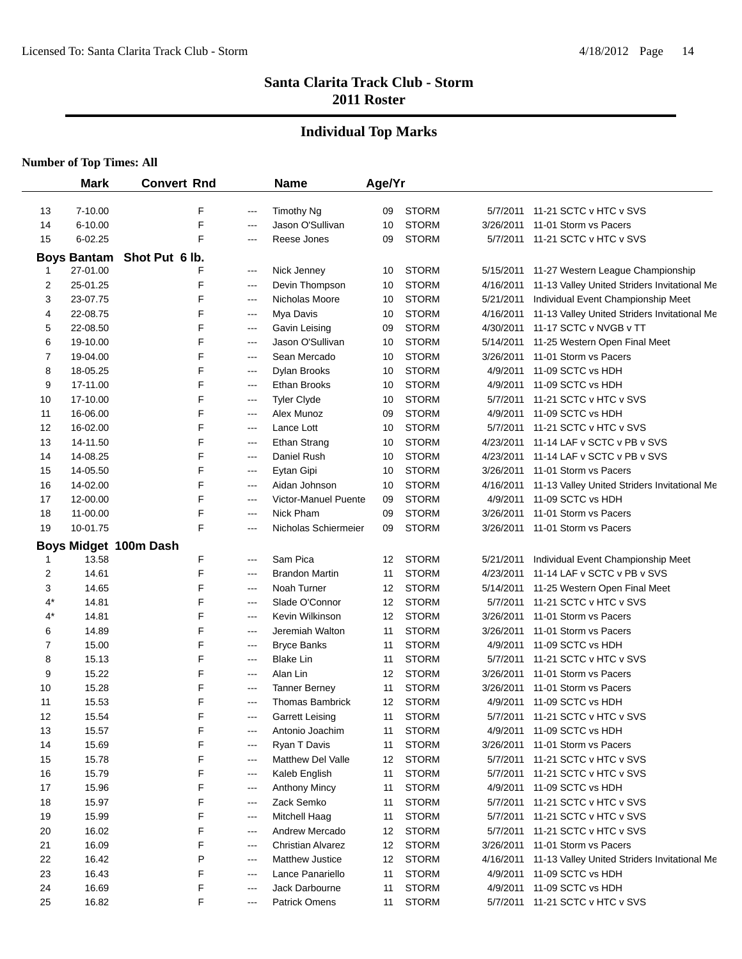## **Individual Top Marks**

|       | <b>Mark</b>        | <b>Convert Rnd</b>    |       | <b>Name</b>              | Age/Yr |              |           |                                              |
|-------|--------------------|-----------------------|-------|--------------------------|--------|--------------|-----------|----------------------------------------------|
| 13    | 7-10.00            | F                     | ---   | <b>Timothy Ng</b>        | 09     | <b>STORM</b> | 5/7/2011  | 11-21 SCTC v HTC v SVS                       |
| 14    | 6-10.00            | F                     | ---   | Jason O'Sullivan         | 10     | <b>STORM</b> | 3/26/2011 | 11-01 Storm vs Pacers                        |
| 15    | $6 - 02.25$        | F                     | $---$ | Reese Jones              | 09     | <b>STORM</b> | 5/7/2011  | 11-21 SCTC v HTC v SVS                       |
|       | <b>Boys Bantam</b> | Shot Put 6 lb.        |       |                          |        |              |           |                                              |
| 1     | 27-01.00           | F                     | ---   | Nick Jenney              | 10     | <b>STORM</b> | 5/15/2011 | 11-27 Western League Championship            |
| 2     | 25-01.25           | F                     | ---   | Devin Thompson           | 10     | <b>STORM</b> | 4/16/2011 | 11-13 Valley United Striders Invitational Me |
| 3     | 23-07.75           | F                     | $---$ | Nicholas Moore           | 10     | <b>STORM</b> | 5/21/2011 | Individual Event Championship Meet           |
| 4     | 22-08.75           | F                     | ---   | Mya Davis                | 10     | <b>STORM</b> | 4/16/2011 | 11-13 Valley United Striders Invitational Me |
| 5     | 22-08.50           | F                     | ---   | Gavin Leising            | 09     | <b>STORM</b> | 4/30/2011 | 11-17 SCTC v NVGB v TT                       |
| 6     | 19-10.00           | F                     | ---   | Jason O'Sullivan         | 10     | <b>STORM</b> | 5/14/2011 | 11-25 Western Open Final Meet                |
| 7     | 19-04.00           | F                     | ---   | Sean Mercado             | 10     | <b>STORM</b> | 3/26/2011 | 11-01 Storm vs Pacers                        |
| 8     | 18-05.25           | F                     | ---   | Dylan Brooks             | 10     | <b>STORM</b> | 4/9/2011  | 11-09 SCTC vs HDH                            |
| 9     | 17-11.00           | F                     | ---   | Ethan Brooks             | 10     | <b>STORM</b> | 4/9/2011  | 11-09 SCTC vs HDH                            |
| 10    | 17-10.00           | F                     | $---$ | <b>Tyler Clyde</b>       | 10     | <b>STORM</b> | 5/7/2011  | 11-21 SCTC v HTC v SVS                       |
| 11    | 16-06.00           | F                     | ---   | Alex Munoz               | 09     | <b>STORM</b> | 4/9/2011  | 11-09 SCTC vs HDH                            |
| 12    | 16-02.00           | F                     | ---   | Lance Lott               | 10     | <b>STORM</b> | 5/7/2011  | 11-21 SCTC v HTC v SVS                       |
| 13    | 14-11.50           | F                     | ---   | <b>Ethan Strang</b>      | 10     | <b>STORM</b> | 4/23/2011 | 11-14 LAF v SCTC v PB v SVS                  |
| 14    | 14-08.25           | F                     | $---$ | Daniel Rush              | 10     | <b>STORM</b> | 4/23/2011 | 11-14 LAF v SCTC v PB v SVS                  |
| 15    | 14-05.50           | F                     | ---   | Eytan Gipi               | 10     | <b>STORM</b> | 3/26/2011 | 11-01 Storm vs Pacers                        |
| 16    | 14-02.00           | F                     | ---   | Aidan Johnson            | 10     | <b>STORM</b> | 4/16/2011 | 11-13 Valley United Striders Invitational Me |
| 17    | 12-00.00           | F                     | ---   | Victor-Manuel Puente     | 09     | <b>STORM</b> | 4/9/2011  | 11-09 SCTC vs HDH                            |
| 18    | 11-00.00           | F                     | ---   | Nick Pham                | 09     | <b>STORM</b> | 3/26/2011 | 11-01 Storm vs Pacers                        |
| 19    | 10-01.75           | F                     | ---   | Nicholas Schiermeier     | 09     | <b>STORM</b> | 3/26/2011 | 11-01 Storm vs Pacers                        |
|       |                    | Boys Midget 100m Dash |       |                          |        |              |           |                                              |
| 1     | 13.58              | F                     | ---   | Sam Pica                 | 12     | <b>STORM</b> | 5/21/2011 | Individual Event Championship Meet           |
| 2     | 14.61              | F                     | ---   | <b>Brandon Martin</b>    | 11     | <b>STORM</b> | 4/23/2011 | 11-14 LAF v SCTC v PB v SVS                  |
| 3     | 14.65              | F                     | ---   | Noah Turner              | 12     | <b>STORM</b> | 5/14/2011 | 11-25 Western Open Final Meet                |
| 4*    | 14.81              | F                     | ---   | Slade O'Connor           | 12     | <b>STORM</b> | 5/7/2011  | 11-21 SCTC v HTC v SVS                       |
| $4^*$ | 14.81              | F                     | ---   | Kevin Wilkinson          | 12     | <b>STORM</b> | 3/26/2011 | 11-01 Storm vs Pacers                        |
| 6     | 14.89              | F                     | ---   | Jeremiah Walton          | 11     | <b>STORM</b> | 3/26/2011 | 11-01 Storm vs Pacers                        |
| 7     | 15.00              | F                     | ---   | <b>Bryce Banks</b>       | 11     | <b>STORM</b> | 4/9/2011  | 11-09 SCTC vs HDH                            |
| 8     | 15.13              | F                     | ---   | <b>Blake Lin</b>         | 11     | <b>STORM</b> | 5/7/2011  | 11-21 SCTC v HTC v SVS                       |
| 9     | 15.22              | F                     | $---$ | Alan Lin                 | 12     | <b>STORM</b> | 3/26/2011 | 11-01 Storm vs Pacers                        |
| 10    | 15.28              | F                     | $---$ | <b>Tanner Berney</b>     | 11     | <b>STORM</b> | 3/26/2011 | 11-01 Storm vs Pacers                        |
| 11    | 15.53              | F                     | ---   | <b>Thomas Bambrick</b>   | 12     | <b>STORM</b> | 4/9/2011  | 11-09 SCTC vs HDH                            |
| 12    | 15.54              | F                     | ---   | Garrett Leising          | 11     | <b>STORM</b> | 5/7/2011  | 11-21 SCTC v HTC v SVS                       |
| 13    | 15.57              | F                     | ---   | Antonio Joachim          | 11     | <b>STORM</b> | 4/9/2011  | 11-09 SCTC vs HDH                            |
| 14    | 15.69              | F                     | $---$ | Ryan T Davis             | 11     | <b>STORM</b> | 3/26/2011 | 11-01 Storm vs Pacers                        |
| 15    | 15.78              | F                     | ---   | <b>Matthew Del Valle</b> | 12     | <b>STORM</b> | 5/7/2011  | 11-21 SCTC v HTC v SVS                       |
| 16    | 15.79              | F                     | ---   | Kaleb English            | 11     | <b>STORM</b> | 5/7/2011  | 11-21 SCTC v HTC v SVS                       |
| 17    | 15.96              | F                     | ---   | <b>Anthony Mincy</b>     | 11     | <b>STORM</b> | 4/9/2011  | 11-09 SCTC vs HDH                            |
| 18    | 15.97              | F                     | ---   | Zack Semko               | 11     | <b>STORM</b> | 5/7/2011  | 11-21 SCTC v HTC v SVS                       |
| 19    | 15.99              | F                     | ---   | <b>Mitchell Haag</b>     | 11     | <b>STORM</b> | 5/7/2011  | 11-21 SCTC v HTC v SVS                       |
| 20    | 16.02              | F                     | $---$ | Andrew Mercado           | 12     | <b>STORM</b> | 5/7/2011  | 11-21 SCTC v HTC v SVS                       |
| 21    | 16.09              | F                     | ---   | <b>Christian Alvarez</b> | 12     | <b>STORM</b> | 3/26/2011 | 11-01 Storm vs Pacers                        |
| 22    | 16.42              | P                     | ---   | <b>Matthew Justice</b>   | 12     | <b>STORM</b> | 4/16/2011 | 11-13 Valley United Striders Invitational Me |
| 23    | 16.43              | F                     | ---   | Lance Panariello         | 11     | <b>STORM</b> | 4/9/2011  | 11-09 SCTC vs HDH                            |
| 24    | 16.69              | F                     | $---$ | Jack Darbourne           | 11     | <b>STORM</b> | 4/9/2011  | 11-09 SCTC vs HDH                            |
| 25    | 16.82              | F                     | ---   | <b>Patrick Omens</b>     | 11     | <b>STORM</b> | 5/7/2011  | 11-21 SCTC v HTC v SVS                       |
|       |                    |                       |       |                          |        |              |           |                                              |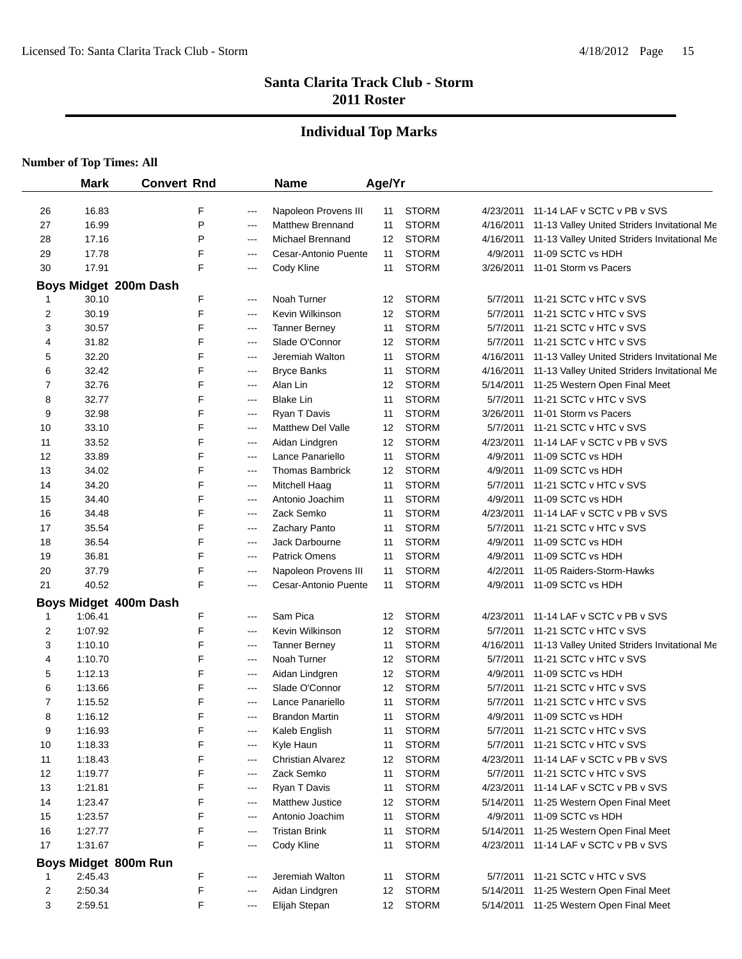#### **Individual Top Marks**

|        | <b>Mark</b>           | <b>Convert Rnd</b> |                        | <b>Name</b>                            | Age/Yr   |                              |                       |                                                         |
|--------|-----------------------|--------------------|------------------------|----------------------------------------|----------|------------------------------|-----------------------|---------------------------------------------------------|
| 26     | 16.83                 | F                  | ---                    | Napoleon Provens III                   | 11       | <b>STORM</b>                 |                       | 4/23/2011 11-14 LAF v SCTC v PB v SVS                   |
| 27     | 16.99                 | P                  | ---                    | <b>Matthew Brennand</b>                | 11       | <b>STORM</b>                 |                       | 4/16/2011 11-13 Valley United Striders Invitational Me  |
| 28     | 17.16                 | P                  | $---$                  | Michael Brennand                       | 12       | <b>STORM</b>                 |                       | 4/16/2011 11-13 Valley United Striders Invitational Me  |
| 29     | 17.78                 | F                  | $---$                  | Cesar-Antonio Puente                   | 11       | <b>STORM</b>                 | 4/9/2011              | 11-09 SCTC vs HDH                                       |
| 30     | 17.91                 | F                  | $---$                  | Cody Kline                             | 11       | <b>STORM</b>                 |                       | 3/26/2011 11-01 Storm vs Pacers                         |
|        |                       |                    |                        |                                        |          |                              |                       |                                                         |
|        | Boys Midget 200m Dash |                    |                        | Noah Turner                            |          | <b>STORM</b>                 |                       | 11-21 SCTC v HTC v SVS                                  |
| 1      | 30.10<br>30.19        | F<br>F             | ---                    | Kevin Wilkinson                        | 12<br>12 | <b>STORM</b>                 | 5/7/2011<br>5/7/2011  | 11-21 SCTC v HTC v SVS                                  |
| 2      |                       | F                  | ---                    |                                        |          | <b>STORM</b>                 |                       |                                                         |
| 3      | 30.57<br>31.82        | F                  | $\qquad \qquad -$      | <b>Tanner Berney</b><br>Slade O'Connor | 11<br>12 | <b>STORM</b>                 | 5/7/2011<br>5/7/2011  | 11-21 SCTC v HTC v SVS<br>11-21 SCTC v HTC v SVS        |
| 4      | 32.20                 | F                  | ---<br>$---$           | Jeremiah Walton                        |          | <b>STORM</b>                 | 4/16/2011             |                                                         |
| 5<br>6 | 32.42                 | F                  |                        |                                        | 11<br>11 | <b>STORM</b>                 |                       | 11-13 Valley United Striders Invitational Me            |
|        |                       | F                  | ---                    | <b>Bryce Banks</b>                     |          |                              |                       | 4/16/2011 11-13 Valley United Striders Invitational Me  |
| 7      | 32.76<br>32.77        | F                  | ---<br>$---$           | Alan Lin<br><b>Blake Lin</b>           | 12       | <b>STORM</b><br><b>STORM</b> | 5/14/2011<br>5/7/2011 | 11-25 Western Open Final Meet<br>11-21 SCTC v HTC v SVS |
| 8      |                       | F                  |                        |                                        | 11       |                              |                       | 3/26/2011 11-01 Storm vs Pacers                         |
| 9      | 32.98                 | F                  | ---                    | Ryan T Davis                           | 11       | <b>STORM</b>                 |                       |                                                         |
| 10     | 33.10                 |                    | $---$                  | Matthew Del Valle                      | 12       | <b>STORM</b>                 |                       | 5/7/2011 11-21 SCTC v HTC v SVS                         |
| 11     | 33.52                 | F<br>F             | $---$                  | Aidan Lindgren                         | 12       | <b>STORM</b>                 | 4/23/2011             | 11-14 LAF v SCTC v PB v SVS                             |
| 12     | 33.89                 | F                  | ---                    | Lance Panariello                       | 11       | <b>STORM</b>                 | 4/9/2011              | 11-09 SCTC vs HDH                                       |
| 13     | 34.02                 |                    | ---                    | <b>Thomas Bambrick</b>                 | 12       | <b>STORM</b>                 | 4/9/2011              | 11-09 SCTC vs HDH                                       |
| 14     | 34.20                 | F                  | ---                    | Mitchell Haag                          | 11       | <b>STORM</b>                 | 5/7/2011              | 11-21 SCTC v HTC v SVS                                  |
| 15     | 34.40                 | F                  | ---                    | Antonio Joachim                        | 11       | <b>STORM</b>                 | 4/9/2011              | 11-09 SCTC vs HDH                                       |
| 16     | 34.48                 | F                  | ---                    | Zack Semko                             | 11       | <b>STORM</b>                 | 4/23/2011             | 11-14 LAF v SCTC v PB v SVS                             |
| 17     | 35.54                 | F                  | ---                    | Zachary Panto                          | 11       | <b>STORM</b>                 | 5/7/2011              | 11-21 SCTC v HTC v SVS                                  |
| 18     | 36.54                 | F                  | $---$                  | Jack Darbourne                         | 11       | <b>STORM</b>                 | 4/9/2011              | 11-09 SCTC vs HDH                                       |
| 19     | 36.81                 | F                  | $--$                   | <b>Patrick Omens</b>                   | 11       | <b>STORM</b>                 | 4/9/2011              | 11-09 SCTC vs HDH                                       |
| 20     | 37.79                 | F                  | $---$                  | Napoleon Provens III                   | 11       | <b>STORM</b>                 | 4/2/2011              | 11-05 Raiders-Storm-Hawks                               |
| 21     | 40.52                 | F                  | ---                    | Cesar-Antonio Puente                   | 11       | <b>STORM</b>                 | 4/9/2011              | 11-09 SCTC vs HDH                                       |
|        | Boys Midget 400m Dash |                    |                        |                                        |          |                              |                       |                                                         |
| 1      | 1:06.41               | F                  | $---$                  | Sam Pica                               | 12       | <b>STORM</b>                 | 4/23/2011             | 11-14 LAF v SCTC v PB v SVS                             |
| 2      | 1:07.92               | F                  | $--$                   | Kevin Wilkinson                        | 12       | <b>STORM</b>                 |                       | 5/7/2011 11-21 SCTC v HTC v SVS                         |
| 3      | 1:10.10               | F                  | ---                    | <b>Tanner Berney</b>                   | 11       | <b>STORM</b>                 |                       | 4/16/2011 11-13 Valley United Striders Invitational Me  |
| 4      | 1:10.70               | F                  | ---                    | Noah Turner                            | 12       | <b>STORM</b>                 | 5/7/2011              | 11-21 SCTC v HTC v SVS                                  |
| 5      | 1:12.13               | F                  | ---                    | Aidan Lindgren                         | 12       | <b>STORM</b>                 | 4/9/2011              | 11-09 SCTC vs HDH                                       |
| 6      | 1:13.66               | F                  | $--$                   | Slade O'Connor                         | 12       | <b>STORM</b>                 | 5/7/2011              | 11-21 SCTC v HTC v SVS                                  |
| 7      | 1:15.52               | F                  | $---$                  | Lance Panariello                       | 11       | <b>STORM</b>                 | 5/7/2011              | 11-21 SCTC v HTC v SVS                                  |
| 8      | 1:16.12               | F                  | ---                    | <b>Brandon Martin</b>                  | 11       | <b>STORM</b>                 |                       | 4/9/2011 11-09 SCTC vs HDH                              |
| 9      | 1:16.93               | F                  | $---$                  | Kaleb English                          | 11       | <b>STORM</b>                 | 5/7/2011              | 11-21 SCTC v HTC v SVS                                  |
| 10     | 1:18.33               | F                  | ---                    | Kyle Haun                              | 11       | <b>STORM</b>                 | 5/7/2011              | 11-21 SCTC v HTC v SVS                                  |
| 11     | 1:18.43               | F                  | ---                    | <b>Christian Alvarez</b>               | 12       | <b>STORM</b>                 | 4/23/2011             | 11-14 LAF v SCTC v PB v SVS                             |
| 12     | 1:19.77               | F                  | ---                    | Zack Semko                             | 11       | <b>STORM</b>                 | 5/7/2011              | 11-21 SCTC v HTC v SVS                                  |
| 13     | 1:21.81               | F                  | $\qquad \qquad -$      | Ryan T Davis                           | 11       | <b>STORM</b>                 | 4/23/2011             | 11-14 LAF v SCTC v PB v SVS                             |
| 14     | 1:23.47               | F                  | $\qquad \qquad -$      | Matthew Justice                        | 12       | <b>STORM</b>                 | 5/14/2011             | 11-25 Western Open Final Meet                           |
| 15     | 1:23.57               | F                  | $---$                  | Antonio Joachim                        | 11       | <b>STORM</b>                 | 4/9/2011              | 11-09 SCTC vs HDH                                       |
| 16     | 1:27.77               | F                  | $\qquad \qquad \cdots$ | <b>Tristan Brink</b>                   | 11       | <b>STORM</b>                 | 5/14/2011             | 11-25 Western Open Final Meet                           |
| 17     | 1:31.67               | F                  | ---                    | Cody Kline                             | 11       | <b>STORM</b>                 | 4/23/2011             | 11-14 LAF v SCTC v PB v SVS                             |
|        | Boys Midget 800m Run  |                    |                        |                                        |          |                              |                       |                                                         |
| 1      | 2:45.43               | F                  | $--$                   | Jeremiah Walton                        | 11       | <b>STORM</b>                 | 5/7/2011              | 11-21 SCTC v HTC v SVS                                  |
| 2      | 2:50.34               | F                  | $--$                   | Aidan Lindgren                         | 12       | <b>STORM</b>                 | 5/14/2011             | 11-25 Western Open Final Meet                           |
| 3      | 2:59.51               | F                  | ---                    | Elijah Stepan                          | 12       | <b>STORM</b>                 | 5/14/2011             | 11-25 Western Open Final Meet                           |
|        |                       |                    |                        |                                        |          |                              |                       |                                                         |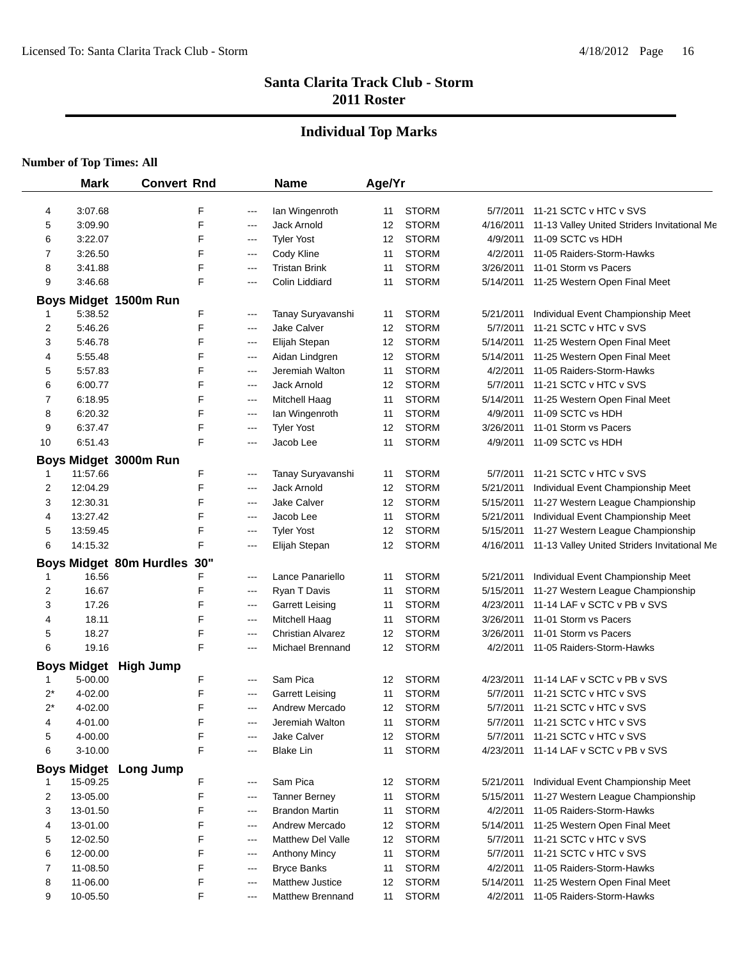## **Individual Top Marks**

|        | <b>Mark</b>        | <b>Convert Rnd</b>             |     |            | <b>Name</b>                   | Age/Yr   |              |                       |                                              |
|--------|--------------------|--------------------------------|-----|------------|-------------------------------|----------|--------------|-----------------------|----------------------------------------------|
|        | 3:07.68            |                                | F   |            |                               |          | <b>STORM</b> |                       | 11-21 SCTC v HTC v SVS                       |
| 4<br>5 | 3:09.90            |                                | F   | ---<br>--- | lan Wingenroth<br>Jack Arnold | 11<br>12 | <b>STORM</b> | 5/7/2011<br>4/16/2011 | 11-13 Valley United Striders Invitational Me |
|        | 3:22.07            |                                | F   |            | <b>Tyler Yost</b>             |          | <b>STORM</b> | 4/9/2011              | 11-09 SCTC vs HDH                            |
| 6<br>7 | 3:26.50            |                                | F   | ---        |                               | 12       | <b>STORM</b> | 4/2/2011              | 11-05 Raiders-Storm-Hawks                    |
|        |                    |                                | F   | ---        | Cody Kline                    | 11       | <b>STORM</b> |                       |                                              |
| 8      | 3:41.88            |                                | F   | ---        | <b>Tristan Brink</b>          | 11       | <b>STORM</b> | 3/26/2011             | 11-01 Storm vs Pacers                        |
| 9      | 3:46.68            |                                |     | ---        | Colin Liddiard                | 11       |              | 5/14/2011             | 11-25 Western Open Final Meet                |
|        |                    | Boys Midget 1500m Run          |     |            |                               |          |              |                       |                                              |
|        | 5:38.52            |                                | F   | ---        | Tanay Suryavanshi             | 11       | <b>STORM</b> | 5/21/2011             | Individual Event Championship Meet           |
| 2      | 5:46.26            |                                | F   | ---        | Jake Calver                   | 12       | <b>STORM</b> | 5/7/2011              | 11-21 SCTC v HTC v SVS                       |
| 3      | 5:46.78            |                                | F   | ---        | Elijah Stepan                 | 12       | <b>STORM</b> | 5/14/2011             | 11-25 Western Open Final Meet                |
| 4      | 5:55.48            |                                | F   | ---        | Aidan Lindgren                | 12       | <b>STORM</b> | 5/14/2011             | 11-25 Western Open Final Meet                |
| 5      | 5:57.83            |                                | F   | ---        | Jeremiah Walton               | 11       | <b>STORM</b> | 4/2/2011              | 11-05 Raiders-Storm-Hawks                    |
| 6      | 6:00.77            |                                | F   | ---        | Jack Arnold                   | 12       | <b>STORM</b> | 5/7/2011              | 11-21 SCTC v HTC v SVS                       |
| 7      | 6:18.95            |                                | F   | ---        | Mitchell Haag                 | 11       | <b>STORM</b> | 5/14/2011             | 11-25 Western Open Final Meet                |
| 8      | 6:20.32            |                                | F   | ---        | lan Wingenroth                | 11       | <b>STORM</b> | 4/9/2011              | 11-09 SCTC vs HDH                            |
| 9      | 6:37.47            |                                | F   | ---        | <b>Tyler Yost</b>             | 12       | <b>STORM</b> | 3/26/2011             | 11-01 Storm vs Pacers                        |
| 10     | 6:51.43            |                                | F   | ---        | Jacob Lee                     | 11       | <b>STORM</b> | 4/9/2011              | 11-09 SCTC vs HDH                            |
|        |                    | Boys Midget 3000m Run          |     |            |                               |          |              |                       |                                              |
| 1      | 11:57.66           |                                | F   | ---        | Tanay Suryavanshi             | 11       | <b>STORM</b> | 5/7/2011              | 11-21 SCTC v HTC v SVS                       |
| 2      | 12:04.29           |                                | F   | ---        | Jack Arnold                   | 12       | <b>STORM</b> | 5/21/2011             | Individual Event Championship Meet           |
| 3      | 12:30.31           |                                | F   | ---        | <b>Jake Calver</b>            | 12       | <b>STORM</b> | 5/15/2011             | 11-27 Western League Championship            |
| 4      | 13:27.42           |                                | F   | ---        | Jacob Lee                     | 11       | <b>STORM</b> | 5/21/2011             | Individual Event Championship Meet           |
| 5      | 13:59.45           |                                | F   | ---        | <b>Tyler Yost</b>             | 12       | <b>STORM</b> | 5/15/2011             | 11-27 Western League Championship            |
| 6      | 14:15.32           |                                | F   | ---        | Elijah Stepan                 | 12       | <b>STORM</b> | 4/16/2011             | 11-13 Valley United Striders Invitational Me |
|        |                    | <b>Boys Midget 80m Hurdles</b> | 30" |            |                               |          |              |                       |                                              |
| 1      | 16.56              |                                | F   | ---        | Lance Panariello              | 11       | <b>STORM</b> | 5/21/2011             | Individual Event Championship Meet           |
| 2      | 16.67              |                                | F   | ---        | Ryan T Davis                  | 11       | <b>STORM</b> | 5/15/2011             | 11-27 Western League Championship            |
| 3      | 17.26              |                                | F   | ---        | <b>Garrett Leising</b>        | 11       | <b>STORM</b> | 4/23/2011             | 11-14 LAF v SCTC v PB v SVS                  |
| 4      | 18.11              |                                | F   | ---        | Mitchell Haag                 | 11       | <b>STORM</b> | 3/26/2011             | 11-01 Storm vs Pacers                        |
| 5      | 18.27              |                                | F   | ---        | <b>Christian Alvarez</b>      | 12       | <b>STORM</b> | 3/26/2011             | 11-01 Storm vs Pacers                        |
| 6      | 19.16              |                                | F   | ---        | Michael Brennand              | 12       | <b>STORM</b> | 4/2/2011              | 11-05 Raiders-Storm-Hawks                    |
|        |                    |                                |     |            |                               |          |              |                       |                                              |
|        | <b>Boys Midget</b> | <b>High Jump</b>               |     |            |                               |          |              |                       |                                              |
|        | 5-00.00            |                                | F   | $---$      | Sam Pica                      | 12       | <b>STORM</b> | 4/23/2011             | 11-14 LAF v SCTC v PB v SVS                  |
| $2^*$  | 4-02.00            |                                | F   | $--$       | Garrett Leising               | 11       | <b>STORM</b> | 5/7/2011              | 11-21 SCTC v HTC v SVS                       |
| $2^*$  | 4-02.00            |                                | F   | ---        | Andrew Mercado                | 12       | <b>STORM</b> | 5/7/2011              | 11-21 SCTC v HTC v SVS                       |
| 4      | 4-01.00            |                                | F   |            | Jeremiah Walton               | 11       | <b>STORM</b> |                       | 5/7/2011 11-21 SCTC v HTC v SVS              |
| 5      | 4-00.00            |                                | F   | ---        | <b>Jake Calver</b>            | 12       | <b>STORM</b> |                       | 5/7/2011 11-21 SCTC v HTC v SVS              |
| 6      | 3-10.00            |                                | F   | ---        | <b>Blake Lin</b>              | 11       | <b>STORM</b> |                       | 4/23/2011 11-14 LAF v SCTC v PB v SVS        |
|        | <b>Boys Midget</b> | Long Jump                      |     |            |                               |          |              |                       |                                              |
|        | 15-09.25           |                                | F   | ---        | Sam Pica                      | 12       | <b>STORM</b> | 5/21/2011             | Individual Event Championship Meet           |
| 2      | 13-05.00           |                                | F   | ---        | <b>Tanner Berney</b>          | 11       | <b>STORM</b> | 5/15/2011             | 11-27 Western League Championship            |
| 3      | 13-01.50           |                                | F   | ---        | <b>Brandon Martin</b>         | 11       | <b>STORM</b> | 4/2/2011              | 11-05 Raiders-Storm-Hawks                    |
| 4      | 13-01.00           |                                | F   | $---$      | Andrew Mercado                | 12       | <b>STORM</b> | 5/14/2011             | 11-25 Western Open Final Meet                |
| 5      | 12-02.50           |                                | F   | ---        | <b>Matthew Del Valle</b>      | 12       | <b>STORM</b> | 5/7/2011              | 11-21 SCTC v HTC v SVS                       |
| 6      | 12-00.00           |                                | F   | ---        | <b>Anthony Mincy</b>          | 11       | <b>STORM</b> | 5/7/2011              | 11-21 SCTC v HTC v SVS                       |
| 7      | 11-08.50           |                                | F   | $--$       | <b>Bryce Banks</b>            | 11       | <b>STORM</b> | 4/2/2011              | 11-05 Raiders-Storm-Hawks                    |
| 8      | 11-06.00           |                                | F   | $--$       | <b>Matthew Justice</b>        | 12       | <b>STORM</b> | 5/14/2011             | 11-25 Western Open Final Meet                |
| 9      | 10-05.50           |                                | F   | ---        | Matthew Brennand              | 11       | <b>STORM</b> | 4/2/2011              | 11-05 Raiders-Storm-Hawks                    |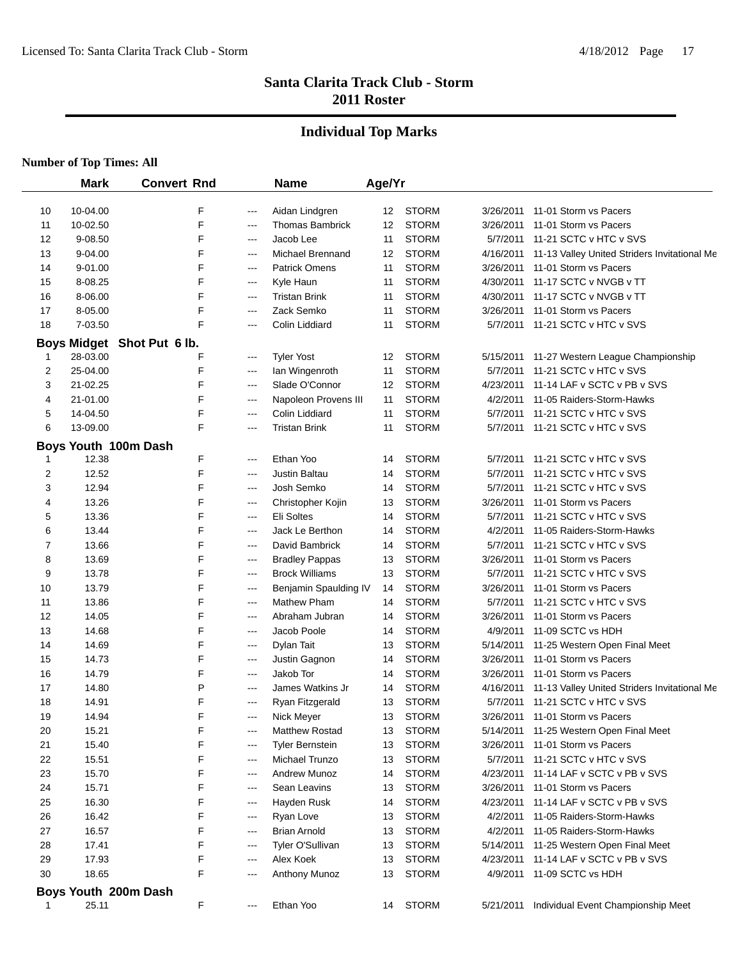## **Individual Top Marks**

|    | <b>Mark</b> | <b>Convert Rnd</b>         |       | <b>Name</b>             | Age/Yr |                              |           |                                                 |
|----|-------------|----------------------------|-------|-------------------------|--------|------------------------------|-----------|-------------------------------------------------|
|    |             |                            |       |                         |        |                              |           |                                                 |
| 10 | 10-04.00    | F<br>F                     | ---   | Aidan Lindgren          | 12     | <b>STORM</b><br><b>STORM</b> | 3/26/2011 | 11-01 Storm vs Pacers                           |
| 11 | 10-02.50    |                            | ---   | <b>Thomas Bambrick</b>  | 12     | <b>STORM</b>                 | 3/26/2011 | 11-01 Storm vs Pacers<br>11-21 SCTC v HTC v SVS |
| 12 | 9-08.50     | F<br>F                     | ---   | Jacob Lee               | 11     |                              | 5/7/2011  |                                                 |
| 13 | 9-04.00     |                            | ---   | <b>Michael Brennand</b> | 12     | <b>STORM</b><br><b>STORM</b> | 4/16/2011 | 11-13 Valley United Striders Invitational Me    |
| 14 | 9-01.00     | F                          | $---$ | <b>Patrick Omens</b>    | 11     |                              | 3/26/2011 | 11-01 Storm vs Pacers                           |
| 15 | 8-08.25     | F                          | ---   | Kyle Haun               | 11     | <b>STORM</b>                 | 4/30/2011 | 11-17 SCTC v NVGB v TT                          |
| 16 | 8-06.00     | F                          | ---   | <b>Tristan Brink</b>    | 11     | <b>STORM</b>                 | 4/30/2011 | 11-17 SCTC v NVGB v TT                          |
| 17 | 8-05.00     | F                          | ---   | Zack Semko              | 11     | <b>STORM</b>                 | 3/26/2011 | 11-01 Storm vs Pacers                           |
| 18 | 7-03.50     | F                          | ---   | Colin Liddiard          | 11     | <b>STORM</b>                 | 5/7/2011  | 11-21 SCTC v HTC v SVS                          |
|    |             | Boys Midget Shot Put 6 lb. |       |                         |        |                              |           |                                                 |
| 1  | 28-03.00    | F                          | ---   | <b>Tyler Yost</b>       | 12     | <b>STORM</b>                 | 5/15/2011 | 11-27 Western League Championship               |
| 2  | 25-04.00    | F                          | ---   | Ian Wingenroth          | 11     | <b>STORM</b>                 | 5/7/2011  | 11-21 SCTC v HTC v SVS                          |
| 3  | 21-02.25    | F                          | ---   | Slade O'Connor          | 12     | <b>STORM</b>                 | 4/23/2011 | 11-14 LAF v SCTC v PB v SVS                     |
| 4  | 21-01.00    | F                          | $---$ | Napoleon Provens III    | 11     | <b>STORM</b>                 | 4/2/2011  | 11-05 Raiders-Storm-Hawks                       |
| 5  | 14-04.50    | F                          | ---   | Colin Liddiard          | 11     | <b>STORM</b>                 | 5/7/2011  | 11-21 SCTC v HTC v SVS                          |
| 6  | 13-09.00    | F                          | $---$ | <b>Tristan Brink</b>    | 11     | <b>STORM</b>                 | 5/7/2011  | 11-21 SCTC v HTC v SVS                          |
|    |             | Boys Youth 100m Dash       |       |                         |        |                              |           |                                                 |
|    | 12.38       | F                          | ---   | Ethan Yoo               | 14     | <b>STORM</b>                 | 5/7/2011  | 11-21 SCTC v HTC v SVS                          |
| 2  | 12.52       | F                          | $---$ | Justin Baltau           | 14     | <b>STORM</b>                 | 5/7/2011  | 11-21 SCTC v HTC v SVS                          |
| 3  | 12.94       | F                          | $---$ | Josh Semko              | 14     | <b>STORM</b>                 | 5/7/2011  | 11-21 SCTC v HTC v SVS                          |
| 4  | 13.26       | F                          | $---$ | Christopher Kojin       | 13     | <b>STORM</b>                 | 3/26/2011 | 11-01 Storm vs Pacers                           |
| 5  | 13.36       | F                          | $---$ | Eli Soltes              | 14     | <b>STORM</b>                 | 5/7/2011  | 11-21 SCTC v HTC v SVS                          |
| 6  | 13.44       | F                          | ---   | Jack Le Berthon         | 14     | <b>STORM</b>                 | 4/2/2011  | 11-05 Raiders-Storm-Hawks                       |
| 7  | 13.66       | F                          | ---   | David Bambrick          | 14     | <b>STORM</b>                 | 5/7/2011  | 11-21 SCTC v HTC v SVS                          |
| 8  | 13.69       | F                          | ---   | <b>Bradley Pappas</b>   | 13     | <b>STORM</b>                 | 3/26/2011 | 11-01 Storm vs Pacers                           |
| 9  | 13.78       | F                          | ---   | <b>Brock Williams</b>   | 13     | <b>STORM</b>                 | 5/7/2011  | 11-21 SCTC v HTC v SVS                          |
| 10 | 13.79       | F                          | ---   | Benjamin Spaulding IV   | 14     | <b>STORM</b>                 | 3/26/2011 | 11-01 Storm vs Pacers                           |
| 11 | 13.86       | F                          | ---   | <b>Mathew Pham</b>      | 14     | <b>STORM</b>                 | 5/7/2011  | 11-21 SCTC v HTC v SVS                          |
| 12 | 14.05       | F                          | ---   | Abraham Jubran          | 14     | <b>STORM</b>                 | 3/26/2011 | 11-01 Storm vs Pacers                           |
| 13 | 14.68       | F                          | ---   | Jacob Poole             | 14     | <b>STORM</b>                 | 4/9/2011  | 11-09 SCTC vs HDH                               |
| 14 | 14.69       | F                          | ---   | Dylan Tait              | 13     | <b>STORM</b>                 | 5/14/2011 | 11-25 Western Open Final Meet                   |
| 15 | 14.73       | F                          | ---   | Justin Gagnon           | 14     | <b>STORM</b>                 | 3/26/2011 | 11-01 Storm vs Pacers                           |
| 16 | 14.79       | F                          | ---   | Jakob Tor               | 14     | <b>STORM</b>                 | 3/26/2011 | 11-01 Storm vs Pacers                           |
| 17 | 14.80       | P                          | ---   | James Watkins Jr        | 14     | <b>STORM</b>                 | 4/16/2011 | 11-13 Valley United Striders Invitational Me    |
| 18 | 14.91       | F                          | ---   | Ryan Fitzgerald         | 13     | <b>STORM</b>                 | 5/7/2011  | 11-21 SCTC v HTC v SVS                          |
| 19 | 14.94       | F                          | ---   | Nick Meyer              | 13     | <b>STORM</b>                 | 3/26/2011 | 11-01 Storm vs Pacers                           |
| 20 | 15.21       | F                          | ---   | Matthew Rostad          | 13     | <b>STORM</b>                 | 5/14/2011 | 11-25 Western Open Final Meet                   |
| 21 | 15.40       | F                          | ---   | <b>Tyler Bernstein</b>  | 13     | <b>STORM</b>                 | 3/26/2011 | 11-01 Storm vs Pacers                           |
| 22 | 15.51       | F                          | ---   | Michael Trunzo          | 13     | <b>STORM</b>                 | 5/7/2011  | 11-21 SCTC v HTC v SVS                          |
| 23 | 15.70       | F                          | ---   | <b>Andrew Munoz</b>     | 14     | <b>STORM</b>                 | 4/23/2011 | 11-14 LAF v SCTC v PB v SVS                     |
| 24 | 15.71       | F                          | ---   | Sean Leavins            | 13     | <b>STORM</b>                 | 3/26/2011 | 11-01 Storm vs Pacers                           |
| 25 | 16.30       | F                          | ---   | Hayden Rusk             | 14     | <b>STORM</b>                 | 4/23/2011 | 11-14 LAF v SCTC v PB v SVS                     |
| 26 | 16.42       | F                          | $---$ | Ryan Love               | 13     | <b>STORM</b>                 | 4/2/2011  | 11-05 Raiders-Storm-Hawks                       |
| 27 | 16.57       | F                          | ---   | <b>Brian Arnold</b>     | 13     | <b>STORM</b>                 | 4/2/2011  | 11-05 Raiders-Storm-Hawks                       |
| 28 | 17.41       | F                          | ---   | Tyler O'Sullivan        | 13     | <b>STORM</b>                 | 5/14/2011 | 11-25 Western Open Final Meet                   |
| 29 | 17.93       | F                          | ---   | Alex Koek               | 13     | <b>STORM</b>                 | 4/23/2011 | 11-14 LAF v SCTC v PB v SVS                     |
| 30 | 18.65       | F                          | ---   | <b>Anthony Munoz</b>    | 13     | <b>STORM</b>                 | 4/9/2011  | 11-09 SCTC vs HDH                               |
|    |             | Boys Youth 200m Dash       |       |                         |        |                              |           |                                                 |
|    | 25.11       | F                          | ---   | Ethan Yoo               | 14     | <b>STORM</b>                 | 5/21/2011 | Individual Event Championship Meet              |
|    |             |                            |       |                         |        |                              |           |                                                 |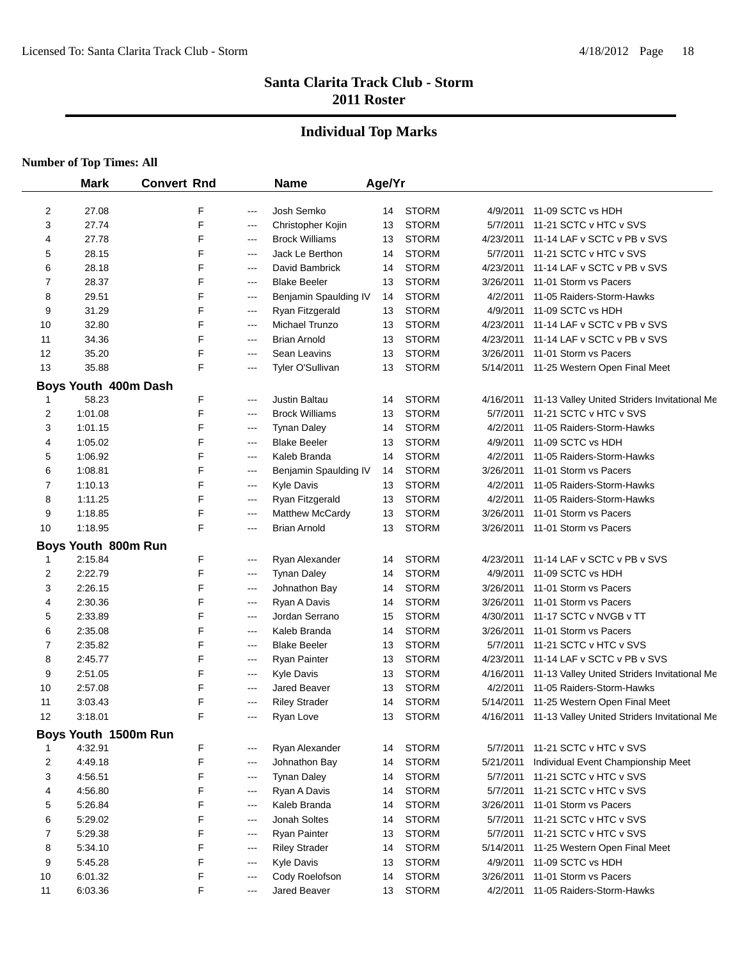## **Individual Top Marks**

|    | <b>Mark</b>                    | <b>Convert Rnd</b> |       | <b>Name</b>            | Age/Yr |              |           |                                              |
|----|--------------------------------|--------------------|-------|------------------------|--------|--------------|-----------|----------------------------------------------|
| 2  | 27.08                          | F                  | $---$ | Josh Semko             | 14     | <b>STORM</b> | 4/9/2011  | 11-09 SCTC vs HDH                            |
| 3  | 27.74                          | F                  | ---   | Christopher Kojin      | 13     | <b>STORM</b> | 5/7/2011  | 11-21 SCTC v HTC v SVS                       |
| 4  | 27.78                          | F                  | $---$ | <b>Brock Williams</b>  | 13     | <b>STORM</b> | 4/23/2011 | 11-14 LAF v SCTC v PB v SVS                  |
| 5  | 28.15                          | F                  | $---$ | Jack Le Berthon        | 14     | <b>STORM</b> | 5/7/2011  | 11-21 SCTC v HTC v SVS                       |
| 6  | 28.18                          | F                  | $---$ | David Bambrick         | 14     | <b>STORM</b> | 4/23/2011 | 11-14 LAF v SCTC v PB v SVS                  |
| 7  | 28.37                          | F                  | ---   | <b>Blake Beeler</b>    | 13     | <b>STORM</b> | 3/26/2011 | 11-01 Storm vs Pacers                        |
| 8  | 29.51                          | F                  | ---   | Benjamin Spaulding IV  | 14     | <b>STORM</b> | 4/2/2011  | 11-05 Raiders-Storm-Hawks                    |
| 9  | 31.29                          | F                  | ---   | Ryan Fitzgerald        | 13     | <b>STORM</b> | 4/9/2011  | 11-09 SCTC vs HDH                            |
| 10 | 32.80                          | F                  | ---   | Michael Trunzo         | 13     | <b>STORM</b> | 4/23/2011 | 11-14 LAF v SCTC v PB v SVS                  |
| 11 | 34.36                          | F                  | ---   | Brian Arnold           | 13     | <b>STORM</b> | 4/23/2011 | 11-14 LAF v SCTC v PB v SVS                  |
| 12 | 35.20                          | F                  | ---   | Sean Leavins           | 13     | <b>STORM</b> | 3/26/2011 | 11-01 Storm vs Pacers                        |
| 13 | 35.88                          | F                  | ---   | Tyler O'Sullivan       | 13     | <b>STORM</b> |           | 5/14/2011 11-25 Western Open Final Meet      |
|    | Boys Youth 400m Dash           |                    |       |                        |        |              |           |                                              |
| 1  | 58.23                          | F                  | $---$ | Justin Baltau          | 14     | <b>STORM</b> | 4/16/2011 | 11-13 Valley United Striders Invitational Me |
| 2  | 1:01.08                        | F                  | ---   | <b>Brock Williams</b>  | 13     | <b>STORM</b> | 5/7/2011  | 11-21 SCTC v HTC v SVS                       |
| 3  | 1:01.15                        | F                  | $---$ | <b>Tynan Daley</b>     | 14     | <b>STORM</b> | 4/2/2011  | 11-05 Raiders-Storm-Hawks                    |
| 4  | 1:05.02                        | F                  | ---   | <b>Blake Beeler</b>    | 13     | <b>STORM</b> | 4/9/2011  | 11-09 SCTC vs HDH                            |
| 5  | 1:06.92                        | F                  | $---$ | Kaleb Branda           | 14     | <b>STORM</b> | 4/2/2011  | 11-05 Raiders-Storm-Hawks                    |
| 6  | 1:08.81                        | F                  | ---   | Benjamin Spaulding IV  | 14     | <b>STORM</b> | 3/26/2011 | 11-01 Storm vs Pacers                        |
| 7  | 1:10.13                        | F                  | ---   | <b>Kyle Davis</b>      | 13     | <b>STORM</b> | 4/2/2011  | 11-05 Raiders-Storm-Hawks                    |
| 8  | 1:11.25                        | F                  | ---   | Ryan Fitzgerald        | 13     | <b>STORM</b> | 4/2/2011  | 11-05 Raiders-Storm-Hawks                    |
| 9  | 1:18.85                        | F                  | ---   | <b>Matthew McCardy</b> | 13     | <b>STORM</b> | 3/26/2011 | 11-01 Storm vs Pacers                        |
| 10 | 1:18.95                        | F                  | ---   | Brian Arnold           | 13     | <b>STORM</b> | 3/26/2011 | 11-01 Storm vs Pacers                        |
|    |                                |                    |       |                        |        |              |           |                                              |
| 1  | Boys Youth 800m Run<br>2:15.84 | F                  | ---   | Ryan Alexander         | 14     | <b>STORM</b> | 4/23/2011 | 11-14 LAF v SCTC v PB v SVS                  |
| 2  | 2:22.79                        | F                  | $---$ | <b>Tynan Daley</b>     | 14     | <b>STORM</b> | 4/9/2011  | 11-09 SCTC vs HDH                            |
| 3  | 2:26.15                        | F                  | ---   | Johnathon Bay          | 14     | <b>STORM</b> | 3/26/2011 | 11-01 Storm vs Pacers                        |
| 4  | 2:30.36                        | F                  | ---   | Ryan A Davis           | 14     | <b>STORM</b> | 3/26/2011 | 11-01 Storm vs Pacers                        |
| 5  | 2:33.89                        | F                  | ---   | Jordan Serrano         | 15     | <b>STORM</b> | 4/30/2011 | 11-17 SCTC v NVGB v TT                       |
| 6  | 2:35.08                        | F                  | ---   | Kaleb Branda           | 14     | <b>STORM</b> | 3/26/2011 | 11-01 Storm vs Pacers                        |
| 7  | 2:35.82                        | F                  | ---   | <b>Blake Beeler</b>    | 13     | <b>STORM</b> | 5/7/2011  | 11-21 SCTC v HTC v SVS                       |
| 8  | 2:45.77                        | F                  | ---   | <b>Ryan Painter</b>    | 13     | <b>STORM</b> | 4/23/2011 | 11-14 LAF v SCTC v PB v SVS                  |
| 9  | 2:51.05                        | F                  | $---$ | <b>Kyle Davis</b>      | 13     | <b>STORM</b> | 4/16/2011 | 11-13 Valley United Striders Invitational Me |
| 10 | 2:57.08                        | F                  | ---   | Jared Beaver           | 13     | <b>STORM</b> | 4/2/2011  | 11-05 Raiders-Storm-Hawks                    |
| 11 | 3:03.43                        | F                  | ---   | <b>Riley Strader</b>   | 14     | <b>STORM</b> | 5/14/2011 | 11-25 Western Open Final Meet                |
| 12 | 3:18.01                        | F                  | ---   | Ryan Love              | 13     | <b>STORM</b> | 4/16/2011 | 11-13 Valley United Striders Invitational Me |
|    |                                |                    |       |                        |        |              |           |                                              |
|    | Boys Youth 1500m Run           |                    |       |                        |        |              |           |                                              |
|    | 4:32.91                        | F                  | ---   | Ryan Alexander         | 14     | <b>STORM</b> | 5/7/2011  | 11-21 SCTC v HTC v SVS                       |
| 2  | 4:49.18                        | F                  | $---$ | Johnathon Bay          | 14     | <b>STORM</b> | 5/21/2011 | Individual Event Championship Meet           |
| 3  | 4:56.51                        | F                  | $---$ | <b>Tynan Daley</b>     | 14     | <b>STORM</b> | 5/7/2011  | 11-21 SCTC v HTC v SVS                       |
| 4  | 4:56.80                        | F                  | $---$ | Ryan A Davis           | 14     | <b>STORM</b> | 5/7/2011  | 11-21 SCTC v HTC v SVS                       |
| 5  | 5.26.84                        | F                  | $---$ | Kaleb Branda           | 14     | <b>STORM</b> | 3/26/2011 | 11-01 Storm vs Pacers                        |
| 6  | 5:29.02                        | F                  | ---   | Jonah Soltes           | 14     | <b>STORM</b> | 5/7/2011  | 11-21 SCTC v HTC v SVS                       |
| 7  | 5:29.38                        | F                  | ---   | Ryan Painter           | 13     | <b>STORM</b> | 5/7/2011  | 11-21 SCTC v HTC v SVS                       |
| 8  | 5:34.10                        | F                  | $---$ | <b>Riley Strader</b>   | 14     | <b>STORM</b> | 5/14/2011 | 11-25 Western Open Final Meet                |
| 9  | 5:45.28                        | F                  | $---$ | Kyle Davis             | 13     | <b>STORM</b> | 4/9/2011  | 11-09 SCTC vs HDH                            |
| 10 | 6:01.32                        | F                  | $---$ | Cody Roelofson         | 14     | <b>STORM</b> | 3/26/2011 | 11-01 Storm vs Pacers                        |
| 11 | 6:03.36                        | F                  | $---$ | Jared Beaver           | 13     | <b>STORM</b> | 4/2/2011  | 11-05 Raiders-Storm-Hawks                    |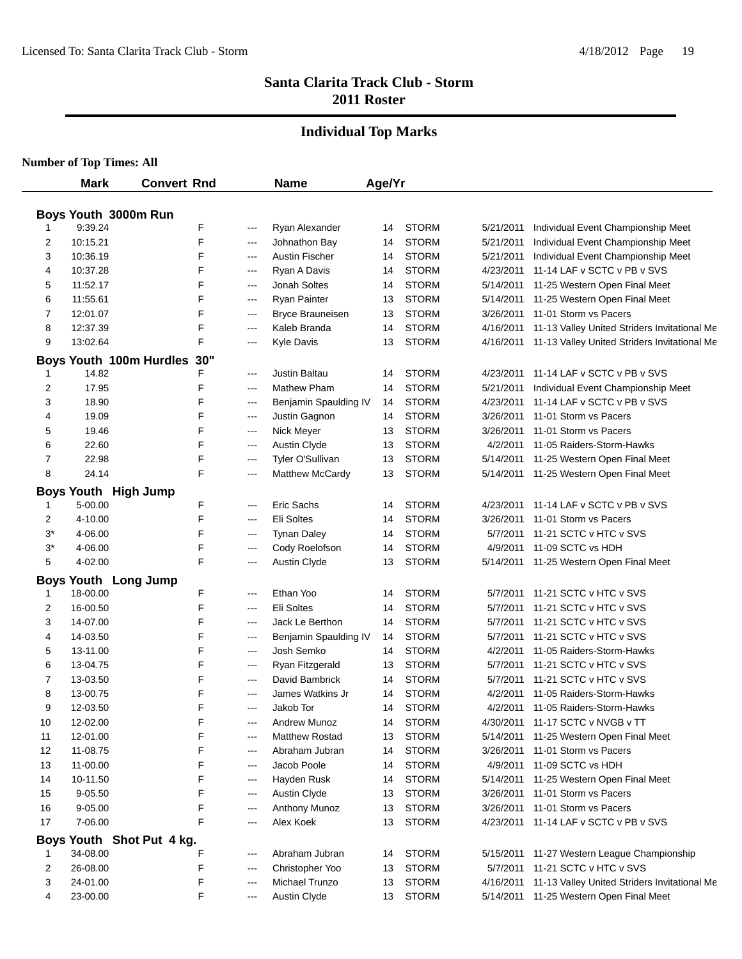#### **Individual Top Marks**

| Boys Youth 3000m Run<br>9:39.24<br>F<br>Ryan Alexander<br><b>STORM</b><br>Individual Event Championship Meet<br>14<br>5/21/2011<br>---<br>10:15.21<br>F<br><b>STORM</b><br>Individual Event Championship Meet<br>2<br>Johnathon Bay<br>14<br>5/21/2011<br>$---$<br>10:36.19<br>F<br><b>STORM</b><br>3<br>Austin Fischer<br>5/21/2011<br>Individual Event Championship Meet<br>14<br>$---$<br>F<br><b>STORM</b><br>10:37.28<br>4/23/2011<br>11-14 LAF v SCTC v PB v SVS<br>4<br>Ryan A Davis<br>14<br>$---$<br>F<br><b>STORM</b><br>5<br>11:52.17<br>Jonah Soltes<br>5/14/2011<br>11-25 Western Open Final Meet<br>14<br>---<br><b>STORM</b><br>6<br>11:55.61<br>F<br>Ryan Painter<br>5/14/2011<br>11-25 Western Open Final Meet<br>13<br>$---$<br>F<br>7<br>12:01.07<br><b>Bryce Brauneisen</b><br><b>STORM</b><br>11-01 Storm vs Pacers<br>13<br>3/26/2011<br>---<br>F<br>8<br>12:37.39<br>Kaleb Branda<br><b>STORM</b><br>11-13 Valley United Striders Invitational Me<br>14<br>4/16/2011<br>---<br>F<br>9<br>13:02.64<br><b>Kyle Davis</b><br><b>STORM</b><br>13<br>4/16/2011<br>$---$<br>30"<br>Boys Youth 100m Hurdles<br>11-14 LAF v SCTC v PB v SVS<br>14.82<br>F<br>Justin Baltau<br><b>STORM</b><br>4/23/2011<br>14<br>---<br>F<br>2<br>17.95<br><b>Mathew Pham</b><br><b>STORM</b><br>Individual Event Championship Meet<br>14<br>5/21/2011<br>---<br>F<br>3<br>18.90<br>Benjamin Spaulding IV<br><b>STORM</b><br>11-14 LAF v SCTC v PB v SVS<br>4/23/2011<br>14<br>$---$<br>19.09<br>F<br><b>STORM</b><br>11-01 Storm vs Pacers<br>Justin Gagnon<br>3/26/2011<br>4<br>14<br>$---$<br>F<br><b>STORM</b><br>19.46<br>3/26/2011<br>11-01 Storm vs Pacers<br>5<br>Nick Meyer<br>13<br>$---$<br>F<br><b>STORM</b><br>6<br>22.60<br><b>Austin Clyde</b><br>4/2/2011<br>11-05 Raiders-Storm-Hawks<br>13<br>$---$<br>22.98<br>F<br>Tyler O'Sullivan<br><b>STORM</b><br>5/14/2011<br>11-25 Western Open Final Meet<br>7<br>13<br>---<br>F<br>8<br>24.14<br>Matthew McCardy<br>13<br><b>STORM</b><br>11-25 Western Open Final Meet<br>5/14/2011<br>---<br><b>Boys Youth High Jump</b><br>F<br>5-00.00<br>Eric Sachs<br><b>STORM</b><br>11-14 LAF v SCTC v PB v SVS<br>4/23/2011<br>14<br>$---$<br>F<br>Eli Soltes<br>2<br>4-10.00<br><b>STORM</b><br>3/26/2011<br>11-01 Storm vs Pacers<br>14<br>$---$<br>F<br>11-21 SCTC v HTC v SVS<br>3*<br><b>Tynan Daley</b><br><b>STORM</b><br>5/7/2011<br>4-06.00<br>14<br>---<br>F<br>3*<br>Cody Roelofson<br><b>STORM</b><br>11-09 SCTC vs HDH<br>4-06.00<br>4/9/2011<br>14<br>---<br>F<br>5<br>4-02.00<br><b>Austin Clyde</b><br><b>STORM</b><br>13<br>5/14/2011 11-25 Western Open Final Meet<br>---<br><b>Boys Youth Long Jump</b><br>F<br>18-00.00<br>Ethan Yoo<br><b>STORM</b><br>5/7/2011<br>11-21 SCTC v HTC v SVS<br>14<br>---<br>F<br>16-00.50<br>Eli Soltes<br><b>STORM</b><br>5/7/2011<br>11-21 SCTC v HTC v SVS<br>2<br>14<br>---<br>F<br>3<br>Jack Le Berthon<br><b>STORM</b><br>5/7/2011<br>11-21 SCTC v HTC v SVS<br>14-07.00<br>14<br>---<br>F<br>Benjamin Spaulding IV<br><b>STORM</b><br>11-21 SCTC v HTC v SVS<br>4<br>14-03.50<br>5/7/2011<br>14<br>$---$<br>F<br>Josh Semko<br><b>STORM</b><br>11-05 Raiders-Storm-Hawks<br>5<br>13-11.00<br>4/2/2011<br>14<br>$---$<br>F<br>11-21 SCTC v HTC v SVS<br>6<br><b>STORM</b><br>13-04.75<br>Ryan Fitzgerald<br>5/7/2011<br>13<br>$---$<br>F<br>11-21 SCTC v HTC v SVS<br>David Bambrick<br><b>STORM</b><br>7<br>13-03.50<br>5/7/2011<br>14<br>$---$<br>F<br>8<br>James Watkins Jr<br><b>STORM</b><br>11-05 Raiders-Storm-Hawks<br>13-00.75<br>4/2/2011<br>14<br>---<br>F<br>9<br><b>STORM</b><br>11-05 Raiders-Storm-Hawks<br>12-03.50<br>Jakob Tor<br>4/2/2011<br>14<br>---<br>F<br>10<br>12-02.00<br>Andrew Munoz<br><b>STORM</b><br>4/30/2011 11-17 SCTC v NVGB v TT<br>14<br>F<br><b>STORM</b><br>5/14/2011 11-25 Western Open Final Meet<br>11<br>12-01.00<br><b>Matthew Rostad</b><br>13<br>---<br>F<br><b>STORM</b><br>11-01 Storm vs Pacers<br>12<br>11-08.75<br>Abraham Jubran<br>3/26/2011<br>14<br>$---$<br>F<br><b>STORM</b><br>11-09 SCTC vs HDH<br>13<br>11-00.00<br>Jacob Poole<br>4/9/2011<br>14<br>---<br>F<br><b>STORM</b><br>14<br>10-11.50<br>Hayden Rusk<br>14<br>5/14/2011<br>11-25 Western Open Final Meet<br>$---$<br>F<br><b>STORM</b><br>11-01 Storm vs Pacers<br>15<br>$9 - 05.50$<br><b>Austin Clyde</b><br>13<br>3/26/2011<br>$---$ | <b>Mark</b> | <b>Convert Rnd</b> | <b>Name</b> | Age/Yr |  |                                              |
|-----------------------------------------------------------------------------------------------------------------------------------------------------------------------------------------------------------------------------------------------------------------------------------------------------------------------------------------------------------------------------------------------------------------------------------------------------------------------------------------------------------------------------------------------------------------------------------------------------------------------------------------------------------------------------------------------------------------------------------------------------------------------------------------------------------------------------------------------------------------------------------------------------------------------------------------------------------------------------------------------------------------------------------------------------------------------------------------------------------------------------------------------------------------------------------------------------------------------------------------------------------------------------------------------------------------------------------------------------------------------------------------------------------------------------------------------------------------------------------------------------------------------------------------------------------------------------------------------------------------------------------------------------------------------------------------------------------------------------------------------------------------------------------------------------------------------------------------------------------------------------------------------------------------------------------------------------------------------------------------------------------------------------------------------------------------------------------------------------------------------------------------------------------------------------------------------------------------------------------------------------------------------------------------------------------------------------------------------------------------------------------------------------------------------------------------------------------------------------------------------------------------------------------------------------------------------------------------------------------------------------------------------------------------------------------------------------------------------------------------------------------------------------------------------------------------------------------------------------------------------------------------------------------------------------------------------------------------------------------------------------------------------------------------------------------------------------------------------------------------------------------------------------------------------------------------------------------------------------------------------------------------------------------------------------------------------------------------------------------------------------------------------------------------------------------------------------------------------------------------------------------------------------------------------------------------------------------------------------------------------------------------------------------------------------------------------------------------------------------------------------------------------------------------------------------------------------------------------------------------------------------------------------------------------------------------------------------------------------------------------------------------------------------------------------------------------------------------------------------------------------------------------------------------------------------------------------------------------------------------------------------------------------------------------------------------------------------------------------------------------------|-------------|--------------------|-------------|--------|--|----------------------------------------------|
|                                                                                                                                                                                                                                                                                                                                                                                                                                                                                                                                                                                                                                                                                                                                                                                                                                                                                                                                                                                                                                                                                                                                                                                                                                                                                                                                                                                                                                                                                                                                                                                                                                                                                                                                                                                                                                                                                                                                                                                                                                                                                                                                                                                                                                                                                                                                                                                                                                                                                                                                                                                                                                                                                                                                                                                                                                                                                                                                                                                                                                                                                                                                                                                                                                                                                                                                                                                                                                                                                                                                                                                                                                                                                                                                                                                                                                                                                                                                                                                                                                                                                                                                                                                                                                                                                                                                                                             |             |                    |             |        |  |                                              |
|                                                                                                                                                                                                                                                                                                                                                                                                                                                                                                                                                                                                                                                                                                                                                                                                                                                                                                                                                                                                                                                                                                                                                                                                                                                                                                                                                                                                                                                                                                                                                                                                                                                                                                                                                                                                                                                                                                                                                                                                                                                                                                                                                                                                                                                                                                                                                                                                                                                                                                                                                                                                                                                                                                                                                                                                                                                                                                                                                                                                                                                                                                                                                                                                                                                                                                                                                                                                                                                                                                                                                                                                                                                                                                                                                                                                                                                                                                                                                                                                                                                                                                                                                                                                                                                                                                                                                                             |             |                    |             |        |  |                                              |
|                                                                                                                                                                                                                                                                                                                                                                                                                                                                                                                                                                                                                                                                                                                                                                                                                                                                                                                                                                                                                                                                                                                                                                                                                                                                                                                                                                                                                                                                                                                                                                                                                                                                                                                                                                                                                                                                                                                                                                                                                                                                                                                                                                                                                                                                                                                                                                                                                                                                                                                                                                                                                                                                                                                                                                                                                                                                                                                                                                                                                                                                                                                                                                                                                                                                                                                                                                                                                                                                                                                                                                                                                                                                                                                                                                                                                                                                                                                                                                                                                                                                                                                                                                                                                                                                                                                                                                             |             |                    |             |        |  |                                              |
|                                                                                                                                                                                                                                                                                                                                                                                                                                                                                                                                                                                                                                                                                                                                                                                                                                                                                                                                                                                                                                                                                                                                                                                                                                                                                                                                                                                                                                                                                                                                                                                                                                                                                                                                                                                                                                                                                                                                                                                                                                                                                                                                                                                                                                                                                                                                                                                                                                                                                                                                                                                                                                                                                                                                                                                                                                                                                                                                                                                                                                                                                                                                                                                                                                                                                                                                                                                                                                                                                                                                                                                                                                                                                                                                                                                                                                                                                                                                                                                                                                                                                                                                                                                                                                                                                                                                                                             |             |                    |             |        |  |                                              |
|                                                                                                                                                                                                                                                                                                                                                                                                                                                                                                                                                                                                                                                                                                                                                                                                                                                                                                                                                                                                                                                                                                                                                                                                                                                                                                                                                                                                                                                                                                                                                                                                                                                                                                                                                                                                                                                                                                                                                                                                                                                                                                                                                                                                                                                                                                                                                                                                                                                                                                                                                                                                                                                                                                                                                                                                                                                                                                                                                                                                                                                                                                                                                                                                                                                                                                                                                                                                                                                                                                                                                                                                                                                                                                                                                                                                                                                                                                                                                                                                                                                                                                                                                                                                                                                                                                                                                                             |             |                    |             |        |  |                                              |
|                                                                                                                                                                                                                                                                                                                                                                                                                                                                                                                                                                                                                                                                                                                                                                                                                                                                                                                                                                                                                                                                                                                                                                                                                                                                                                                                                                                                                                                                                                                                                                                                                                                                                                                                                                                                                                                                                                                                                                                                                                                                                                                                                                                                                                                                                                                                                                                                                                                                                                                                                                                                                                                                                                                                                                                                                                                                                                                                                                                                                                                                                                                                                                                                                                                                                                                                                                                                                                                                                                                                                                                                                                                                                                                                                                                                                                                                                                                                                                                                                                                                                                                                                                                                                                                                                                                                                                             |             |                    |             |        |  |                                              |
|                                                                                                                                                                                                                                                                                                                                                                                                                                                                                                                                                                                                                                                                                                                                                                                                                                                                                                                                                                                                                                                                                                                                                                                                                                                                                                                                                                                                                                                                                                                                                                                                                                                                                                                                                                                                                                                                                                                                                                                                                                                                                                                                                                                                                                                                                                                                                                                                                                                                                                                                                                                                                                                                                                                                                                                                                                                                                                                                                                                                                                                                                                                                                                                                                                                                                                                                                                                                                                                                                                                                                                                                                                                                                                                                                                                                                                                                                                                                                                                                                                                                                                                                                                                                                                                                                                                                                                             |             |                    |             |        |  |                                              |
|                                                                                                                                                                                                                                                                                                                                                                                                                                                                                                                                                                                                                                                                                                                                                                                                                                                                                                                                                                                                                                                                                                                                                                                                                                                                                                                                                                                                                                                                                                                                                                                                                                                                                                                                                                                                                                                                                                                                                                                                                                                                                                                                                                                                                                                                                                                                                                                                                                                                                                                                                                                                                                                                                                                                                                                                                                                                                                                                                                                                                                                                                                                                                                                                                                                                                                                                                                                                                                                                                                                                                                                                                                                                                                                                                                                                                                                                                                                                                                                                                                                                                                                                                                                                                                                                                                                                                                             |             |                    |             |        |  |                                              |
|                                                                                                                                                                                                                                                                                                                                                                                                                                                                                                                                                                                                                                                                                                                                                                                                                                                                                                                                                                                                                                                                                                                                                                                                                                                                                                                                                                                                                                                                                                                                                                                                                                                                                                                                                                                                                                                                                                                                                                                                                                                                                                                                                                                                                                                                                                                                                                                                                                                                                                                                                                                                                                                                                                                                                                                                                                                                                                                                                                                                                                                                                                                                                                                                                                                                                                                                                                                                                                                                                                                                                                                                                                                                                                                                                                                                                                                                                                                                                                                                                                                                                                                                                                                                                                                                                                                                                                             |             |                    |             |        |  |                                              |
|                                                                                                                                                                                                                                                                                                                                                                                                                                                                                                                                                                                                                                                                                                                                                                                                                                                                                                                                                                                                                                                                                                                                                                                                                                                                                                                                                                                                                                                                                                                                                                                                                                                                                                                                                                                                                                                                                                                                                                                                                                                                                                                                                                                                                                                                                                                                                                                                                                                                                                                                                                                                                                                                                                                                                                                                                                                                                                                                                                                                                                                                                                                                                                                                                                                                                                                                                                                                                                                                                                                                                                                                                                                                                                                                                                                                                                                                                                                                                                                                                                                                                                                                                                                                                                                                                                                                                                             |             |                    |             |        |  | 11-13 Valley United Striders Invitational Me |
|                                                                                                                                                                                                                                                                                                                                                                                                                                                                                                                                                                                                                                                                                                                                                                                                                                                                                                                                                                                                                                                                                                                                                                                                                                                                                                                                                                                                                                                                                                                                                                                                                                                                                                                                                                                                                                                                                                                                                                                                                                                                                                                                                                                                                                                                                                                                                                                                                                                                                                                                                                                                                                                                                                                                                                                                                                                                                                                                                                                                                                                                                                                                                                                                                                                                                                                                                                                                                                                                                                                                                                                                                                                                                                                                                                                                                                                                                                                                                                                                                                                                                                                                                                                                                                                                                                                                                                             |             |                    |             |        |  |                                              |
|                                                                                                                                                                                                                                                                                                                                                                                                                                                                                                                                                                                                                                                                                                                                                                                                                                                                                                                                                                                                                                                                                                                                                                                                                                                                                                                                                                                                                                                                                                                                                                                                                                                                                                                                                                                                                                                                                                                                                                                                                                                                                                                                                                                                                                                                                                                                                                                                                                                                                                                                                                                                                                                                                                                                                                                                                                                                                                                                                                                                                                                                                                                                                                                                                                                                                                                                                                                                                                                                                                                                                                                                                                                                                                                                                                                                                                                                                                                                                                                                                                                                                                                                                                                                                                                                                                                                                                             |             |                    |             |        |  |                                              |
|                                                                                                                                                                                                                                                                                                                                                                                                                                                                                                                                                                                                                                                                                                                                                                                                                                                                                                                                                                                                                                                                                                                                                                                                                                                                                                                                                                                                                                                                                                                                                                                                                                                                                                                                                                                                                                                                                                                                                                                                                                                                                                                                                                                                                                                                                                                                                                                                                                                                                                                                                                                                                                                                                                                                                                                                                                                                                                                                                                                                                                                                                                                                                                                                                                                                                                                                                                                                                                                                                                                                                                                                                                                                                                                                                                                                                                                                                                                                                                                                                                                                                                                                                                                                                                                                                                                                                                             |             |                    |             |        |  |                                              |
|                                                                                                                                                                                                                                                                                                                                                                                                                                                                                                                                                                                                                                                                                                                                                                                                                                                                                                                                                                                                                                                                                                                                                                                                                                                                                                                                                                                                                                                                                                                                                                                                                                                                                                                                                                                                                                                                                                                                                                                                                                                                                                                                                                                                                                                                                                                                                                                                                                                                                                                                                                                                                                                                                                                                                                                                                                                                                                                                                                                                                                                                                                                                                                                                                                                                                                                                                                                                                                                                                                                                                                                                                                                                                                                                                                                                                                                                                                                                                                                                                                                                                                                                                                                                                                                                                                                                                                             |             |                    |             |        |  |                                              |
|                                                                                                                                                                                                                                                                                                                                                                                                                                                                                                                                                                                                                                                                                                                                                                                                                                                                                                                                                                                                                                                                                                                                                                                                                                                                                                                                                                                                                                                                                                                                                                                                                                                                                                                                                                                                                                                                                                                                                                                                                                                                                                                                                                                                                                                                                                                                                                                                                                                                                                                                                                                                                                                                                                                                                                                                                                                                                                                                                                                                                                                                                                                                                                                                                                                                                                                                                                                                                                                                                                                                                                                                                                                                                                                                                                                                                                                                                                                                                                                                                                                                                                                                                                                                                                                                                                                                                                             |             |                    |             |        |  |                                              |
|                                                                                                                                                                                                                                                                                                                                                                                                                                                                                                                                                                                                                                                                                                                                                                                                                                                                                                                                                                                                                                                                                                                                                                                                                                                                                                                                                                                                                                                                                                                                                                                                                                                                                                                                                                                                                                                                                                                                                                                                                                                                                                                                                                                                                                                                                                                                                                                                                                                                                                                                                                                                                                                                                                                                                                                                                                                                                                                                                                                                                                                                                                                                                                                                                                                                                                                                                                                                                                                                                                                                                                                                                                                                                                                                                                                                                                                                                                                                                                                                                                                                                                                                                                                                                                                                                                                                                                             |             |                    |             |        |  |                                              |
|                                                                                                                                                                                                                                                                                                                                                                                                                                                                                                                                                                                                                                                                                                                                                                                                                                                                                                                                                                                                                                                                                                                                                                                                                                                                                                                                                                                                                                                                                                                                                                                                                                                                                                                                                                                                                                                                                                                                                                                                                                                                                                                                                                                                                                                                                                                                                                                                                                                                                                                                                                                                                                                                                                                                                                                                                                                                                                                                                                                                                                                                                                                                                                                                                                                                                                                                                                                                                                                                                                                                                                                                                                                                                                                                                                                                                                                                                                                                                                                                                                                                                                                                                                                                                                                                                                                                                                             |             |                    |             |        |  |                                              |
|                                                                                                                                                                                                                                                                                                                                                                                                                                                                                                                                                                                                                                                                                                                                                                                                                                                                                                                                                                                                                                                                                                                                                                                                                                                                                                                                                                                                                                                                                                                                                                                                                                                                                                                                                                                                                                                                                                                                                                                                                                                                                                                                                                                                                                                                                                                                                                                                                                                                                                                                                                                                                                                                                                                                                                                                                                                                                                                                                                                                                                                                                                                                                                                                                                                                                                                                                                                                                                                                                                                                                                                                                                                                                                                                                                                                                                                                                                                                                                                                                                                                                                                                                                                                                                                                                                                                                                             |             |                    |             |        |  |                                              |
|                                                                                                                                                                                                                                                                                                                                                                                                                                                                                                                                                                                                                                                                                                                                                                                                                                                                                                                                                                                                                                                                                                                                                                                                                                                                                                                                                                                                                                                                                                                                                                                                                                                                                                                                                                                                                                                                                                                                                                                                                                                                                                                                                                                                                                                                                                                                                                                                                                                                                                                                                                                                                                                                                                                                                                                                                                                                                                                                                                                                                                                                                                                                                                                                                                                                                                                                                                                                                                                                                                                                                                                                                                                                                                                                                                                                                                                                                                                                                                                                                                                                                                                                                                                                                                                                                                                                                                             |             |                    |             |        |  |                                              |
|                                                                                                                                                                                                                                                                                                                                                                                                                                                                                                                                                                                                                                                                                                                                                                                                                                                                                                                                                                                                                                                                                                                                                                                                                                                                                                                                                                                                                                                                                                                                                                                                                                                                                                                                                                                                                                                                                                                                                                                                                                                                                                                                                                                                                                                                                                                                                                                                                                                                                                                                                                                                                                                                                                                                                                                                                                                                                                                                                                                                                                                                                                                                                                                                                                                                                                                                                                                                                                                                                                                                                                                                                                                                                                                                                                                                                                                                                                                                                                                                                                                                                                                                                                                                                                                                                                                                                                             |             |                    |             |        |  |                                              |
|                                                                                                                                                                                                                                                                                                                                                                                                                                                                                                                                                                                                                                                                                                                                                                                                                                                                                                                                                                                                                                                                                                                                                                                                                                                                                                                                                                                                                                                                                                                                                                                                                                                                                                                                                                                                                                                                                                                                                                                                                                                                                                                                                                                                                                                                                                                                                                                                                                                                                                                                                                                                                                                                                                                                                                                                                                                                                                                                                                                                                                                                                                                                                                                                                                                                                                                                                                                                                                                                                                                                                                                                                                                                                                                                                                                                                                                                                                                                                                                                                                                                                                                                                                                                                                                                                                                                                                             |             |                    |             |        |  |                                              |
|                                                                                                                                                                                                                                                                                                                                                                                                                                                                                                                                                                                                                                                                                                                                                                                                                                                                                                                                                                                                                                                                                                                                                                                                                                                                                                                                                                                                                                                                                                                                                                                                                                                                                                                                                                                                                                                                                                                                                                                                                                                                                                                                                                                                                                                                                                                                                                                                                                                                                                                                                                                                                                                                                                                                                                                                                                                                                                                                                                                                                                                                                                                                                                                                                                                                                                                                                                                                                                                                                                                                                                                                                                                                                                                                                                                                                                                                                                                                                                                                                                                                                                                                                                                                                                                                                                                                                                             |             |                    |             |        |  |                                              |
|                                                                                                                                                                                                                                                                                                                                                                                                                                                                                                                                                                                                                                                                                                                                                                                                                                                                                                                                                                                                                                                                                                                                                                                                                                                                                                                                                                                                                                                                                                                                                                                                                                                                                                                                                                                                                                                                                                                                                                                                                                                                                                                                                                                                                                                                                                                                                                                                                                                                                                                                                                                                                                                                                                                                                                                                                                                                                                                                                                                                                                                                                                                                                                                                                                                                                                                                                                                                                                                                                                                                                                                                                                                                                                                                                                                                                                                                                                                                                                                                                                                                                                                                                                                                                                                                                                                                                                             |             |                    |             |        |  |                                              |
|                                                                                                                                                                                                                                                                                                                                                                                                                                                                                                                                                                                                                                                                                                                                                                                                                                                                                                                                                                                                                                                                                                                                                                                                                                                                                                                                                                                                                                                                                                                                                                                                                                                                                                                                                                                                                                                                                                                                                                                                                                                                                                                                                                                                                                                                                                                                                                                                                                                                                                                                                                                                                                                                                                                                                                                                                                                                                                                                                                                                                                                                                                                                                                                                                                                                                                                                                                                                                                                                                                                                                                                                                                                                                                                                                                                                                                                                                                                                                                                                                                                                                                                                                                                                                                                                                                                                                                             |             |                    |             |        |  |                                              |
|                                                                                                                                                                                                                                                                                                                                                                                                                                                                                                                                                                                                                                                                                                                                                                                                                                                                                                                                                                                                                                                                                                                                                                                                                                                                                                                                                                                                                                                                                                                                                                                                                                                                                                                                                                                                                                                                                                                                                                                                                                                                                                                                                                                                                                                                                                                                                                                                                                                                                                                                                                                                                                                                                                                                                                                                                                                                                                                                                                                                                                                                                                                                                                                                                                                                                                                                                                                                                                                                                                                                                                                                                                                                                                                                                                                                                                                                                                                                                                                                                                                                                                                                                                                                                                                                                                                                                                             |             |                    |             |        |  |                                              |
|                                                                                                                                                                                                                                                                                                                                                                                                                                                                                                                                                                                                                                                                                                                                                                                                                                                                                                                                                                                                                                                                                                                                                                                                                                                                                                                                                                                                                                                                                                                                                                                                                                                                                                                                                                                                                                                                                                                                                                                                                                                                                                                                                                                                                                                                                                                                                                                                                                                                                                                                                                                                                                                                                                                                                                                                                                                                                                                                                                                                                                                                                                                                                                                                                                                                                                                                                                                                                                                                                                                                                                                                                                                                                                                                                                                                                                                                                                                                                                                                                                                                                                                                                                                                                                                                                                                                                                             |             |                    |             |        |  |                                              |
|                                                                                                                                                                                                                                                                                                                                                                                                                                                                                                                                                                                                                                                                                                                                                                                                                                                                                                                                                                                                                                                                                                                                                                                                                                                                                                                                                                                                                                                                                                                                                                                                                                                                                                                                                                                                                                                                                                                                                                                                                                                                                                                                                                                                                                                                                                                                                                                                                                                                                                                                                                                                                                                                                                                                                                                                                                                                                                                                                                                                                                                                                                                                                                                                                                                                                                                                                                                                                                                                                                                                                                                                                                                                                                                                                                                                                                                                                                                                                                                                                                                                                                                                                                                                                                                                                                                                                                             |             |                    |             |        |  |                                              |
|                                                                                                                                                                                                                                                                                                                                                                                                                                                                                                                                                                                                                                                                                                                                                                                                                                                                                                                                                                                                                                                                                                                                                                                                                                                                                                                                                                                                                                                                                                                                                                                                                                                                                                                                                                                                                                                                                                                                                                                                                                                                                                                                                                                                                                                                                                                                                                                                                                                                                                                                                                                                                                                                                                                                                                                                                                                                                                                                                                                                                                                                                                                                                                                                                                                                                                                                                                                                                                                                                                                                                                                                                                                                                                                                                                                                                                                                                                                                                                                                                                                                                                                                                                                                                                                                                                                                                                             |             |                    |             |        |  |                                              |
|                                                                                                                                                                                                                                                                                                                                                                                                                                                                                                                                                                                                                                                                                                                                                                                                                                                                                                                                                                                                                                                                                                                                                                                                                                                                                                                                                                                                                                                                                                                                                                                                                                                                                                                                                                                                                                                                                                                                                                                                                                                                                                                                                                                                                                                                                                                                                                                                                                                                                                                                                                                                                                                                                                                                                                                                                                                                                                                                                                                                                                                                                                                                                                                                                                                                                                                                                                                                                                                                                                                                                                                                                                                                                                                                                                                                                                                                                                                                                                                                                                                                                                                                                                                                                                                                                                                                                                             |             |                    |             |        |  |                                              |
|                                                                                                                                                                                                                                                                                                                                                                                                                                                                                                                                                                                                                                                                                                                                                                                                                                                                                                                                                                                                                                                                                                                                                                                                                                                                                                                                                                                                                                                                                                                                                                                                                                                                                                                                                                                                                                                                                                                                                                                                                                                                                                                                                                                                                                                                                                                                                                                                                                                                                                                                                                                                                                                                                                                                                                                                                                                                                                                                                                                                                                                                                                                                                                                                                                                                                                                                                                                                                                                                                                                                                                                                                                                                                                                                                                                                                                                                                                                                                                                                                                                                                                                                                                                                                                                                                                                                                                             |             |                    |             |        |  |                                              |
|                                                                                                                                                                                                                                                                                                                                                                                                                                                                                                                                                                                                                                                                                                                                                                                                                                                                                                                                                                                                                                                                                                                                                                                                                                                                                                                                                                                                                                                                                                                                                                                                                                                                                                                                                                                                                                                                                                                                                                                                                                                                                                                                                                                                                                                                                                                                                                                                                                                                                                                                                                                                                                                                                                                                                                                                                                                                                                                                                                                                                                                                                                                                                                                                                                                                                                                                                                                                                                                                                                                                                                                                                                                                                                                                                                                                                                                                                                                                                                                                                                                                                                                                                                                                                                                                                                                                                                             |             |                    |             |        |  |                                              |
|                                                                                                                                                                                                                                                                                                                                                                                                                                                                                                                                                                                                                                                                                                                                                                                                                                                                                                                                                                                                                                                                                                                                                                                                                                                                                                                                                                                                                                                                                                                                                                                                                                                                                                                                                                                                                                                                                                                                                                                                                                                                                                                                                                                                                                                                                                                                                                                                                                                                                                                                                                                                                                                                                                                                                                                                                                                                                                                                                                                                                                                                                                                                                                                                                                                                                                                                                                                                                                                                                                                                                                                                                                                                                                                                                                                                                                                                                                                                                                                                                                                                                                                                                                                                                                                                                                                                                                             |             |                    |             |        |  |                                              |
|                                                                                                                                                                                                                                                                                                                                                                                                                                                                                                                                                                                                                                                                                                                                                                                                                                                                                                                                                                                                                                                                                                                                                                                                                                                                                                                                                                                                                                                                                                                                                                                                                                                                                                                                                                                                                                                                                                                                                                                                                                                                                                                                                                                                                                                                                                                                                                                                                                                                                                                                                                                                                                                                                                                                                                                                                                                                                                                                                                                                                                                                                                                                                                                                                                                                                                                                                                                                                                                                                                                                                                                                                                                                                                                                                                                                                                                                                                                                                                                                                                                                                                                                                                                                                                                                                                                                                                             |             |                    |             |        |  |                                              |
|                                                                                                                                                                                                                                                                                                                                                                                                                                                                                                                                                                                                                                                                                                                                                                                                                                                                                                                                                                                                                                                                                                                                                                                                                                                                                                                                                                                                                                                                                                                                                                                                                                                                                                                                                                                                                                                                                                                                                                                                                                                                                                                                                                                                                                                                                                                                                                                                                                                                                                                                                                                                                                                                                                                                                                                                                                                                                                                                                                                                                                                                                                                                                                                                                                                                                                                                                                                                                                                                                                                                                                                                                                                                                                                                                                                                                                                                                                                                                                                                                                                                                                                                                                                                                                                                                                                                                                             |             |                    |             |        |  |                                              |
|                                                                                                                                                                                                                                                                                                                                                                                                                                                                                                                                                                                                                                                                                                                                                                                                                                                                                                                                                                                                                                                                                                                                                                                                                                                                                                                                                                                                                                                                                                                                                                                                                                                                                                                                                                                                                                                                                                                                                                                                                                                                                                                                                                                                                                                                                                                                                                                                                                                                                                                                                                                                                                                                                                                                                                                                                                                                                                                                                                                                                                                                                                                                                                                                                                                                                                                                                                                                                                                                                                                                                                                                                                                                                                                                                                                                                                                                                                                                                                                                                                                                                                                                                                                                                                                                                                                                                                             |             |                    |             |        |  |                                              |
|                                                                                                                                                                                                                                                                                                                                                                                                                                                                                                                                                                                                                                                                                                                                                                                                                                                                                                                                                                                                                                                                                                                                                                                                                                                                                                                                                                                                                                                                                                                                                                                                                                                                                                                                                                                                                                                                                                                                                                                                                                                                                                                                                                                                                                                                                                                                                                                                                                                                                                                                                                                                                                                                                                                                                                                                                                                                                                                                                                                                                                                                                                                                                                                                                                                                                                                                                                                                                                                                                                                                                                                                                                                                                                                                                                                                                                                                                                                                                                                                                                                                                                                                                                                                                                                                                                                                                                             |             |                    |             |        |  |                                              |
|                                                                                                                                                                                                                                                                                                                                                                                                                                                                                                                                                                                                                                                                                                                                                                                                                                                                                                                                                                                                                                                                                                                                                                                                                                                                                                                                                                                                                                                                                                                                                                                                                                                                                                                                                                                                                                                                                                                                                                                                                                                                                                                                                                                                                                                                                                                                                                                                                                                                                                                                                                                                                                                                                                                                                                                                                                                                                                                                                                                                                                                                                                                                                                                                                                                                                                                                                                                                                                                                                                                                                                                                                                                                                                                                                                                                                                                                                                                                                                                                                                                                                                                                                                                                                                                                                                                                                                             |             |                    |             |        |  |                                              |
|                                                                                                                                                                                                                                                                                                                                                                                                                                                                                                                                                                                                                                                                                                                                                                                                                                                                                                                                                                                                                                                                                                                                                                                                                                                                                                                                                                                                                                                                                                                                                                                                                                                                                                                                                                                                                                                                                                                                                                                                                                                                                                                                                                                                                                                                                                                                                                                                                                                                                                                                                                                                                                                                                                                                                                                                                                                                                                                                                                                                                                                                                                                                                                                                                                                                                                                                                                                                                                                                                                                                                                                                                                                                                                                                                                                                                                                                                                                                                                                                                                                                                                                                                                                                                                                                                                                                                                             |             |                    |             |        |  |                                              |
|                                                                                                                                                                                                                                                                                                                                                                                                                                                                                                                                                                                                                                                                                                                                                                                                                                                                                                                                                                                                                                                                                                                                                                                                                                                                                                                                                                                                                                                                                                                                                                                                                                                                                                                                                                                                                                                                                                                                                                                                                                                                                                                                                                                                                                                                                                                                                                                                                                                                                                                                                                                                                                                                                                                                                                                                                                                                                                                                                                                                                                                                                                                                                                                                                                                                                                                                                                                                                                                                                                                                                                                                                                                                                                                                                                                                                                                                                                                                                                                                                                                                                                                                                                                                                                                                                                                                                                             |             |                    |             |        |  |                                              |
|                                                                                                                                                                                                                                                                                                                                                                                                                                                                                                                                                                                                                                                                                                                                                                                                                                                                                                                                                                                                                                                                                                                                                                                                                                                                                                                                                                                                                                                                                                                                                                                                                                                                                                                                                                                                                                                                                                                                                                                                                                                                                                                                                                                                                                                                                                                                                                                                                                                                                                                                                                                                                                                                                                                                                                                                                                                                                                                                                                                                                                                                                                                                                                                                                                                                                                                                                                                                                                                                                                                                                                                                                                                                                                                                                                                                                                                                                                                                                                                                                                                                                                                                                                                                                                                                                                                                                                             |             |                    |             |        |  |                                              |
|                                                                                                                                                                                                                                                                                                                                                                                                                                                                                                                                                                                                                                                                                                                                                                                                                                                                                                                                                                                                                                                                                                                                                                                                                                                                                                                                                                                                                                                                                                                                                                                                                                                                                                                                                                                                                                                                                                                                                                                                                                                                                                                                                                                                                                                                                                                                                                                                                                                                                                                                                                                                                                                                                                                                                                                                                                                                                                                                                                                                                                                                                                                                                                                                                                                                                                                                                                                                                                                                                                                                                                                                                                                                                                                                                                                                                                                                                                                                                                                                                                                                                                                                                                                                                                                                                                                                                                             |             |                    |             |        |  |                                              |
| $9 - 05.00$<br>F<br>Anthony Munoz<br><b>STORM</b><br>3/26/2011<br>11-01 Storm vs Pacers<br>16<br>13<br>---                                                                                                                                                                                                                                                                                                                                                                                                                                                                                                                                                                                                                                                                                                                                                                                                                                                                                                                                                                                                                                                                                                                                                                                                                                                                                                                                                                                                                                                                                                                                                                                                                                                                                                                                                                                                                                                                                                                                                                                                                                                                                                                                                                                                                                                                                                                                                                                                                                                                                                                                                                                                                                                                                                                                                                                                                                                                                                                                                                                                                                                                                                                                                                                                                                                                                                                                                                                                                                                                                                                                                                                                                                                                                                                                                                                                                                                                                                                                                                                                                                                                                                                                                                                                                                                                  |             |                    |             |        |  |                                              |
| F<br>17<br>7-06.00<br>Alex Koek<br><b>STORM</b><br>4/23/2011 11-14 LAF v SCTC v PB v SVS<br>13<br>---                                                                                                                                                                                                                                                                                                                                                                                                                                                                                                                                                                                                                                                                                                                                                                                                                                                                                                                                                                                                                                                                                                                                                                                                                                                                                                                                                                                                                                                                                                                                                                                                                                                                                                                                                                                                                                                                                                                                                                                                                                                                                                                                                                                                                                                                                                                                                                                                                                                                                                                                                                                                                                                                                                                                                                                                                                                                                                                                                                                                                                                                                                                                                                                                                                                                                                                                                                                                                                                                                                                                                                                                                                                                                                                                                                                                                                                                                                                                                                                                                                                                                                                                                                                                                                                                       |             |                    |             |        |  |                                              |
| Boys Youth Shot Put 4 kg.                                                                                                                                                                                                                                                                                                                                                                                                                                                                                                                                                                                                                                                                                                                                                                                                                                                                                                                                                                                                                                                                                                                                                                                                                                                                                                                                                                                                                                                                                                                                                                                                                                                                                                                                                                                                                                                                                                                                                                                                                                                                                                                                                                                                                                                                                                                                                                                                                                                                                                                                                                                                                                                                                                                                                                                                                                                                                                                                                                                                                                                                                                                                                                                                                                                                                                                                                                                                                                                                                                                                                                                                                                                                                                                                                                                                                                                                                                                                                                                                                                                                                                                                                                                                                                                                                                                                                   |             |                    |             |        |  |                                              |
| F<br><b>STORM</b><br>34-08.00<br>Abraham Jubran<br>5/15/2011 11-27 Western League Championship<br>14<br>---                                                                                                                                                                                                                                                                                                                                                                                                                                                                                                                                                                                                                                                                                                                                                                                                                                                                                                                                                                                                                                                                                                                                                                                                                                                                                                                                                                                                                                                                                                                                                                                                                                                                                                                                                                                                                                                                                                                                                                                                                                                                                                                                                                                                                                                                                                                                                                                                                                                                                                                                                                                                                                                                                                                                                                                                                                                                                                                                                                                                                                                                                                                                                                                                                                                                                                                                                                                                                                                                                                                                                                                                                                                                                                                                                                                                                                                                                                                                                                                                                                                                                                                                                                                                                                                                 |             |                    |             |        |  |                                              |
| 5/7/2011 11-21 SCTC v HTC v SVS<br>26-08.00<br>F<br>Christopher Yoo<br><b>STORM</b><br>2<br>13<br>---                                                                                                                                                                                                                                                                                                                                                                                                                                                                                                                                                                                                                                                                                                                                                                                                                                                                                                                                                                                                                                                                                                                                                                                                                                                                                                                                                                                                                                                                                                                                                                                                                                                                                                                                                                                                                                                                                                                                                                                                                                                                                                                                                                                                                                                                                                                                                                                                                                                                                                                                                                                                                                                                                                                                                                                                                                                                                                                                                                                                                                                                                                                                                                                                                                                                                                                                                                                                                                                                                                                                                                                                                                                                                                                                                                                                                                                                                                                                                                                                                                                                                                                                                                                                                                                                       |             |                    |             |        |  |                                              |
| 3<br>F<br>Michael Trunzo<br><b>STORM</b><br>4/16/2011 11-13 Valley United Striders Invitational Me<br>24-01.00<br>13<br>---                                                                                                                                                                                                                                                                                                                                                                                                                                                                                                                                                                                                                                                                                                                                                                                                                                                                                                                                                                                                                                                                                                                                                                                                                                                                                                                                                                                                                                                                                                                                                                                                                                                                                                                                                                                                                                                                                                                                                                                                                                                                                                                                                                                                                                                                                                                                                                                                                                                                                                                                                                                                                                                                                                                                                                                                                                                                                                                                                                                                                                                                                                                                                                                                                                                                                                                                                                                                                                                                                                                                                                                                                                                                                                                                                                                                                                                                                                                                                                                                                                                                                                                                                                                                                                                 |             |                    |             |        |  |                                              |
| F<br>Austin Clyde<br><b>STORM</b><br>5/14/2011 11-25 Western Open Final Meet<br>4<br>23-00.00<br>13<br>---                                                                                                                                                                                                                                                                                                                                                                                                                                                                                                                                                                                                                                                                                                                                                                                                                                                                                                                                                                                                                                                                                                                                                                                                                                                                                                                                                                                                                                                                                                                                                                                                                                                                                                                                                                                                                                                                                                                                                                                                                                                                                                                                                                                                                                                                                                                                                                                                                                                                                                                                                                                                                                                                                                                                                                                                                                                                                                                                                                                                                                                                                                                                                                                                                                                                                                                                                                                                                                                                                                                                                                                                                                                                                                                                                                                                                                                                                                                                                                                                                                                                                                                                                                                                                                                                  |             |                    |             |        |  |                                              |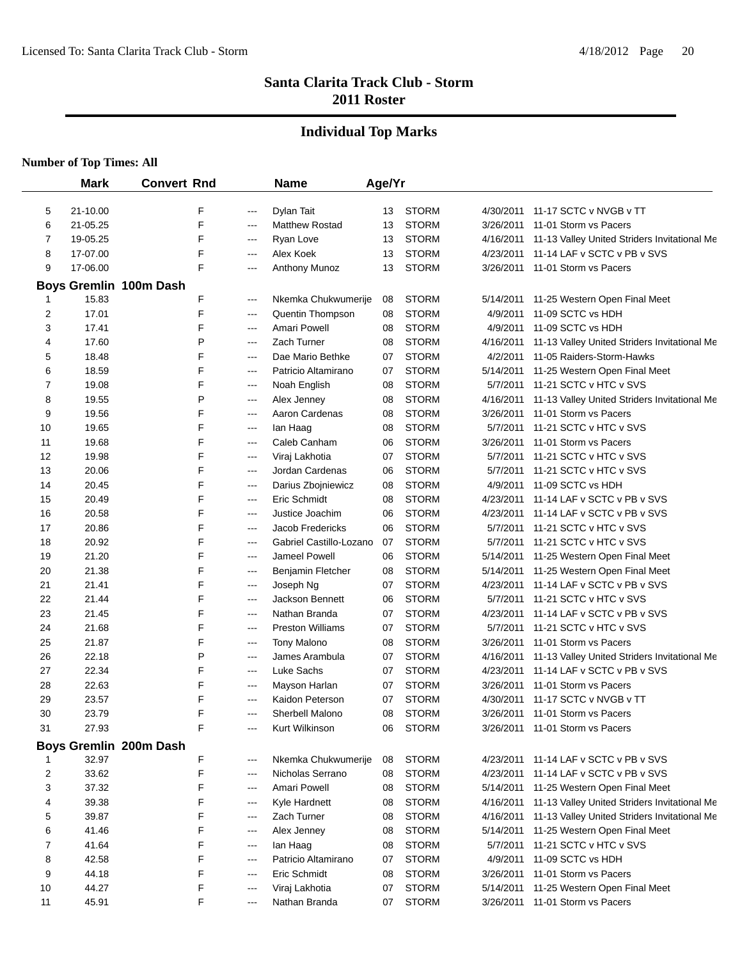#### **Individual Top Marks**

|    | <b>Mark</b> | <b>Convert Rnd</b>          |       | <b>Name</b>             | Age/Yr |              |           |                                              |
|----|-------------|-----------------------------|-------|-------------------------|--------|--------------|-----------|----------------------------------------------|
| 5  | 21-10.00    | F                           | ---   | Dylan Tait              | 13     | <b>STORM</b> | 4/30/2011 | 11-17 SCTC v NVGB v TT                       |
| 6  | 21-05.25    | F                           | ---   | <b>Matthew Rostad</b>   | 13     | <b>STORM</b> | 3/26/2011 | 11-01 Storm vs Pacers                        |
| 7  | 19-05.25    | F                           | ---   | Ryan Love               | 13     | <b>STORM</b> | 4/16/2011 | 11-13 Valley United Striders Invitational Me |
| 8  | 17-07.00    | F                           | ---   | Alex Koek               | 13     | <b>STORM</b> | 4/23/2011 | 11-14 LAF v SCTC v PB v SVS                  |
| 9  | 17-06.00    | F                           | ---   | Anthony Munoz           | 13     | <b>STORM</b> | 3/26/2011 | 11-01 Storm vs Pacers                        |
|    |             |                             |       |                         |        |              |           |                                              |
|    | 15.83       | Boys Gremlin 100m Dash<br>F | ---   | Nkemka Chukwumerije     | 08     | <b>STORM</b> | 5/14/2011 | 11-25 Western Open Final Meet                |
| 2  | 17.01       | F                           | ---   | <b>Quentin Thompson</b> | 08     | <b>STORM</b> | 4/9/2011  | 11-09 SCTC vs HDH                            |
| 3  | 17.41       | F                           | ---   | Amari Powell            | 08     | <b>STORM</b> | 4/9/2011  | 11-09 SCTC vs HDH                            |
| 4  | 17.60       | P                           | $---$ | Zach Turner             | 08     | <b>STORM</b> | 4/16/2011 | 11-13 Valley United Striders Invitational Me |
| 5  | 18.48       | F                           | $---$ | Dae Mario Bethke        | 07     | <b>STORM</b> | 4/2/2011  | 11-05 Raiders-Storm-Hawks                    |
| 6  | 18.59       | F                           | ---   | Patricio Altamirano     | 07     | <b>STORM</b> | 5/14/2011 | 11-25 Western Open Final Meet                |
| 7  | 19.08       | F                           | $---$ | Noah English            | 08     | <b>STORM</b> | 5/7/2011  | 11-21 SCTC v HTC v SVS                       |
| 8  | 19.55       | P                           | ---   | Alex Jenney             | 08     | <b>STORM</b> | 4/16/2011 | 11-13 Valley United Striders Invitational Me |
| 9  | 19.56       | F                           | ---   | Aaron Cardenas          |        | <b>STORM</b> | 3/26/2011 | 11-01 Storm vs Pacers                        |
|    |             | F                           |       |                         | 08     | <b>STORM</b> |           |                                              |
| 10 | 19.65       | F                           | ---   | lan Haag                | 08     |              | 5/7/2011  | 11-21 SCTC v HTC v SVS                       |
| 11 | 19.68       |                             | ---   | Caleb Canham            | 06     | <b>STORM</b> | 3/26/2011 | 11-01 Storm vs Pacers                        |
| 12 | 19.98       | F                           | $---$ | Viraj Lakhotia          | 07     | <b>STORM</b> | 5/7/2011  | 11-21 SCTC v HTC v SVS                       |
| 13 | 20.06       | F                           | ---   | Jordan Cardenas         | 06     | <b>STORM</b> | 5/7/2011  | 11-21 SCTC v HTC v SVS                       |
| 14 | 20.45       | F                           | ---   | Darius Zbojniewicz      | 08     | <b>STORM</b> | 4/9/2011  | 11-09 SCTC vs HDH                            |
| 15 | 20.49       | F                           | ---   | Eric Schmidt            | 08     | <b>STORM</b> | 4/23/2011 | 11-14 LAF v SCTC v PB v SVS                  |
| 16 | 20.58       | F                           | ---   | Justice Joachim         | 06     | <b>STORM</b> | 4/23/2011 | 11-14 LAF v SCTC v PB v SVS                  |
| 17 | 20.86       | F                           | ---   | Jacob Fredericks        | 06     | <b>STORM</b> | 5/7/2011  | 11-21 SCTC v HTC v SVS                       |
| 18 | 20.92       | F                           | ---   | Gabriel Castillo-Lozano | 07     | <b>STORM</b> | 5/7/2011  | 11-21 SCTC v HTC v SVS                       |
| 19 | 21.20       | F                           | ---   | Jameel Powell           | 06     | <b>STORM</b> | 5/14/2011 | 11-25 Western Open Final Meet                |
| 20 | 21.38       | F                           | ---   | Benjamin Fletcher       | 08     | <b>STORM</b> | 5/14/2011 | 11-25 Western Open Final Meet                |
| 21 | 21.41       | F                           | ---   | Joseph Ng               | 07     | <b>STORM</b> | 4/23/2011 | 11-14 LAF v SCTC v PB v SVS                  |
| 22 | 21.44       | F                           | ---   | Jackson Bennett         | 06     | <b>STORM</b> | 5/7/2011  | 11-21 SCTC v HTC v SVS                       |
| 23 | 21.45       | F                           | ---   | Nathan Branda           | 07     | <b>STORM</b> | 4/23/2011 | 11-14 LAF v SCTC v PB v SVS                  |
| 24 | 21.68       | F                           | ---   | <b>Preston Williams</b> | 07     | <b>STORM</b> | 5/7/2011  | 11-21 SCTC v HTC v SVS                       |
| 25 | 21.87       | F                           | ---   | <b>Tony Malono</b>      | 08     | <b>STORM</b> | 3/26/2011 | 11-01 Storm vs Pacers                        |
| 26 | 22.18       | P                           | ---   | James Arambula          | 07     | <b>STORM</b> | 4/16/2011 | 11-13 Valley United Striders Invitational Me |
| 27 | 22.34       | F                           | $---$ | Luke Sachs              | 07     | <b>STORM</b> | 4/23/2011 | 11-14 LAF v SCTC v PB v SVS                  |
| 28 | 22.63       | F                           | $---$ | Mayson Harlan           | 07     | <b>STORM</b> | 3/26/2011 | 11-01 Storm vs Pacers                        |
| 29 | 23.57       | F                           | $---$ | Kaidon Peterson         | 07     | <b>STORM</b> | 4/30/2011 | 11-17 SCTC v NVGB v TT                       |
| 30 | 23.79       | F                           | ---   | Sherbell Malono         | 08     | <b>STORM</b> | 3/26/2011 | 11-01 Storm vs Pacers                        |
| 31 | 27.93       | F                           |       | Kurt Wilkinson          | 06     | <b>STORM</b> |           | 3/26/2011 11-01 Storm vs Pacers              |
|    |             | Boys Gremlin 200m Dash      |       |                         |        |              |           |                                              |
|    | 32.97       | F                           | ---   | Nkemka Chukwumerije     | 08     | <b>STORM</b> | 4/23/2011 | 11-14 LAF v SCTC v PB v SVS                  |
| 2  | 33.62       | F                           | $---$ | Nicholas Serrano        | 08     | <b>STORM</b> | 4/23/2011 | 11-14 LAF v SCTC v PB v SVS                  |
| 3  | 37.32       | F                           | ---   | Amari Powell            | 08     | <b>STORM</b> | 5/14/2011 | 11-25 Western Open Final Meet                |
| 4  | 39.38       | F                           | ---   | Kyle Hardnett           | 08     | <b>STORM</b> | 4/16/2011 | 11-13 Valley United Striders Invitational Me |
| 5  | 39.87       | F                           | ---   | Zach Turner             | 08     | <b>STORM</b> | 4/16/2011 | 11-13 Valley United Striders Invitational Me |
| 6  | 41.46       | F                           | $---$ | Alex Jenney             | 08     | <b>STORM</b> | 5/14/2011 | 11-25 Western Open Final Meet                |
| 7  | 41.64       | F                           | $---$ | lan Haag                | 08     | <b>STORM</b> | 5/7/2011  | 11-21 SCTC v HTC v SVS                       |
| 8  | 42.58       | F                           | $---$ | Patricio Altamirano     | 07     | <b>STORM</b> | 4/9/2011  | 11-09 SCTC vs HDH                            |
| 9  | 44.18       | F                           | $---$ | Eric Schmidt            | 08     | <b>STORM</b> | 3/26/2011 | 11-01 Storm vs Pacers                        |
| 10 | 44.27       | F                           | $---$ | Viraj Lakhotia          | 07     | <b>STORM</b> | 5/14/2011 | 11-25 Western Open Final Meet                |
| 11 | 45.91       | F                           | ---   | Nathan Branda           | 07     | <b>STORM</b> | 3/26/2011 | 11-01 Storm vs Pacers                        |
|    |             |                             |       |                         |        |              |           |                                              |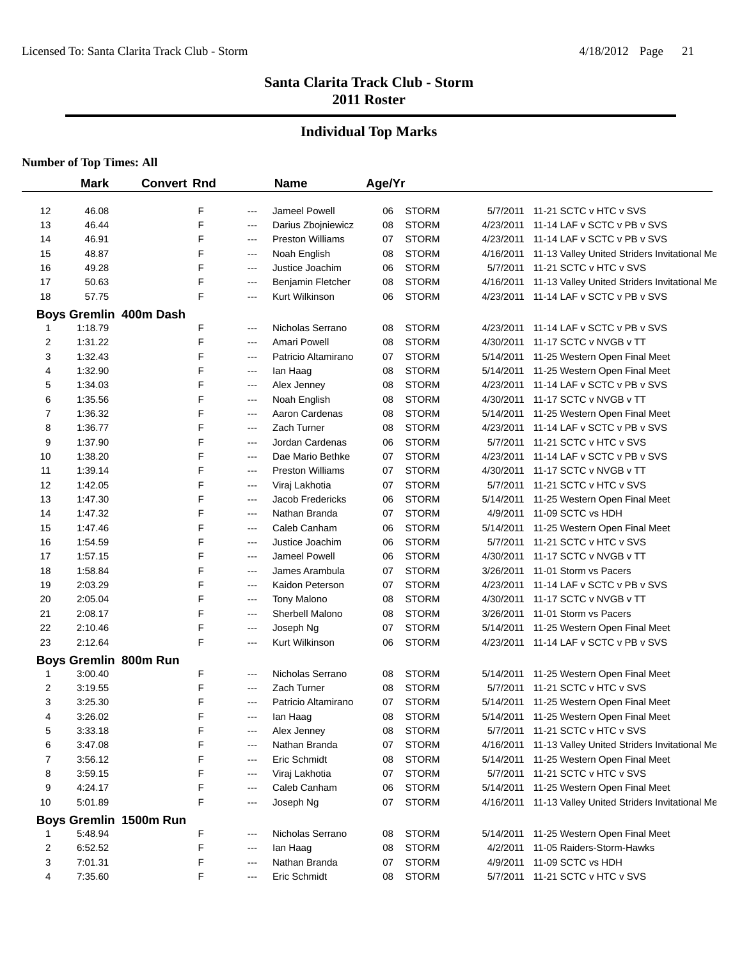#### **Individual Top Marks**

|    | <b>Mark</b>           | <b>Convert Rnd</b>     |       | <b>Name</b>             | Age/Yr |              |           |                                              |
|----|-----------------------|------------------------|-------|-------------------------|--------|--------------|-----------|----------------------------------------------|
| 12 | 46.08                 | F                      | ---   | Jameel Powell           | 06     | <b>STORM</b> | 5/7/2011  | 11-21 SCTC v HTC v SVS                       |
| 13 | 46.44                 | F                      | $---$ | Darius Zbojniewicz      | 08     | <b>STORM</b> | 4/23/2011 | 11-14 LAF v SCTC v PB v SVS                  |
| 14 | 46.91                 | F                      | $---$ | <b>Preston Williams</b> | 07     | <b>STORM</b> | 4/23/2011 | 11-14 LAF v SCTC v PB v SVS                  |
| 15 | 48.87                 | F                      | ---   | Noah English            | 08     | <b>STORM</b> | 4/16/2011 | 11-13 Valley United Striders Invitational Me |
| 16 | 49.28                 | F                      | ---   | Justice Joachim         | 06     | <b>STORM</b> | 5/7/2011  | 11-21 SCTC v HTC v SVS                       |
| 17 | 50.63                 | F                      | ---   | Benjamin Fletcher       | 08     | <b>STORM</b> | 4/16/2011 | 11-13 Valley United Striders Invitational Me |
| 18 | 57.75                 | F                      | ---   | Kurt Wilkinson          | 06     | <b>STORM</b> | 4/23/2011 | 11-14 LAF v SCTC v PB v SVS                  |
|    |                       | Boys Gremlin 400m Dash |       |                         |        |              |           |                                              |
| 1  | 1:18.79               | F                      | $---$ | Nicholas Serrano        | 08     | <b>STORM</b> | 4/23/2011 | 11-14 LAF v SCTC v PB v SVS                  |
| 2  | 1:31.22               | F                      | ---   | Amari Powell            | 08     | <b>STORM</b> | 4/30/2011 | 11-17 SCTC v NVGB v TT                       |
| 3  | 1:32.43               | F                      | ---   | Patricio Altamirano     | 07     | <b>STORM</b> | 5/14/2011 | 11-25 Western Open Final Meet                |
| 4  | 1:32.90               | F                      | ---   | lan Haag                | 08     | <b>STORM</b> | 5/14/2011 | 11-25 Western Open Final Meet                |
| 5  | 1:34.03               | F                      | ---   | Alex Jenney             | 08     | <b>STORM</b> | 4/23/2011 | 11-14 LAF v SCTC v PB v SVS                  |
| 6  | 1:35.56               | F                      | ---   | Noah English            | 08     | <b>STORM</b> | 4/30/2011 | 11-17 SCTC v NVGB v TT                       |
| 7  | 1:36.32               | F                      | ---   | Aaron Cardenas          | 08     | <b>STORM</b> | 5/14/2011 | 11-25 Western Open Final Meet                |
| 8  | 1:36.77               | F                      | ---   | Zach Turner             | 08     | <b>STORM</b> | 4/23/2011 | 11-14 LAF v SCTC v PB v SVS                  |
| 9  | 1:37.90               | F                      | ---   | Jordan Cardenas         | 06     | <b>STORM</b> | 5/7/2011  | 11-21 SCTC v HTC v SVS                       |
| 10 | 1:38.20               | F                      | ---   | Dae Mario Bethke        | 07     | <b>STORM</b> | 4/23/2011 | 11-14 LAF v SCTC v PB v SVS                  |
| 11 | 1:39.14               | F                      | ---   | <b>Preston Williams</b> | 07     | <b>STORM</b> | 4/30/2011 | 11-17 SCTC v NVGB v TT                       |
| 12 | 1:42.05               | F                      | ---   | Viraj Lakhotia          | 07     | <b>STORM</b> | 5/7/2011  | 11-21 SCTC v HTC v SVS                       |
| 13 | 1:47.30               | F                      | ---   | <b>Jacob Fredericks</b> | 06     | <b>STORM</b> | 5/14/2011 | 11-25 Western Open Final Meet                |
| 14 | 1:47.32               | F                      | ---   | Nathan Branda           | 07     | <b>STORM</b> | 4/9/2011  | 11-09 SCTC vs HDH                            |
| 15 | 1:47.46               | F                      | ---   | Caleb Canham            | 06     | <b>STORM</b> | 5/14/2011 | 11-25 Western Open Final Meet                |
| 16 | 1:54.59               | F                      | ---   | Justice Joachim         | 06     | <b>STORM</b> | 5/7/2011  | 11-21 SCTC v HTC v SVS                       |
| 17 | 1:57.15               | F                      | ---   | Jameel Powell           | 06     | <b>STORM</b> | 4/30/2011 | 11-17 SCTC v NVGB v TT                       |
| 18 | 1:58.84               | F                      | ---   | James Arambula          | 07     | <b>STORM</b> | 3/26/2011 | 11-01 Storm vs Pacers                        |
| 19 | 2:03.29               | F                      | ---   | Kaidon Peterson         | 07     | <b>STORM</b> | 4/23/2011 | 11-14 LAF v SCTC v PB v SVS                  |
| 20 | 2:05.04               | F                      | ---   | <b>Tony Malono</b>      | 08     | <b>STORM</b> | 4/30/2011 | 11-17 SCTC v NVGB v TT                       |
| 21 | 2:08.17               | F                      | $-$   | Sherbell Malono         | 08     | <b>STORM</b> | 3/26/2011 | 11-01 Storm vs Pacers                        |
| 22 | 2:10.46               | F                      | ---   | Joseph Ng               | 07     | <b>STORM</b> | 5/14/2011 | 11-25 Western Open Final Meet                |
| 23 | 2:12.64               | F                      | ---   | Kurt Wilkinson          | 06     | <b>STORM</b> | 4/23/2011 | 11-14 LAF v SCTC v PB v SVS                  |
|    | Boys Gremlin 800m Run |                        |       |                         |        |              |           |                                              |
| 1  | 3:00.40               | F                      | $---$ | Nicholas Serrano        | 08     | <b>STORM</b> | 5/14/2011 | 11-25 Western Open Final Meet                |
| 2  | 3:19.55               | F                      | $--$  | Zach Turner             | 08     | <b>STORM</b> | 5/7/2011  | 11-21 SCTC v HTC v SVS                       |
| 3  | 3:25.30               | F                      | ---   | Patricio Altamirano     | 07     | <b>STORM</b> | 5/14/2011 | 11-25 Western Open Final Meet                |
| 4  | 3:26.02               | F                      | ---   | lan Haag                | 08     | <b>STORM</b> | 5/14/2011 | 11-25 Western Open Final Meet                |
| 5  | 3:33.18               | F                      | ---   | Alex Jenney             | 08     | <b>STORM</b> | 5/7/2011  | 11-21 SCTC v HTC v SVS                       |
| 6  | 3:47.08               | F                      | ---   | Nathan Branda           | 07     | <b>STORM</b> | 4/16/2011 | 11-13 Valley United Striders Invitational Me |
| 7  | 3:56.12               | F                      | ---   | Eric Schmidt            | 08     | <b>STORM</b> | 5/14/2011 | 11-25 Western Open Final Meet                |
| 8  | 3:59.15               | F                      | ---   | Viraj Lakhotia          | 07     | <b>STORM</b> | 5/7/2011  | 11-21 SCTC v HTC v SVS                       |
| 9  | 4:24.17               | F                      | $---$ | Caleb Canham            | 06     | <b>STORM</b> | 5/14/2011 | 11-25 Western Open Final Meet                |
| 10 | 5:01.89               | F                      | ---   | Joseph Ng               | 07     | <b>STORM</b> | 4/16/2011 | 11-13 Valley United Striders Invitational Me |
|    |                       | Boys Gremlin 1500m Run |       |                         |        |              |           |                                              |
|    | 5:48.94               | F                      | ---   | Nicholas Serrano        | 08     | <b>STORM</b> | 5/14/2011 | 11-25 Western Open Final Meet                |
| 2  | 6:52.52               | F                      | ---   | lan Haag                | 08     | <b>STORM</b> | 4/2/2011  | 11-05 Raiders-Storm-Hawks                    |
| 3  | 7:01.31               | F                      | ---   | Nathan Branda           | 07     | <b>STORM</b> | 4/9/2011  | 11-09 SCTC vs HDH                            |
| 4  | 7:35.60               | F                      | ---   | Eric Schmidt            | 08     | <b>STORM</b> | 5/7/2011  | 11-21 SCTC v HTC v SVS                       |
|    |                       |                        |       |                         |        |              |           |                                              |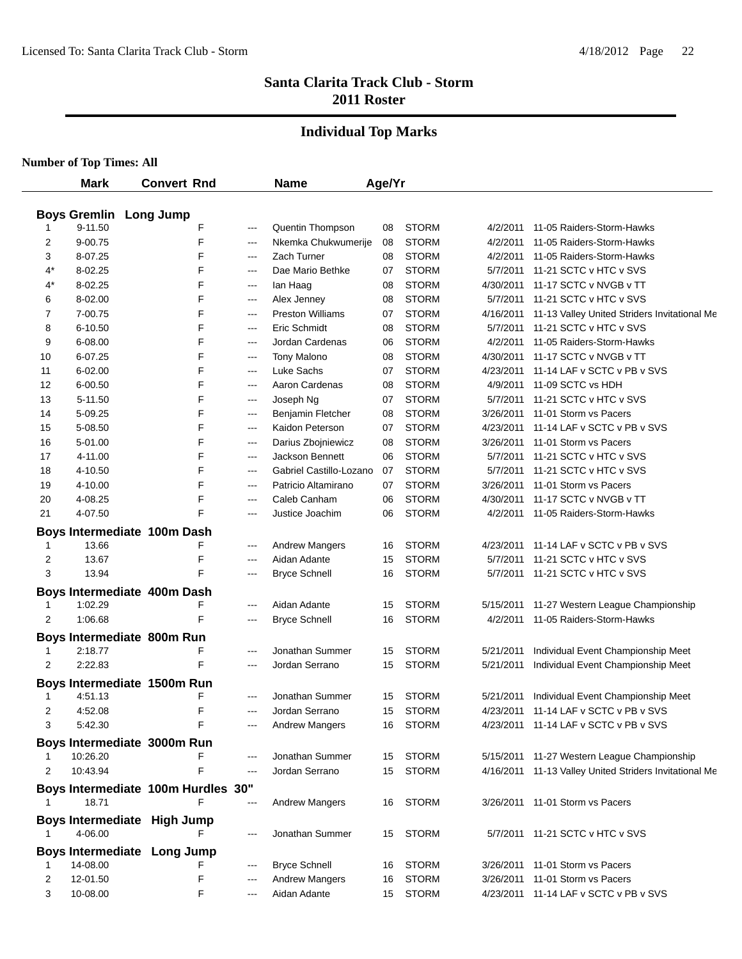#### **Individual Top Marks**

|       | <b>Mark</b> | <b>Convert Rnd</b>                 |                        | <b>Name</b>             | Age/Yr |              |           |                                                        |
|-------|-------------|------------------------------------|------------------------|-------------------------|--------|--------------|-----------|--------------------------------------------------------|
|       |             |                                    |                        |                         |        |              |           |                                                        |
|       |             | <b>Boys Gremlin Long Jump</b>      |                        |                         |        |              |           |                                                        |
|       | 9-11.50     | F                                  | $\qquad \qquad -$      | Quentin Thompson        | 08     | <b>STORM</b> | 4/2/2011  | 11-05 Raiders-Storm-Hawks                              |
| 2     | 9-00.75     | F                                  | $---$                  | Nkemka Chukwumerije     | 08     | <b>STORM</b> | 4/2/2011  | 11-05 Raiders-Storm-Hawks                              |
| 3     | 8-07.25     | F                                  | $--$                   | Zach Turner             | 08     | <b>STORM</b> | 4/2/2011  | 11-05 Raiders-Storm-Hawks                              |
| $4^*$ | 8-02.25     | F                                  | $---$                  | Dae Mario Bethke        | 07     | <b>STORM</b> | 5/7/2011  | 11-21 SCTC v HTC v SVS                                 |
| 4*    | 8-02.25     | F                                  | $\sim$ $\sim$          | lan Haag                | 08     | <b>STORM</b> | 4/30/2011 | 11-17 SCTC v NVGB v TT                                 |
| 6     | 8-02.00     | F                                  | $--$                   | Alex Jenney             | 08     | <b>STORM</b> | 5/7/2011  | 11-21 SCTC v HTC v SVS                                 |
| 7     | 7-00.75     | F                                  | $---$                  | <b>Preston Williams</b> | 07     | <b>STORM</b> | 4/16/2011 | 11-13 Valley United Striders Invitational Me           |
| 8     | 6-10.50     | F                                  | $\qquad \qquad -$      | Eric Schmidt            | 08     | <b>STORM</b> | 5/7/2011  | 11-21 SCTC v HTC v SVS                                 |
| 9     | 6-08.00     | F                                  | $---$                  | Jordan Cardenas         | 06     | <b>STORM</b> | 4/2/2011  | 11-05 Raiders-Storm-Hawks                              |
| 10    | 6-07.25     | F                                  | $---$                  | <b>Tony Malono</b>      | 08     | <b>STORM</b> | 4/30/2011 | 11-17 SCTC v NVGB v TT                                 |
| 11    | 6-02.00     | F                                  | $---$                  | Luke Sachs              | 07     | <b>STORM</b> | 4/23/2011 | 11-14 LAF v SCTC v PB v SVS                            |
| 12    | 6-00.50     | F                                  | $---$                  | Aaron Cardenas          | 08     | <b>STORM</b> | 4/9/2011  | 11-09 SCTC vs HDH                                      |
| 13    | 5-11.50     | F                                  | $\qquad \qquad -$      | Joseph Ng               | 07     | <b>STORM</b> | 5/7/2011  | 11-21 SCTC v HTC v SVS                                 |
| 14    | 5-09.25     | F                                  | $\qquad \qquad -$      | Benjamin Fletcher       | 08     | <b>STORM</b> | 3/26/2011 | 11-01 Storm vs Pacers                                  |
| 15    | 5-08.50     | F                                  | $\qquad \qquad \cdots$ | Kaidon Peterson         | 07     | <b>STORM</b> | 4/23/2011 | 11-14 LAF v SCTC v PB v SVS                            |
| 16    | 5-01.00     | F                                  | $\qquad \qquad \cdots$ | Darius Zbojniewicz      | 08     | <b>STORM</b> | 3/26/2011 | 11-01 Storm vs Pacers                                  |
| 17    | 4-11.00     | F                                  | $---$                  | Jackson Bennett         | 06     | <b>STORM</b> | 5/7/2011  | 11-21 SCTC v HTC v SVS                                 |
| 18    | 4-10.50     | F                                  | $\sim$ $\sim$          | Gabriel Castillo-Lozano | 07     | <b>STORM</b> | 5/7/2011  | 11-21 SCTC v HTC v SVS                                 |
| 19    | 4-10.00     | F                                  | $\sim$ $\sim$          | Patricio Altamirano     | 07     | <b>STORM</b> | 3/26/2011 | 11-01 Storm vs Pacers                                  |
| 20    | 4-08.25     | F                                  | $\sim$ $\sim$          | Caleb Canham            | 06     | <b>STORM</b> | 4/30/2011 | 11-17 SCTC v NVGB v TT                                 |
| 21    | 4-07.50     | F                                  | ---                    | Justice Joachim         | 06     | <b>STORM</b> | 4/2/2011  | 11-05 Raiders-Storm-Hawks                              |
|       |             | Boys Intermediate 100m Dash        |                        |                         |        |              |           |                                                        |
| 1     | 13.66       | F                                  | $---$                  | <b>Andrew Mangers</b>   | 16     | <b>STORM</b> | 4/23/2011 | 11-14 LAF v SCTC v PB v SVS                            |
| 2     | 13.67       | F                                  | ---                    | Aidan Adante            | 15     | <b>STORM</b> | 5/7/2011  | 11-21 SCTC v HTC v SVS                                 |
| 3     | 13.94       | F                                  | ---                    | <b>Bryce Schnell</b>    | 16     | <b>STORM</b> |           | 5/7/2011 11-21 SCTC v HTC v SVS                        |
|       |             | Boys Intermediate 400m Dash        |                        |                         |        |              |           |                                                        |
| 1     | 1:02.29     | F                                  | ---                    | Aidan Adante            | 15     | <b>STORM</b> | 5/15/2011 | 11-27 Western League Championship                      |
| 2     | 1:06.68     | F                                  | ---                    | <b>Bryce Schnell</b>    | 16     | <b>STORM</b> | 4/2/2011  | 11-05 Raiders-Storm-Hawks                              |
|       |             | Boys Intermediate 800m Run         |                        |                         |        |              |           |                                                        |
|       | 2:18.77     | F                                  | $---$                  | Jonathan Summer         | 15     | <b>STORM</b> | 5/21/2011 | Individual Event Championship Meet                     |
| 2     | 2:22.83     | F                                  | ---                    | Jordan Serrano          | 15     | <b>STORM</b> | 5/21/2011 | Individual Event Championship Meet                     |
|       |             |                                    |                        |                         |        |              |           |                                                        |
|       |             | Boys Intermediate 1500m Run        |                        |                         |        |              |           |                                                        |
| 1     | 4:51.13     | F                                  | ---                    | Jonathan Summer         | 15     | <b>STORM</b> | 5/21/2011 | Individual Event Championship Meet                     |
| 2     | 4:52.08     | F                                  | $---$                  | Jordan Serrano          | 15     | <b>STORM</b> |           | 4/23/2011 11-14 LAF v SCTC v PB v SVS                  |
| 3     | 5:42.30     |                                    |                        | <b>Andrew Mangers</b>   | 16     | STORM        |           | 4/23/2011 11-14 LAF v SCTC v PB v SVS                  |
|       |             | Boys Intermediate 3000m Run        |                        |                         |        |              |           |                                                        |
|       | 10:26.20    | F                                  | ---                    | Jonathan Summer         | 15     | <b>STORM</b> |           | 5/15/2011 11-27 Western League Championship            |
| 2     | 10:43.94    | F                                  | $---$                  | Jordan Serrano          | 15     | <b>STORM</b> |           | 4/16/2011 11-13 Valley United Striders Invitational Me |
|       |             | Boys Intermediate 100m Hurdles 30" |                        |                         |        |              |           |                                                        |
|       | 18.71       | F                                  | ---                    | <b>Andrew Mangers</b>   | 16     | <b>STORM</b> |           | 3/26/2011 11-01 Storm vs Pacers                        |
|       |             | Boys Intermediate High Jump        |                        |                         |        |              |           |                                                        |
|       | 4-06.00     |                                    | $---$                  | Jonathan Summer         | 15     | <b>STORM</b> |           | 5/7/2011 11-21 SCTC v HTC v SVS                        |
|       |             |                                    |                        |                         |        |              |           |                                                        |
|       | 14-08.00    | Boys Intermediate Long Jump        | $---$                  | <b>Bryce Schnell</b>    | 16     | <b>STORM</b> | 3/26/2011 | 11-01 Storm vs Pacers                                  |
| 2     | 12-01.50    | F                                  | $---$                  | <b>Andrew Mangers</b>   | 16     | <b>STORM</b> | 3/26/2011 | 11-01 Storm vs Pacers                                  |
| 3     | 10-08.00    | F                                  | $---$                  | Aidan Adante            |        |              |           |                                                        |
|       |             |                                    |                        |                         | 15     | STORM        |           | 4/23/2011 11-14 LAF v SCTC v PB v SVS                  |